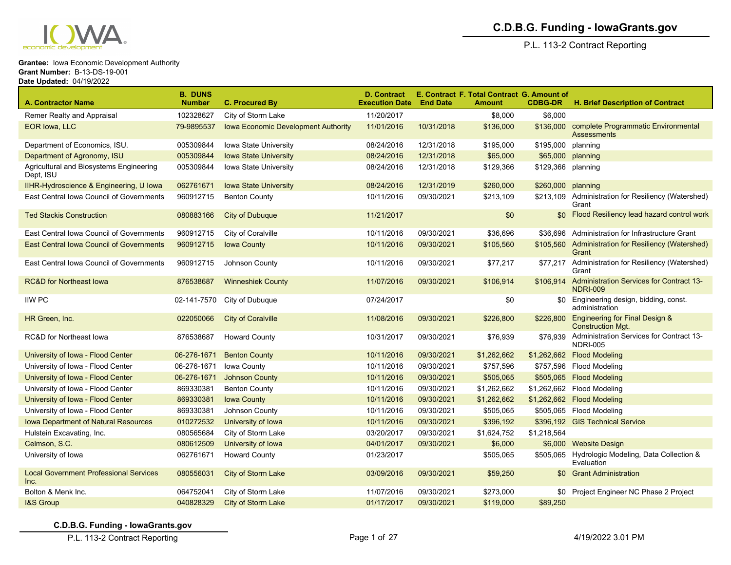# economic dev

## **C.D.B.G. Funding - IowaGrants.gov**

P.L. 113-2 Contract Reporting

### **Date Updated:** 04/19/2022**Grant Number:** B-13-DS-19-001**Grantee:** Iowa Economic Development Authority

| <b>A. Contractor Name</b>                             | <b>B. DUNS</b><br><b>Number</b> | <b>C. Procured By</b>               | <b>D. Contract</b><br><b>Execution Date</b> | <b>End Date</b> | E. Contract F. Total Contract G. Amount of<br><b>Amount</b> | <b>CDBG-DR</b>     | <b>H. Brief Description of Contract</b>                               |
|-------------------------------------------------------|---------------------------------|-------------------------------------|---------------------------------------------|-----------------|-------------------------------------------------------------|--------------------|-----------------------------------------------------------------------|
| Remer Realty and Appraisal                            | 102328627                       | City of Storm Lake                  | 11/20/2017                                  |                 | \$8,000                                                     | \$6,000            |                                                                       |
| EOR Iowa, LLC                                         | 79-9895537                      | Iowa Economic Development Authority | 11/01/2016                                  | 10/31/2018      | \$136,000                                                   | \$136,000          | complete Programmatic Environmental<br><b>Assessments</b>             |
| Department of Economics, ISU.                         | 005309844                       | Iowa State University               | 08/24/2016                                  | 12/31/2018      | \$195,000                                                   | \$195,000          | planning                                                              |
| Department of Agronomy, ISU                           | 005309844                       | <b>Iowa State University</b>        | 08/24/2016                                  | 12/31/2018      | \$65,000                                                    | \$65,000           | planning                                                              |
| Agricultural and Biosystems Engineering<br>Dept, ISU  | 005309844                       | Iowa State University               | 08/24/2016                                  | 12/31/2018      | \$129,366                                                   | \$129,366 planning |                                                                       |
| IIHR-Hydroscience & Engineering, U Iowa               | 062761671                       | <b>Iowa State University</b>        | 08/24/2016                                  | 12/31/2019      | \$260,000                                                   | \$260,000 planning |                                                                       |
| East Central Iowa Council of Governments              | 960912715                       | <b>Benton County</b>                | 10/11/2016                                  | 09/30/2021      | \$213,109                                                   |                    | \$213,109 Administration for Resiliency (Watershed)<br>Grant          |
| <b>Ted Stackis Construction</b>                       | 080883166                       | <b>City of Dubuque</b>              | 11/21/2017                                  |                 | \$0                                                         | \$0                | Flood Resiliency lead hazard control work                             |
| East Central Iowa Council of Governments              | 960912715                       | City of Coralville                  | 10/11/2016                                  | 09/30/2021      | \$36,696                                                    |                    | \$36,696 Administration for Infrastructure Grant                      |
| <b>East Central lowa Council of Governments</b>       | 960912715                       | <b>Iowa County</b>                  | 10/11/2016                                  | 09/30/2021      | \$105,560                                                   | \$105,560          | Administration for Resiliency (Watershed)<br>Grant                    |
| East Central Iowa Council of Governments              | 960912715                       | Johnson County                      | 10/11/2016                                  | 09/30/2021      | \$77,217                                                    | \$77,217           | Administration for Resiliency (Watershed)<br>Grant                    |
| <b>RC&amp;D for Northeast lowa</b>                    | 876538687                       | <b>Winneshiek County</b>            | 11/07/2016                                  | 09/30/2021      | \$106,914                                                   |                    | \$106,914 Administration Services for Contract 13-<br><b>NDRI-009</b> |
| <b>IIW PC</b>                                         | 02-141-7570                     | City of Dubuque                     | 07/24/2017                                  |                 | \$0                                                         |                    | \$0 Engineering design, bidding, const.<br>administration             |
| HR Green, Inc.                                        | 022050066                       | <b>City of Coralville</b>           | 11/08/2016                                  | 09/30/2021      | \$226,800                                                   | \$226,800          | <b>Engineering for Final Design &amp;</b><br><b>Construction Mgt.</b> |
| <b>RC&amp;D</b> for Northeast lowa                    | 876538687                       | <b>Howard County</b>                | 10/31/2017                                  | 09/30/2021      | \$76,939                                                    |                    | \$76,939 Administration Services for Contract 13-<br><b>NDRI-005</b>  |
| University of Iowa - Flood Center                     | 06-276-1671                     | <b>Benton County</b>                | 10/11/2016                                  | 09/30/2021      | \$1,262,662                                                 |                    | \$1,262,662 Flood Modeling                                            |
| University of Iowa - Flood Center                     | 06-276-1671                     | Iowa County                         | 10/11/2016                                  | 09/30/2021      | \$757,596                                                   |                    | \$757,596 Flood Modeling                                              |
| University of Iowa - Flood Center                     | 06-276-1671                     | <b>Johnson County</b>               | 10/11/2016                                  | 09/30/2021      | \$505,065                                                   |                    | \$505,065 Flood Modeling                                              |
| University of Iowa - Flood Center                     | 869330381                       | <b>Benton County</b>                | 10/11/2016                                  | 09/30/2021      | \$1,262,662                                                 |                    | \$1,262,662 Flood Modeling                                            |
| University of Iowa - Flood Center                     | 869330381                       | <b>lowa County</b>                  | 10/11/2016                                  | 09/30/2021      | \$1,262,662                                                 |                    | \$1,262,662 Flood Modeling                                            |
| University of Iowa - Flood Center                     | 869330381                       | Johnson County                      | 10/11/2016                                  | 09/30/2021      | \$505,065                                                   |                    | \$505,065 Flood Modeling                                              |
| <b>Iowa Department of Natural Resources</b>           | 010272532                       | University of Iowa                  | 10/11/2016                                  | 09/30/2021      | \$396,192                                                   |                    | \$396,192 GIS Technical Service                                       |
| Hulstein Excavating, Inc.                             | 080565684                       | City of Storm Lake                  | 03/20/2017                                  | 09/30/2021      | \$1,624,752                                                 | \$1,218,564        |                                                                       |
| Celmson, S.C.                                         | 080612509                       | University of Iowa                  | 04/01/2017                                  | 09/30/2021      | \$6,000                                                     |                    | \$6,000 Website Design                                                |
| University of Iowa                                    | 062761671                       | <b>Howard County</b>                | 01/23/2017                                  |                 | \$505,065                                                   | \$505,065          | Hydrologic Modeling, Data Collection &<br>Evaluation                  |
| <b>Local Government Professional Services</b><br>Inc. | 080556031                       | <b>City of Storm Lake</b>           | 03/09/2016                                  | 09/30/2021      | \$59,250                                                    |                    | \$0 Grant Administration                                              |
| Bolton & Menk Inc.                                    | 064752041                       | City of Storm Lake                  | 11/07/2016                                  | 09/30/2021      | \$273,000                                                   |                    | \$0 Project Engineer NC Phase 2 Project                               |
| <b>I&amp;S Group</b>                                  | 040828329                       | <b>City of Storm Lake</b>           | 01/17/2017                                  | 09/30/2021      | \$119,000                                                   | \$89,250           |                                                                       |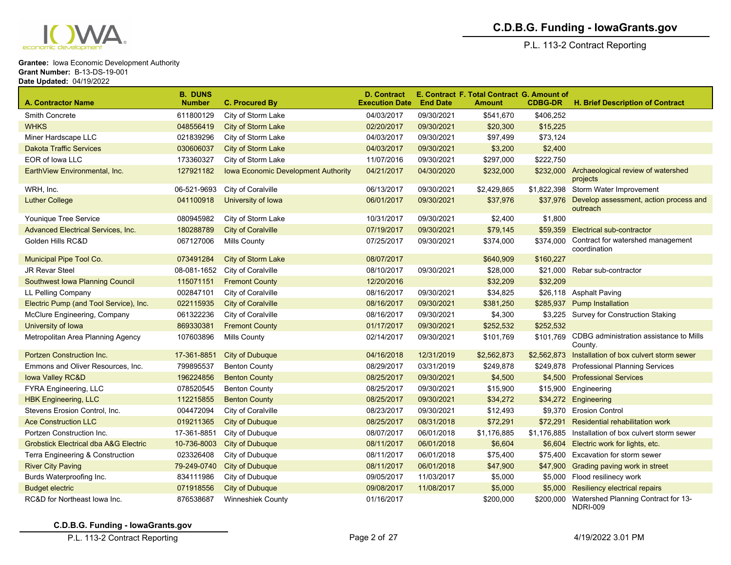## **C.D.B.G. Funding - IowaGrants.gov**

P.L. 113-2 Contract Reporting

### **Date Updated:** 04/19/2022**Grant Number:** B-13-DS-19-001**Grantee:** Iowa Economic Development Authority

| <b>A. Contractor Name</b>                        | <b>B. DUNS</b><br><b>Number</b> | <b>C. Procured By</b>                      | <b>D. Contract</b><br><b>Execution Date</b> | <b>End Date</b> | E. Contract F. Total Contract G. Amount of<br><b>Amount</b> | <b>CDBG-DR</b> | <b>H. Brief Description of Contract</b>                |
|--------------------------------------------------|---------------------------------|--------------------------------------------|---------------------------------------------|-----------------|-------------------------------------------------------------|----------------|--------------------------------------------------------|
| <b>Smith Concrete</b>                            | 611800129                       | City of Storm Lake                         | 04/03/2017                                  | 09/30/2021      | \$541,670                                                   | \$406,252      |                                                        |
| <b>WHKS</b>                                      | 048556419                       | City of Storm Lake                         | 02/20/2017                                  | 09/30/2021      | \$20,300                                                    | \$15,225       |                                                        |
| Miner Hardscape LLC                              | 021839296                       | City of Storm Lake                         | 04/03/2017                                  | 09/30/2021      | \$97,499                                                    | \$73,124       |                                                        |
| <b>Dakota Traffic Services</b>                   | 030606037                       | <b>City of Storm Lake</b>                  | 04/03/2017                                  | 09/30/2021      | \$3,200                                                     | \$2,400        |                                                        |
| EOR of Iowa LLC                                  | 173360327                       | City of Storm Lake                         | 11/07/2016                                  | 09/30/2021      | \$297,000                                                   | \$222,750      |                                                        |
| EarthView Environmental, Inc.                    | 127921182                       | <b>Iowa Economic Development Authority</b> | 04/21/2017                                  | 04/30/2020      | \$232,000                                                   | \$232,000      | Archaeological review of watershed<br>projects         |
| WRH, Inc.                                        | 06-521-9693                     | City of Coralville                         | 06/13/2017                                  | 09/30/2021      | \$2,429,865                                                 |                | \$1,822,398 Storm Water Improvement                    |
| <b>Luther College</b>                            | 041100918                       | University of Iowa                         | 06/01/2017                                  | 09/30/2021      | \$37,976                                                    | \$37.976       | Develop assessment, action process and<br>outreach     |
| Younique Tree Service                            | 080945982                       | City of Storm Lake                         | 10/31/2017                                  | 09/30/2021      | \$2,400                                                     | \$1,800        |                                                        |
| <b>Advanced Electrical Services, Inc.</b>        | 180288789                       | <b>City of Coralville</b>                  | 07/19/2017                                  | 09/30/2021      | \$79,145                                                    | \$59,359       | <b>Electrical sub-contractor</b>                       |
| Golden Hills RC&D                                | 067127006                       | Mills County                               | 07/25/2017                                  | 09/30/2021      | \$374,000                                                   | \$374.000      | Contract for watershed management<br>coordination      |
| <b>Municipal Pipe Tool Co.</b>                   | 073491284                       | <b>City of Storm Lake</b>                  | 08/07/2017                                  |                 | \$640,909                                                   | \$160,227      |                                                        |
| <b>JR Revar Steel</b>                            | 08-081-1652                     | City of Coralville                         | 08/10/2017                                  | 09/30/2021      | \$28,000                                                    | \$21,000       | Rebar sub-contractor                                   |
| Southwest Iowa Planning Council                  | 115071151                       | <b>Fremont County</b>                      | 12/20/2016                                  |                 | \$32,209                                                    | \$32,209       |                                                        |
| LL Pelling Company                               | 002847101                       | City of Coralville                         | 08/16/2017                                  | 09/30/2021      | \$34,825                                                    |                | \$26,118 Asphalt Paving                                |
| Electric Pump (and Tool Service), Inc.           | 022115935                       | <b>City of Coralville</b>                  | 08/16/2017                                  | 09/30/2021      | \$381,250                                                   | \$285,937      | <b>Pump Installation</b>                               |
| McClure Engineering, Company                     | 061322236                       | City of Coralville                         | 08/16/2017                                  | 09/30/2021      | \$4,300                                                     |                | \$3,225 Survey for Construction Staking                |
| University of Iowa                               | 869330381                       | <b>Fremont County</b>                      | 01/17/2017                                  | 09/30/2021      | \$252,532                                                   | \$252,532      |                                                        |
| Metropolitan Area Planning Agency                | 107603896                       | <b>Mills County</b>                        | 02/14/2017                                  | 09/30/2021      | \$101,769                                                   | \$101,769      | CDBG administration assistance to Mills<br>County.     |
| <b>Portzen Construction Inc.</b>                 | 17-361-8851                     | <b>City of Dubuque</b>                     | 04/16/2018                                  | 12/31/2019      | \$2,562,873                                                 | \$2,562,873    | Installation of box culvert storm sewer                |
| Emmons and Oliver Resources, Inc.                | 799895537                       | <b>Benton County</b>                       | 08/29/2017                                  | 03/31/2019      | \$249,878                                                   |                | \$249,878 Professional Planning Services               |
| <b>Iowa Valley RC&amp;D</b>                      | 196224856                       | <b>Benton County</b>                       | 08/25/2017                                  | 09/30/2021      | \$4,500                                                     |                | \$4,500 Professional Services                          |
| FYRA Engineering, LLC                            | 078520545                       | <b>Benton County</b>                       | 08/25/2017                                  | 09/30/2021      | \$15,900                                                    | \$15,900       | Engineering                                            |
| <b>HBK Engineering, LLC</b>                      | 112215855                       | <b>Benton County</b>                       | 08/25/2017                                  | 09/30/2021      | \$34,272                                                    |                | \$34,272 Engineering                                   |
| Stevens Erosion Control, Inc.                    | 004472094                       | City of Coralville                         | 08/23/2017                                  | 09/30/2021      | \$12,493                                                    | \$9,370        | <b>Erosion Control</b>                                 |
| <b>Ace Construction LLC</b>                      | 019211365                       | <b>City of Dubuque</b>                     | 08/25/2017                                  | 08/31/2018      | \$72,291                                                    | \$72,291       | Residential rehabilitation work                        |
| Portzen Construction Inc.                        | 17-361-8851                     | City of Dubuque                            | 08/07/2017                                  | 06/01/2018      | \$1,176,885                                                 | \$1,176,885    | Installation of box culvert storm sewer                |
| <b>Grobstick Electrical dba A&amp;G Electric</b> | 10-736-8003                     | <b>City of Dubuque</b>                     | 08/11/2017                                  | 06/01/2018      | \$6,604                                                     | \$6,604        | Electric work for lights, etc.                         |
| Terra Engineering & Construction                 | 023326408                       | City of Dubuque                            | 08/11/2017                                  | 06/01/2018      | \$75,400                                                    | \$75,400       | Excavation for storm sewer                             |
| <b>River City Paving</b>                         | 79-249-0740                     | <b>City of Dubuque</b>                     | 08/11/2017                                  | 06/01/2018      | \$47,900                                                    | \$47,900       | Grading paving work in street                          |
| Burds Waterproofing Inc.                         | 834111986                       | City of Dubuque                            | 09/05/2017                                  | 11/03/2017      | \$5,000                                                     | \$5,000        | Flood resilinecy work                                  |
| <b>Budget electric</b>                           | 071918556                       | <b>City of Dubuque</b>                     | 09/08/2017                                  | 11/08/2017      | \$5,000                                                     | \$5,000        | <b>Resiliency electrical repairs</b>                   |
| RC&D for Northeast lowa Inc.                     | 876538687                       | <b>Winneshiek County</b>                   | 01/16/2017                                  |                 | \$200,000                                                   | \$200,000      | Watershed Planning Contract for 13-<br><b>NDRI-009</b> |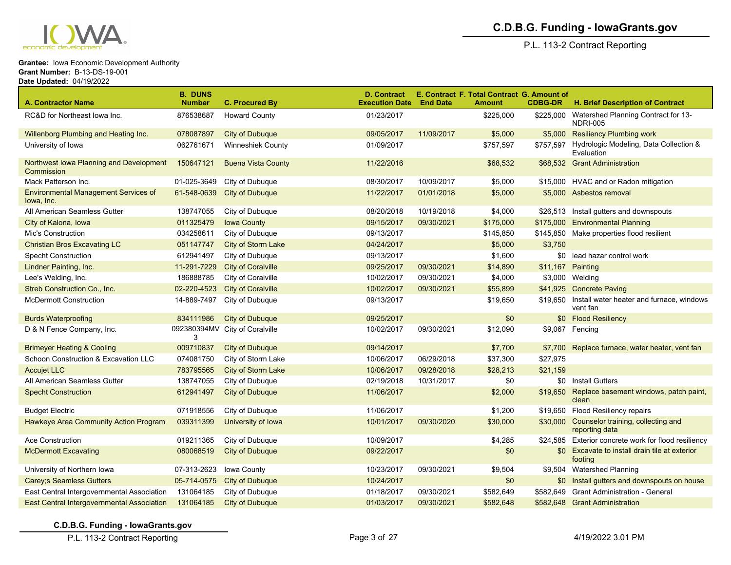# economic dev

### **Date Updated:** 04/19/2022**Grant Number:** B-13-DS-19-001**Grantee:** Iowa Economic Development Authority

P.L. 113-2 Contract Reporting

| <b>A. Contractor Name</b>                                 | <b>B. DUNS</b><br><b>Number</b> | <b>C. Procured By</b>          | <b>D. Contract</b><br><b>Execution Date</b> | <b>End Date</b> | E. Contract F. Total Contract G. Amount of<br><b>Amount</b> | <b>CDBG-DR</b>    | <b>H. Brief Description of Contract</b>                   |
|-----------------------------------------------------------|---------------------------------|--------------------------------|---------------------------------------------|-----------------|-------------------------------------------------------------|-------------------|-----------------------------------------------------------|
| RC&D for Northeast lowa Inc.                              | 876538687                       | <b>Howard County</b>           | 01/23/2017                                  |                 | \$225,000                                                   | \$225,000         | Watershed Planning Contract for 13-<br><b>NDRI-005</b>    |
| Willenborg Plumbing and Heating Inc.                      | 078087897                       | <b>City of Dubuque</b>         | 09/05/2017                                  | 11/09/2017      | \$5,000                                                     |                   | \$5,000 Resiliency Plumbing work                          |
| University of Iowa                                        | 062761671                       | <b>Winneshiek County</b>       | 01/09/2017                                  |                 | \$757,597                                                   | \$757.597         | Hydrologic Modeling, Data Collection &<br>Evaluation      |
| Northwest Iowa Planning and Development<br>Commission     | 150647121                       | <b>Buena Vista County</b>      | 11/22/2016                                  |                 | \$68,532                                                    |                   | \$68,532 Grant Administration                             |
| Mack Patterson Inc.                                       | 01-025-3649                     | City of Dubuque                | 08/30/2017                                  | 10/09/2017      | \$5,000                                                     |                   | \$15,000 HVAC and or Radon mitigation                     |
| <b>Environmental Management Services of</b><br>lowa, Inc. | 61-548-0639                     | <b>City of Dubuque</b>         | 11/22/2017                                  | 01/01/2018      | \$5,000                                                     |                   | \$5,000 Asbestos removal                                  |
| All American Seamless Gutter                              | 138747055                       | City of Dubuque                | 08/20/2018                                  | 10/19/2018      | \$4,000                                                     |                   | \$26,513 Install gutters and downspouts                   |
| City of Kalona, Iowa                                      | 011325479                       | <b>Iowa County</b>             | 09/15/2017                                  | 09/30/2021      | \$175,000                                                   |                   | \$175,000 Environmental Planning                          |
| <b>Mic's Construction</b>                                 | 034258611                       | City of Dubuque                | 09/13/2017                                  |                 | \$145,850                                                   |                   | \$145,850 Make properties flood resilient                 |
| <b>Christian Bros Excavating LC</b>                       | 051147747                       | <b>City of Storm Lake</b>      | 04/24/2017                                  |                 | \$5,000                                                     | \$3,750           |                                                           |
| <b>Specht Construction</b>                                | 612941497                       | City of Dubuque                | 09/13/2017                                  |                 | \$1,600                                                     |                   | \$0 lead hazar control work                               |
| Lindner Painting, Inc.                                    | 11-291-7229                     | <b>City of Coralville</b>      | 09/25/2017                                  | 09/30/2021      | \$14,890                                                    | \$11,167 Painting |                                                           |
| Lee's Welding, Inc.                                       | 186888785                       | City of Coralville             | 10/02/2017                                  | 09/30/2021      | \$4,000                                                     |                   | \$3,000 Welding                                           |
| Streb Construction Co., Inc.                              |                                 | 02-220-4523 City of Coralville | 10/02/2017                                  | 09/30/2021      | \$55,899                                                    |                   | \$41,925 Concrete Paving                                  |
| <b>McDermott Construction</b>                             | 14-889-7497                     | City of Dubuque                | 09/13/2017                                  |                 | \$19,650                                                    | \$19.650          | Install water heater and furnace, windows<br>vent fan     |
| <b>Burds Waterproofing</b>                                | 834111986                       | City of Dubuque                | 09/25/2017                                  |                 | \$0                                                         |                   | \$0 Flood Resiliency                                      |
| D & N Fence Company, Inc.                                 | 3                               | 092380394MV City of Coralville | 10/02/2017                                  | 09/30/2021      | \$12,090                                                    |                   | \$9,067 Fencing                                           |
| <b>Brimeyer Heating &amp; Cooling</b>                     | 009710837                       | <b>City of Dubuque</b>         | 09/14/2017                                  |                 | \$7,700                                                     |                   | \$7,700 Replace furnace, water heater, vent fan           |
| Schoon Construction & Excavation LLC                      | 074081750                       | City of Storm Lake             | 10/06/2017                                  | 06/29/2018      | \$37,300                                                    | \$27,975          |                                                           |
| <b>Accujet LLC</b>                                        | 783795565                       | City of Storm Lake             | 10/06/2017                                  | 09/28/2018      | \$28,213                                                    | \$21,159          |                                                           |
| All American Seamless Gutter                              | 138747055                       | City of Dubuque                | 02/19/2018                                  | 10/31/2017      | \$0                                                         | \$0               | <b>Install Gutters</b>                                    |
| <b>Specht Construction</b>                                | 612941497                       | <b>City of Dubuque</b>         | 11/06/2017                                  |                 | \$2,000                                                     | \$19,650          | Replace basement windows, patch paint,<br>clean           |
| <b>Budget Electric</b>                                    | 071918556                       | City of Dubuque                | 11/06/2017                                  |                 | \$1,200                                                     |                   | \$19,650 Flood Resiliency repairs                         |
| <b>Hawkeye Area Community Action Program</b>              | 039311399                       | University of Iowa             | 10/01/2017                                  | 09/30/2020      | \$30,000                                                    | \$30,000          | Counselor training, collecting and<br>reporting data      |
| <b>Ace Construction</b>                                   | 019211365                       | City of Dubuque                | 10/09/2017                                  |                 | \$4,285                                                     |                   | \$24,585 Exterior concrete work for flood resiliency      |
| <b>McDermott Excavating</b>                               | 080068519                       | City of Dubuque                | 09/22/2017                                  |                 | \$0                                                         |                   | \$0 Excavate to install drain tile at exterior<br>footing |
| University of Northern Iowa                               | 07-313-2623                     | <b>Iowa County</b>             | 10/23/2017                                  | 09/30/2021      | \$9,504                                                     |                   | \$9,504 Watershed Planning                                |
| <b>Carey; Seamless Gutters</b>                            | 05-714-0575                     | City of Dubuque                | 10/24/2017                                  |                 | \$0                                                         | \$0               | Install gutters and downspouts on house                   |
| East Central Intergovernmental Association                | 131064185                       | City of Dubuque                | 01/18/2017                                  | 09/30/2021      | \$582,649                                                   | \$582,649         | <b>Grant Administration - General</b>                     |
| East Central Intergovernmental Association                | 131064185                       | <b>City of Dubuque</b>         | 01/03/2017                                  | 09/30/2021      | \$582,648                                                   |                   | \$582.648 Grant Administration                            |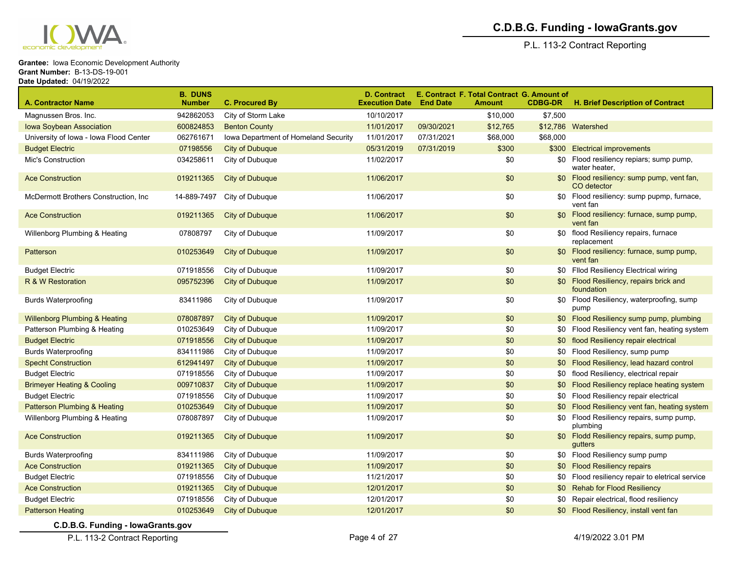## **C.D.B.G. Funding - IowaGrants.gov**

P.L. 113-2 Contract Reporting

### **Date Updated:** 04/19/2022**Grant Number:** B-13-DS-19-001**Grantee:** Iowa Economic Development Authority

| <b>A. Contractor Name</b>                | <b>B. DUNS</b><br><b>Number</b> | <b>C. Procured By</b>                | <b>D. Contract</b><br><b>Execution Date</b> | <b>End Date</b> | E. Contract F. Total Contract G. Amount of<br><b>Amount</b> | <b>CDBG-DR</b> | <b>H. Brief Description of Contract</b>                   |
|------------------------------------------|---------------------------------|--------------------------------------|---------------------------------------------|-----------------|-------------------------------------------------------------|----------------|-----------------------------------------------------------|
| Magnussen Bros. Inc.                     | 942862053                       | City of Storm Lake                   | 10/10/2017                                  |                 | \$10,000                                                    | \$7,500        |                                                           |
| <b>Iowa Soybean Association</b>          | 600824853                       | <b>Benton County</b>                 | 11/01/2017                                  | 09/30/2021      | \$12,765                                                    |                | \$12,786 Watershed                                        |
| University of Iowa - Iowa Flood Center   | 062761671                       | Iowa Department of Homeland Security | 11/01/2017                                  | 07/31/2021      | \$68,000                                                    | \$68,000       |                                                           |
| <b>Budget Electric</b>                   | 07198556                        | <b>City of Dubuque</b>               | 05/31/2019                                  | 07/31/2019      | \$300                                                       |                | \$300 Electrical improvements                             |
| Mic's Construction                       | 034258611                       | City of Dubuque                      | 11/02/2017                                  |                 | \$0                                                         |                | \$0 Flood resiliency repiars; sump pump,<br>water heater, |
| <b>Ace Construction</b>                  | 019211365                       | <b>City of Dubuque</b>               | 11/06/2017                                  |                 | \$0                                                         |                | \$0 Flood resiliency: sump pump, vent fan,<br>CO detector |
| McDermott Brothers Construction, Inc.    | 14-889-7497                     | City of Dubuque                      | 11/06/2017                                  |                 | \$0                                                         |                | \$0 Flood resiliency: sump pupmp, furnace,<br>vent fan    |
| <b>Ace Construction</b>                  | 019211365                       | <b>City of Dubuque</b>               | 11/06/2017                                  |                 | \$0                                                         |                | \$0 Flood resiliency: furnace, sump pump,<br>vent fan     |
| Willenborg Plumbing & Heating            | 07808797                        | City of Dubuque                      | 11/09/2017                                  |                 | \$0                                                         |                | \$0 flood Resiliency repairs, furnace<br>replacement      |
| Patterson                                | 010253649                       | City of Dubuque                      | 11/09/2017                                  |                 | \$0                                                         |                | \$0 Flood resiliency: furnace, sump pump,<br>vent fan     |
| <b>Budget Electric</b>                   | 071918556                       | City of Dubuque                      | 11/09/2017                                  |                 | \$0                                                         |                | \$0 Fllod Resiliency Electrical wiring                    |
| R & W Restoration                        | 095752396                       | City of Dubuque                      | 11/09/2017                                  |                 | \$0                                                         |                | \$0 Flood Resiliency, repairs brick and<br>foundation     |
| <b>Burds Waterproofing</b>               | 83411986                        | City of Dubuque                      | 11/09/2017                                  |                 | \$0                                                         |                | \$0 Flood Resiliency, waterproofing, sump<br>pump         |
| <b>Willenborg Plumbing &amp; Heating</b> | 078087897                       | <b>City of Dubuque</b>               | 11/09/2017                                  |                 | \$0                                                         |                | \$0 Flood Resiliency sump pump, plumbing                  |
| Patterson Plumbing & Heating             | 010253649                       | City of Dubuque                      | 11/09/2017                                  |                 | \$0                                                         | \$0            | Flood Resiliency vent fan, heating system                 |
| <b>Budget Electric</b>                   | 071918556                       | City of Dubuque                      | 11/09/2017                                  |                 | \$0                                                         |                | \$0 flood Resiliency repair electrical                    |
| <b>Burds Waterproofing</b>               | 834111986                       | City of Dubuque                      | 11/09/2017                                  |                 | \$0                                                         | \$0            | Flood Resiliency, sump pump                               |
| <b>Specht Construction</b>               | 612941497                       | City of Dubuque                      | 11/09/2017                                  |                 | \$0                                                         |                | \$0 Flood Resiliency, lead hazard control                 |
| <b>Budget Electric</b>                   | 071918556                       | City of Dubuque                      | 11/09/2017                                  |                 | \$0                                                         | \$0            | flood Resiliency, electrical repair                       |
| <b>Brimeyer Heating &amp; Cooling</b>    | 009710837                       | <b>City of Dubuque</b>               | 11/09/2017                                  |                 | \$0                                                         |                | \$0 Flood Resiliency replace heating system               |
| <b>Budget Electric</b>                   | 071918556                       | City of Dubuque                      | 11/09/2017                                  |                 | \$0                                                         |                | \$0 Flood Resiliency repair electrical                    |
| Patterson Plumbing & Heating             | 010253649                       | <b>City of Dubuque</b>               | 11/09/2017                                  |                 | \$0                                                         |                | \$0 Flood Resiliency vent fan, heating system             |
| Willenborg Plumbing & Heating            | 078087897                       | City of Dubuque                      | 11/09/2017                                  |                 | \$0                                                         | \$0            | Flood Resiliency repairs, sump pump,<br>plumbing          |
| <b>Ace Construction</b>                  | 019211365                       | City of Dubuque                      | 11/09/2017                                  |                 | \$0                                                         |                | \$0 Flodd Resiliency repairs, sump pump,<br>gutters       |
| <b>Burds Waterproofing</b>               | 834111986                       | City of Dubuque                      | 11/09/2017                                  |                 | \$0                                                         |                | \$0 Flood Resiliency sump pump                            |
| <b>Ace Construction</b>                  | 019211365                       | <b>City of Dubuque</b>               | 11/09/2017                                  |                 | \$0                                                         |                | \$0 Flood Resiliency repairs                              |
| <b>Budget Electric</b>                   | 071918556                       | City of Dubuque                      | 11/21/2017                                  |                 | \$0                                                         | \$0            | Flood resiliency repair to eletrical service              |
| <b>Ace Construction</b>                  | 019211365                       | <b>City of Dubuque</b>               | 12/01/2017                                  |                 | \$0                                                         |                | \$0 Rehab for Flood Resiliency                            |
| <b>Budget Electric</b>                   | 071918556                       | City of Dubuque                      | 12/01/2017                                  |                 | \$0                                                         | \$0            | Repair electrical, flood resiliency                       |
| <b>Patterson Heating</b>                 | 010253649                       | <b>City of Dubuque</b>               | 12/01/2017                                  |                 | \$0                                                         |                | \$0 Flood Resiliency, install vent fan                    |
|                                          |                                 |                                      |                                             |                 |                                                             |                |                                                           |

## **C.D.B.G. Funding - IowaGrants.gov**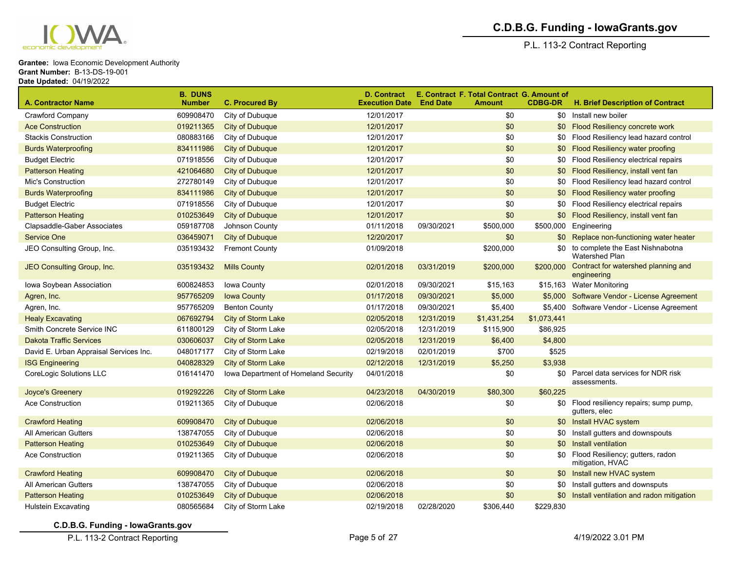

P.L. 113-2 Contract Reporting

**Date Updated:** 04/19/2022**Grant Number:** B-13-DS-19-001**Grantee:** Iowa Economic Development Authority

| <b>A. Contractor Name</b>              | <b>B. DUNS</b><br><b>Number</b> | <b>C. Procured By</b>                | <b>D. Contract</b><br><b>Execution Date</b> | <b>End Date</b> | E. Contract F. Total Contract G. Amount of<br><b>Amount</b> | <b>CDBG-DR</b> | <b>H. Brief Description of Contract</b>               |
|----------------------------------------|---------------------------------|--------------------------------------|---------------------------------------------|-----------------|-------------------------------------------------------------|----------------|-------------------------------------------------------|
| <b>Crawford Company</b>                | 609908470                       | City of Dubuque                      | 12/01/2017                                  |                 | \$0                                                         |                | \$0 Install new boiler                                |
| <b>Ace Construction</b>                | 019211365                       | City of Dubuque                      | 12/01/2017                                  |                 | \$0                                                         |                | \$0 Flood Resiliency concrete work                    |
| <b>Stackis Construction</b>            | 080883166                       | City of Dubuque                      | 12/01/2017                                  |                 | \$0                                                         |                | \$0 Flood Resiliency lead hazard control              |
| <b>Burds Waterproofing</b>             | 834111986                       | <b>City of Dubuque</b>               | 12/01/2017                                  |                 | \$0                                                         |                | \$0 Flood Resiliency water proofing                   |
| <b>Budget Electric</b>                 | 071918556                       | City of Dubuque                      | 12/01/2017                                  |                 | \$0                                                         | \$0            | Flood Resiliency electrical repairs                   |
| <b>Patterson Heating</b>               | 421064680                       | <b>City of Dubuque</b>               | 12/01/2017                                  |                 | \$0                                                         | \$0            | Flood Resiliency, install vent fan                    |
| Mic's Construction                     | 272780149                       | City of Dubuque                      | 12/01/2017                                  |                 | \$0                                                         | \$0            | Flood Resiliency lead hazard control                  |
| <b>Burds Waterproofing</b>             | 834111986                       | <b>City of Dubuque</b>               | 12/01/2017                                  |                 | \$0                                                         | \$0            | <b>Flood Resiliency water proofing</b>                |
| <b>Budget Electric</b>                 | 071918556                       | City of Dubuque                      | 12/01/2017                                  |                 | \$0                                                         | \$0            | Flood Resiliency electrical repairs                   |
| <b>Patterson Heating</b>               | 010253649                       | <b>City of Dubuque</b>               | 12/01/2017                                  |                 | \$0                                                         | \$0            | Flood Resiliency, install vent fan                    |
| <b>Clapsaddle-Gaber Associates</b>     | 059187708                       | Johnson County                       | 01/11/2018                                  | 09/30/2021      | \$500,000                                                   | \$500,000      | Engineering                                           |
| <b>Service One</b>                     | 036459071                       | City of Dubuque                      | 12/20/2017                                  |                 | \$0                                                         | \$0            | Replace non-functioning water heater                  |
| JEO Consulting Group, Inc.             | 035193432                       | <b>Fremont County</b>                | 01/09/2018                                  |                 | \$200,000                                                   | \$0            | to complete the East Nishnabotna<br>Watershed Plan    |
| JEO Consulting Group, Inc.             | 035193432                       | <b>Mills County</b>                  | 02/01/2018                                  | 03/31/2019      | \$200,000                                                   | \$200,000      | Contract for watershed planning and<br>engineering    |
| Iowa Soybean Association               | 600824853                       | Iowa County                          | 02/01/2018                                  | 09/30/2021      | \$15,163                                                    |                | \$15,163 Water Monitoring                             |
| Agren, Inc.                            | 957765209                       | <b>Iowa County</b>                   | 01/17/2018                                  | 09/30/2021      | \$5,000                                                     | \$5,000        | Software Vendor - License Agreement                   |
| Agren, Inc.                            | 957765209                       | <b>Benton County</b>                 | 01/17/2018                                  | 09/30/2021      | \$5,400                                                     |                | \$5,400 Software Vendor - License Agreement           |
| <b>Healy Excavating</b>                | 067692794                       | <b>City of Storm Lake</b>            | 02/05/2018                                  | 12/31/2019      | \$1,431,254                                                 | \$1,073,441    |                                                       |
| Smith Concrete Service INC             | 611800129                       | City of Storm Lake                   | 02/05/2018                                  | 12/31/2019      | \$115,900                                                   | \$86,925       |                                                       |
| <b>Dakota Traffic Services</b>         | 030606037                       | <b>City of Storm Lake</b>            | 02/05/2018                                  | 12/31/2019      | \$6,400                                                     | \$4,800        |                                                       |
| David E. Urban Appraisal Services Inc. | 048017177                       | City of Storm Lake                   | 02/19/2018                                  | 02/01/2019      | \$700                                                       | \$525          |                                                       |
| <b>ISG Engineering</b>                 | 040828329                       | <b>City of Storm Lake</b>            | 02/12/2018                                  | 12/31/2019      | \$5,250                                                     | \$3,938        |                                                       |
| <b>CoreLogic Solutions LLC</b>         | 016141470                       | lowa Department of Homeland Security | 04/01/2018                                  |                 | \$0                                                         | \$0            | Parcel data services for NDR risk<br>assessments.     |
| Joyce's Greenery                       | 019292226                       | <b>City of Storm Lake</b>            | 04/23/2018                                  | 04/30/2019      | \$80,300                                                    | \$60.225       |                                                       |
| <b>Ace Construction</b>                | 019211365                       | City of Dubuque                      | 02/06/2018                                  |                 | \$0                                                         | \$0            | Flood resiliency repairs; sump pump,<br>gutters, elec |
| <b>Crawford Heating</b>                | 609908470                       | <b>City of Dubuque</b>               | 02/06/2018                                  |                 | \$0                                                         |                | \$0 Install HVAC system                               |
| All American Gutters                   | 138747055                       | City of Dubuque                      | 02/06/2018                                  |                 | \$0                                                         | \$0            | Install gutters and downspouts                        |
| <b>Patterson Heating</b>               | 010253649                       | <b>City of Dubuque</b>               | 02/06/2018                                  |                 | \$0                                                         | \$0            | <b>Install ventilation</b>                            |
| <b>Ace Construction</b>                | 019211365                       | City of Dubuque                      | 02/06/2018                                  |                 | \$0                                                         | \$0            | Flood Resiliency; gutters, radon<br>mitigation, HVAC  |
| <b>Crawford Heating</b>                | 609908470                       | <b>City of Dubuque</b>               | 02/06/2018                                  |                 | \$0                                                         | \$0            | Install new HVAC system                               |
| All American Gutters                   | 138747055                       | City of Dubuque                      | 02/06/2018                                  |                 | \$0                                                         | \$0            | Install gutters and downsputs                         |
| <b>Patterson Heating</b>               | 010253649                       | <b>City of Dubuque</b>               | 02/06/2018                                  |                 | \$0                                                         | \$0            | Install ventilation and radon mitigation              |
| Hulstein Excavating                    | 080565684                       | City of Storm Lake                   | 02/19/2018                                  | 02/28/2020      | \$306.440                                                   | \$229,830      |                                                       |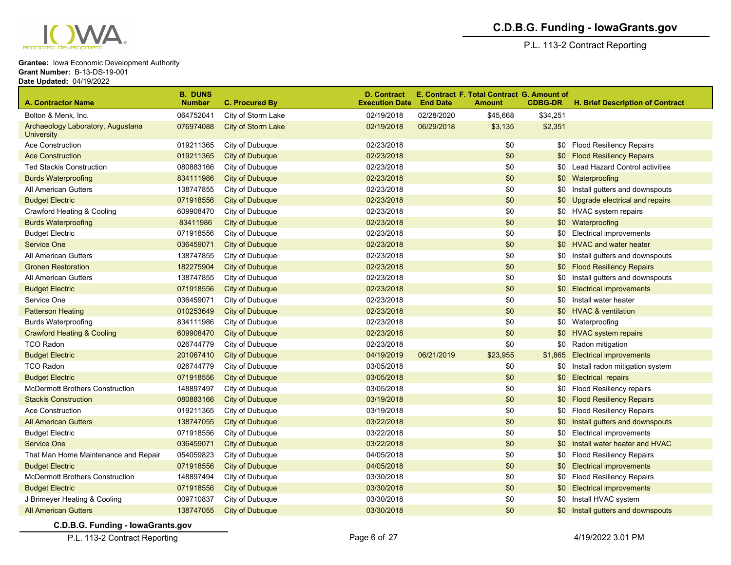# economic dev

## **C.D.B.G. Funding - IowaGrants.gov**

P.L. 113-2 Contract Reporting

### **Date Updated:** 04/19/2022**Grant Number:** B-13-DS-19-001**Grantee:** Iowa Economic Development Authority

| <b>A. Contractor Name</b>                              | <b>B. DUNS</b><br><b>Number</b> | <b>C. Procured By</b>     | <b>D. Contract</b><br><b>Execution Date</b> | <b>End Date</b> | E. Contract F. Total Contract G. Amount of<br><b>Amount</b> | <b>CDBG-DR</b> | <b>H. Brief Description of Contract</b> |
|--------------------------------------------------------|---------------------------------|---------------------------|---------------------------------------------|-----------------|-------------------------------------------------------------|----------------|-----------------------------------------|
| Bolton & Menk, Inc.                                    | 064752041                       | City of Storm Lake        | 02/19/2018                                  | 02/28/2020      | \$45,668                                                    | \$34,251       |                                         |
| Archaeology Laboratory, Augustana<br><b>University</b> | 076974088                       | <b>City of Storm Lake</b> | 02/19/2018                                  | 06/29/2018      | \$3,135                                                     | \$2,351        |                                         |
| <b>Ace Construction</b>                                | 019211365                       | City of Dubuque           | 02/23/2018                                  |                 | \$0                                                         |                | \$0 Flood Resiliency Repairs            |
| <b>Ace Construction</b>                                | 019211365                       | <b>City of Dubuque</b>    | 02/23/2018                                  |                 | \$0                                                         |                | \$0 Flood Resiliency Repairs            |
| <b>Ted Stackis Construction</b>                        | 080883166                       | City of Dubuque           | 02/23/2018                                  |                 | \$0                                                         | \$0            | Lead Hazard Control activities          |
| <b>Burds Waterproofing</b>                             | 834111986                       | <b>City of Dubuque</b>    | 02/23/2018                                  |                 | \$0                                                         |                | \$0 Waterproofing                       |
| All American Gutters                                   | 138747855                       | City of Dubuque           | 02/23/2018                                  |                 | \$0                                                         | \$0            | Install gutters and downspouts          |
| <b>Budget Electric</b>                                 | 071918556                       | City of Dubuque           | 02/23/2018                                  |                 | \$0                                                         | \$0            | Upgrade electrical and repairs          |
| Crawford Heating & Cooling                             | 609908470                       | City of Dubuque           | 02/23/2018                                  |                 | \$0                                                         | \$0            | HVAC system repairs                     |
| <b>Burds Waterproofing</b>                             | 83411986                        | <b>City of Dubuque</b>    | 02/23/2018                                  |                 | \$0                                                         |                | \$0 Waterproofing                       |
| <b>Budget Electric</b>                                 | 071918556                       | City of Dubuque           | 02/23/2018                                  |                 | \$0                                                         | \$0            | Electrical improvements                 |
| <b>Service One</b>                                     | 036459071                       | <b>City of Dubuque</b>    | 02/23/2018                                  |                 | \$0                                                         | \$0            | <b>HVAC and water heater</b>            |
| All American Gutters                                   | 138747855                       | City of Dubuque           | 02/23/2018                                  |                 | \$0                                                         | \$0            | Install gutters and downspouts          |
| <b>Gronen Restoration</b>                              | 182275904                       | City of Dubuque           | 02/23/2018                                  |                 | \$0                                                         | \$0            | <b>Flood Resiliency Repairs</b>         |
| All American Gutters                                   | 138747855                       | City of Dubuque           | 02/23/2018                                  |                 | \$0                                                         | \$0            | Install gutters and downspouts          |
| <b>Budget Electric</b>                                 | 071918556                       | <b>City of Dubuque</b>    | 02/23/2018                                  |                 | \$0                                                         | \$0            | <b>Electrical improvements</b>          |
| Service One                                            | 036459071                       | City of Dubuque           | 02/23/2018                                  |                 | \$0                                                         | \$0            | Install water heater                    |
| <b>Patterson Heating</b>                               | 010253649                       | <b>City of Dubuque</b>    | 02/23/2018                                  |                 | \$0                                                         |                | \$0 HVAC & ventilation                  |
| <b>Burds Waterproofing</b>                             | 834111986                       | City of Dubuque           | 02/23/2018                                  |                 | \$0                                                         |                | \$0 Waterproofing                       |
| <b>Crawford Heating &amp; Cooling</b>                  | 609908470                       | <b>City of Dubuque</b>    | 02/23/2018                                  |                 | \$0                                                         |                | \$0 HVAC system repairs                 |
| <b>TCO Radon</b>                                       | 026744779                       | City of Dubuque           | 02/23/2018                                  |                 | \$0                                                         | \$0            | Radon mitigation                        |
| <b>Budget Electric</b>                                 | 201067410                       | <b>City of Dubuque</b>    | 04/19/2019                                  | 06/21/2019      | \$23,955                                                    |                | \$1,865 Electrical improvements         |
| <b>TCO Radon</b>                                       | 026744779                       | City of Dubuque           | 03/05/2018                                  |                 | \$0                                                         | \$0            | Install radon mitigation system         |
| <b>Budget Electric</b>                                 | 071918556                       | <b>City of Dubuque</b>    | 03/05/2018                                  |                 | \$0                                                         | \$0            | <b>Electrical repairs</b>               |
| <b>McDermott Brothers Construction</b>                 | 148897497                       | City of Dubuque           | 03/05/2018                                  |                 | \$0                                                         | \$0            | <b>Flood Resiliency repairs</b>         |
| <b>Stackis Construction</b>                            | 080883166                       | <b>City of Dubuque</b>    | 03/19/2018                                  |                 | \$0                                                         | \$0            | <b>Flood Resiliency Repairs</b>         |
| <b>Ace Construction</b>                                | 019211365                       | City of Dubuque           | 03/19/2018                                  |                 | \$0                                                         | \$0            | <b>Flood Resiliency Repairs</b>         |
| <b>All American Gutters</b>                            | 138747055                       | <b>City of Dubuque</b>    | 03/22/2018                                  |                 | \$0                                                         | \$0            | Install gutters and downspouts          |
| <b>Budget Electric</b>                                 | 071918556                       | City of Dubuque           | 03/22/2018                                  |                 | \$0                                                         | \$0            | <b>Electrical improvements</b>          |
| <b>Service One</b>                                     | 036459071                       | <b>City of Dubuque</b>    | 03/22/2018                                  |                 | \$0                                                         | \$0            | Install water heater and HVAC           |
| That Man Home Maintenance and Repair                   | 054059823                       | City of Dubuque           | 04/05/2018                                  |                 | \$0                                                         | \$0            | <b>Flood Resiliency Repairs</b>         |
| <b>Budget Electric</b>                                 | 071918556                       | City of Dubuque           | 04/05/2018                                  |                 | \$0                                                         | \$0            | <b>Electrical improvements</b>          |
| <b>McDermott Brothers Construction</b>                 | 148897494                       | City of Dubuque           | 03/30/2018                                  |                 | \$0                                                         | \$0            | <b>Flood Resiliency Repairs</b>         |
| <b>Budget Electric</b>                                 | 071918556                       | City of Dubuque           | 03/30/2018                                  |                 | \$0                                                         | \$0            | <b>Electrical improvements</b>          |
| J Brimeyer Heating & Cooling                           | 009710837                       | City of Dubuque           | 03/30/2018                                  |                 | \$0                                                         | \$0            | Install HVAC system                     |
| All American Gutters                                   | 138747055                       | <b>City of Dubuque</b>    | 03/30/2018                                  |                 | \$0                                                         |                | \$0 Install gutters and downspouts      |
|                                                        |                                 |                           |                                             |                 |                                                             |                |                                         |

### **C.D.B.G. Funding - IowaGrants.gov**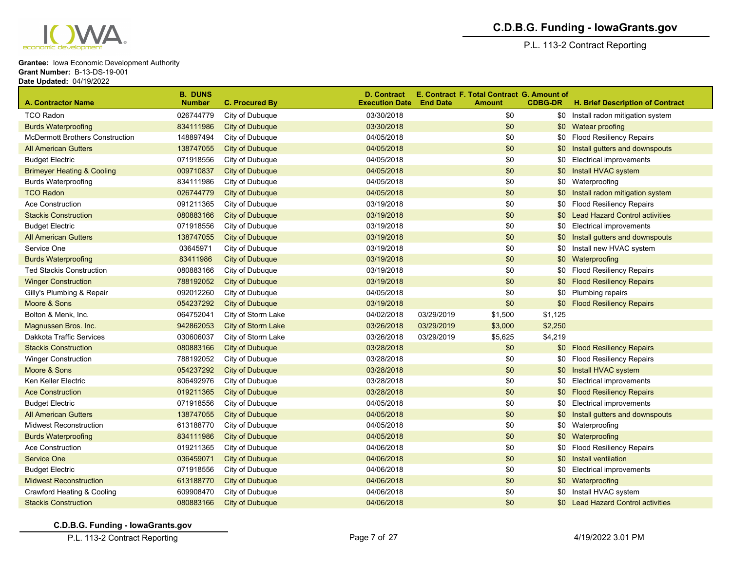

P.L. 113-2 Contract Reporting

**Date Updated:** 04/19/2022**Grant Number:** B-13-DS-19-001**Grantee:** Iowa Economic Development Authority

|                                        | <b>B. DUNS</b> |                           | <b>D. Contract</b>    |                 | E. Contract F. Total Contract G. Amount of |                |                                         |
|----------------------------------------|----------------|---------------------------|-----------------------|-----------------|--------------------------------------------|----------------|-----------------------------------------|
| <b>A. Contractor Name</b>              | <b>Number</b>  | <b>C. Procured By</b>     | <b>Execution Date</b> | <b>End Date</b> | <b>Amount</b>                              | <b>CDBG-DR</b> | <b>H. Brief Description of Contract</b> |
| <b>TCO Radon</b>                       | 026744779      | City of Dubuque           | 03/30/2018            |                 | \$0                                        |                | \$0 Install radon mitigation system     |
| <b>Burds Waterproofing</b>             | 834111986      | <b>City of Dubuque</b>    | 03/30/2018            |                 | \$0                                        |                | \$0 Watear proofing                     |
| <b>McDermott Brothers Construction</b> | 148897494      | City of Dubuque           | 04/05/2018            |                 | \$0                                        |                | \$0 Flood Resiliency Repairs            |
| <b>All American Gutters</b>            | 138747055      | City of Dubuque           | 04/05/2018            |                 | \$0                                        |                | \$0 Install gutters and downspouts      |
| <b>Budget Electric</b>                 | 071918556      | City of Dubuque           | 04/05/2018            |                 | \$0                                        |                | \$0 Electrical improvements             |
| <b>Brimeyer Heating &amp; Cooling</b>  | 009710837      | <b>City of Dubuque</b>    | 04/05/2018            |                 | \$0                                        |                | \$0 Install HVAC system                 |
| <b>Burds Waterproofing</b>             | 834111986      | City of Dubuque           | 04/05/2018            |                 | \$0                                        |                | \$0 Waterproofing                       |
| <b>TCO Radon</b>                       | 026744779      | <b>City of Dubuque</b>    | 04/05/2018            |                 | \$0                                        |                | \$0 Install radon mitigation system     |
| <b>Ace Construction</b>                | 091211365      | City of Dubuque           | 03/19/2018            |                 | \$0                                        |                | \$0 Flood Resiliency Repairs            |
| <b>Stackis Construction</b>            | 080883166      | <b>City of Dubuque</b>    | 03/19/2018            |                 | \$0                                        |                | \$0 Lead Hazard Control activities      |
| <b>Budget Electric</b>                 | 071918556      | City of Dubuque           | 03/19/2018            |                 | \$0                                        |                | \$0 Electrical improvements             |
| <b>All American Gutters</b>            | 138747055      | <b>City of Dubuque</b>    | 03/19/2018            |                 | \$0                                        |                | \$0 Install gutters and downspouts      |
| Service One                            | 03645971       | City of Dubuque           | 03/19/2018            |                 | \$0                                        |                | \$0 Install new HVAC system             |
| <b>Burds Waterproofing</b>             | 83411986       | <b>City of Dubuque</b>    | 03/19/2018            |                 | \$0                                        |                | \$0 Waterproofing                       |
| <b>Ted Stackis Construction</b>        | 080883166      | City of Dubuque           | 03/19/2018            |                 | \$0                                        | \$0            | <b>Flood Resiliency Repairs</b>         |
| <b>Winger Construction</b>             | 788192052      | <b>City of Dubuque</b>    | 03/19/2018            |                 | \$0                                        | \$0            | <b>Flood Resiliency Repairs</b>         |
| Gilly's Plumbing & Repair              | 092012260      | City of Dubuque           | 04/05/2018            |                 | \$0                                        | \$0            | Plumbing repairs                        |
| Moore & Sons                           | 054237292      | <b>City of Dubuque</b>    | 03/19/2018            |                 | \$0                                        | \$0            | <b>Flood Resiliency Repairs</b>         |
| Bolton & Menk. Inc.                    | 064752041      | City of Storm Lake        | 04/02/2018            | 03/29/2019      | \$1,500                                    | \$1,125        |                                         |
| Magnussen Bros. Inc.                   | 942862053      | <b>City of Storm Lake</b> | 03/26/2018            | 03/29/2019      | \$3,000                                    | \$2,250        |                                         |
| Dakkota Traffic Services               | 030606037      | City of Storm Lake        | 03/26/2018            | 03/29/2019      | \$5,625                                    | \$4,219        |                                         |
| <b>Stackis Construction</b>            | 080883166      | <b>City of Dubuque</b>    | 03/28/2018            |                 | \$0                                        |                | \$0 Flood Resiliency Repairs            |
| <b>Winger Construction</b>             | 788192052      | City of Dubuque           | 03/28/2018            |                 | \$0                                        | \$0            | <b>Flood Resiliency Repairs</b>         |
| Moore & Sons                           | 054237292      | <b>City of Dubuque</b>    | 03/28/2018            |                 | \$0                                        | \$0            | Install HVAC system                     |
| Ken Keller Electric                    | 806492976      | City of Dubuque           | 03/28/2018            |                 | \$0                                        | \$0            | <b>Electrical improvements</b>          |
| <b>Ace Construction</b>                | 019211365      | <b>City of Dubuque</b>    | 03/28/2018            |                 | \$0                                        | \$0            | <b>Flood Resiliency Repairs</b>         |
| <b>Budget Electric</b>                 | 071918556      | City of Dubuque           | 04/05/2018            |                 | \$0                                        | \$0            | <b>Electrical improvements</b>          |
| <b>All American Gutters</b>            | 138747055      | <b>City of Dubuque</b>    | 04/05/2018            |                 | \$0                                        | \$0            | Install gutters and downspouts          |
| <b>Midwest Reconstruction</b>          | 613188770      | City of Dubuque           | 04/05/2018            |                 | \$0                                        | \$0            | Waterproofing                           |
| <b>Burds Waterproofing</b>             | 834111986      | <b>City of Dubuque</b>    | 04/05/2018            |                 | \$0                                        | \$0            | Waterproofing                           |
| <b>Ace Construction</b>                | 019211365      | City of Dubuque           | 04/06/2018            |                 | \$0                                        | \$0            | <b>Flood Resiliency Repairs</b>         |
| <b>Service One</b>                     | 036459071      | <b>City of Dubuque</b>    | 04/06/2018            |                 | \$0                                        | \$0            | Install ventilation                     |
| <b>Budget Electric</b>                 | 071918556      | City of Dubuque           | 04/06/2018            |                 | \$0                                        | \$0            | Electrical improvements                 |
| <b>Midwest Reconstruction</b>          | 613188770      | <b>City of Dubuque</b>    | 04/06/2018            |                 | \$0                                        | \$0            | Waterproofing                           |
| Crawford Heating & Cooling             | 609908470      | City of Dubuque           | 04/06/2018            |                 | \$0                                        | \$0            | Install HVAC system                     |
| <b>Stackis Construction</b>            | 080883166      | <b>City of Dubuque</b>    | 04/06/2018            |                 | \$0                                        |                | \$0 Lead Hazard Control activities      |
|                                        |                |                           |                       |                 |                                            |                |                                         |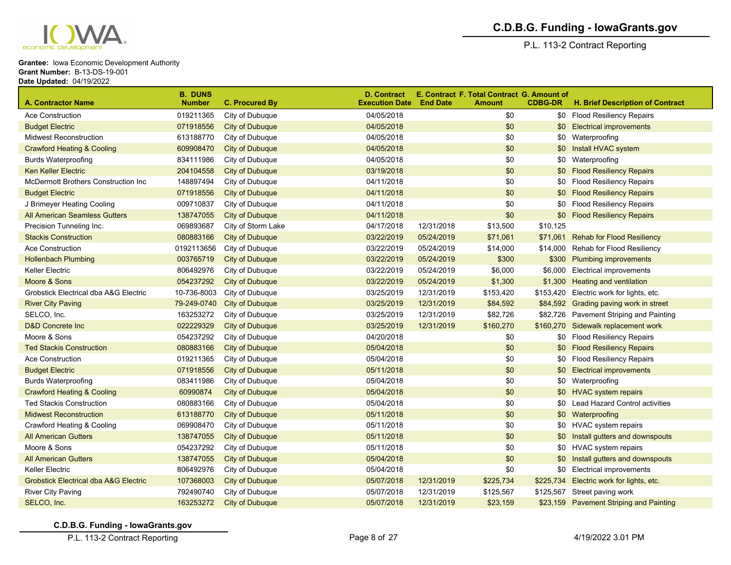

P.L. 113-2 Contract Reporting

**Date Updated:** 04/19/2022**Grant Number:** B-13-DS-19-001**Grantee:** Iowa Economic Development Authority

| <b>A. Contractor Name</b>                        | <b>B. DUNS</b><br><b>Number</b> |                        | <b>D. Contract</b><br><b>Execution Date</b> | <b>End Date</b> | E. Contract F. Total Contract G. Amount of<br><b>Amount</b> | <b>CDBG-DR</b> |                                          |
|--------------------------------------------------|---------------------------------|------------------------|---------------------------------------------|-----------------|-------------------------------------------------------------|----------------|------------------------------------------|
|                                                  |                                 | <b>C. Procured By</b>  |                                             |                 |                                                             |                | <b>H. Brief Description of Contract</b>  |
| <b>Ace Construction</b>                          | 019211365                       | City of Dubuque        | 04/05/2018                                  |                 | \$0                                                         |                | \$0 Flood Resiliency Repairs             |
| <b>Budget Electric</b>                           | 071918556                       | <b>City of Dubuque</b> | 04/05/2018                                  |                 | \$0                                                         |                | \$0 Electrical improvements              |
| <b>Midwest Reconstruction</b>                    | 613188770                       | City of Dubuque        | 04/05/2018                                  |                 | \$0                                                         |                | \$0 Waterproofing                        |
| <b>Crawford Heating &amp; Cooling</b>            | 609908470                       | <b>City of Dubuque</b> | 04/05/2018                                  |                 | \$0                                                         | \$0            | Install HVAC system                      |
| <b>Burds Waterproofing</b>                       | 834111986                       | City of Dubuque        | 04/05/2018                                  |                 | \$0                                                         |                | \$0 Waterproofing                        |
| <b>Ken Keller Electric</b>                       | 204104558                       | <b>City of Dubuque</b> | 03/19/2018                                  |                 | \$0                                                         |                | \$0 Flood Resiliency Repairs             |
| <b>McDermott Brothers Construction Inc.</b>      | 148897494                       | City of Dubuque        | 04/11/2018                                  |                 | \$0                                                         | \$0            | <b>Flood Resiliency Repairs</b>          |
| <b>Budget Electric</b>                           | 071918556                       | <b>City of Dubuque</b> | 04/11/2018                                  |                 | \$0                                                         | \$0            | <b>Flood Resiliency Repairs</b>          |
| J Brimeyer Heating Cooling                       | 009710837                       | City of Dubuque        | 04/11/2018                                  |                 | \$0                                                         | \$0            | <b>Flood Resiliency Repairs</b>          |
| <b>All American Seamless Gutters</b>             | 138747055                       | <b>City of Dubuque</b> | 04/11/2018                                  |                 | \$0                                                         | \$0            | <b>Flood Resiliency Repairs</b>          |
| Precision Tunneling Inc.                         | 069893687                       | City of Storm Lake     | 04/17/2018                                  | 12/31/2018      | \$13,500                                                    | \$10,125       |                                          |
| <b>Stackis Construction</b>                      | 080883166                       | <b>City of Dubuque</b> | 03/22/2019                                  | 05/24/2019      | \$71,061                                                    | \$71,061       | <b>Rehab for Flood Resiliency</b>        |
| <b>Ace Construction</b>                          | 0192113656                      | City of Dubuque        | 03/22/2019                                  | 05/24/2019      | \$14,000                                                    |                | \$14,000 Rehab for Flood Resiliency      |
| <b>Hollenbach Plumbing</b>                       | 003765719                       | <b>City of Dubuque</b> | 03/22/2019                                  | 05/24/2019      | \$300                                                       |                | \$300 Plumbing improvements              |
| <b>Keller Electric</b>                           | 806492976                       | City of Dubuque        | 03/22/2019                                  | 05/24/2019      | \$6,000                                                     |                | \$6,000 Electrical improvements          |
| Moore & Sons                                     | 054237292                       | <b>City of Dubuque</b> | 03/22/2019                                  | 05/24/2019      | \$1,300                                                     |                | \$1,300 Heating and ventilation          |
| <b>Grobstick Electrical dba A&amp;G Electric</b> | 10-736-8003                     | City of Dubuque        | 03/25/2019                                  | 12/31/2019      | \$153,420                                                   |                | \$153,420 Electric work for lights, etc. |
| <b>River City Paving</b>                         | 79-249-0740                     | City of Dubuque        | 03/25/2019                                  | 12/31/2019      | \$84,592                                                    |                | \$84,592 Grading paving work in street   |
| SELCO, Inc.                                      | 163253272                       | City of Dubuque        | 03/25/2019                                  | 12/31/2019      | \$82,726                                                    |                | \$82,726 Pavement Striping and Painting  |
| <b>D&amp;D Concrete Inc</b>                      | 022229329                       | <b>City of Dubuque</b> | 03/25/2019                                  | 12/31/2019      | \$160,270                                                   |                | \$160,270 Sidewalk replacement work      |
| Moore & Sons                                     | 054237292                       | City of Dubuque        | 04/20/2018                                  |                 | \$0                                                         |                | \$0 Flood Resiliency Repairs             |
| <b>Ted Stackis Construction</b>                  | 080883166                       | City of Dubuque        | 05/04/2018                                  |                 | \$0                                                         |                | \$0 Flood Resiliency Repairs             |
| Ace Construction                                 | 019211365                       | City of Dubuque        | 05/04/2018                                  |                 | \$0                                                         | \$0            | <b>Flood Resiliency Repairs</b>          |
| <b>Budget Electric</b>                           | 071918556                       | <b>City of Dubuque</b> | 05/11/2018                                  |                 | \$0                                                         | \$0            | <b>Electrical improvements</b>           |
| <b>Burds Waterproofing</b>                       | 083411986                       | City of Dubuque        | 05/04/2018                                  |                 | \$0                                                         | \$0            | Waterproofing                            |
| <b>Crawford Heating &amp; Cooling</b>            | 60990874                        | City of Dubuque        | 05/04/2018                                  |                 | \$0                                                         |                | \$0 HVAC system repairs                  |
| <b>Ted Stackis Construction</b>                  | 080883166                       | City of Dubuque        | 05/04/2018                                  |                 | \$0                                                         | \$0            | <b>Lead Hazard Control activities</b>    |
| <b>Midwest Reconstruction</b>                    | 613188770                       | <b>City of Dubuque</b> | 05/11/2018                                  |                 | \$0                                                         | \$0            | Waterproofing                            |
| <b>Crawford Heating &amp; Cooling</b>            | 069908470                       | City of Dubuque        | 05/11/2018                                  |                 | \$0                                                         | \$0            | HVAC system repairs                      |
| <b>All American Gutters</b>                      | 138747055                       | <b>City of Dubuque</b> | 05/11/2018                                  |                 | \$0                                                         | \$0            | Install gutters and downspouts           |
| Moore & Sons                                     | 054237292                       | City of Dubuque        | 05/11/2018                                  |                 | \$0                                                         | \$0            | HVAC system repairs                      |
| <b>All American Gutters</b>                      | 138747055                       | <b>City of Dubuque</b> | 05/04/2018                                  |                 | \$0                                                         | \$0            | Install gutters and downspouts           |
| Keller Electric                                  | 806492976                       | City of Dubuque        | 05/04/2018                                  |                 | \$0                                                         | \$0            | <b>Electrical improvements</b>           |
| <b>Grobstick Electrical dba A&amp;G Electric</b> | 107368003                       | <b>City of Dubuque</b> | 05/07/2018                                  | 12/31/2019      | \$225,734                                                   | \$225,734      | Electric work for lights, etc.           |
| <b>River City Paving</b>                         | 792490740                       | City of Dubuque        | 05/07/2018                                  | 12/31/2019      | \$125,567                                                   |                | \$125,567 Street paving work             |
| SELCO, Inc.                                      | 163253272                       | <b>City of Dubuque</b> | 05/07/2018                                  | 12/31/2019      | \$23,159                                                    |                | \$23,159 Pavement Striping and Painting  |
|                                                  |                                 |                        |                                             |                 |                                                             |                |                                          |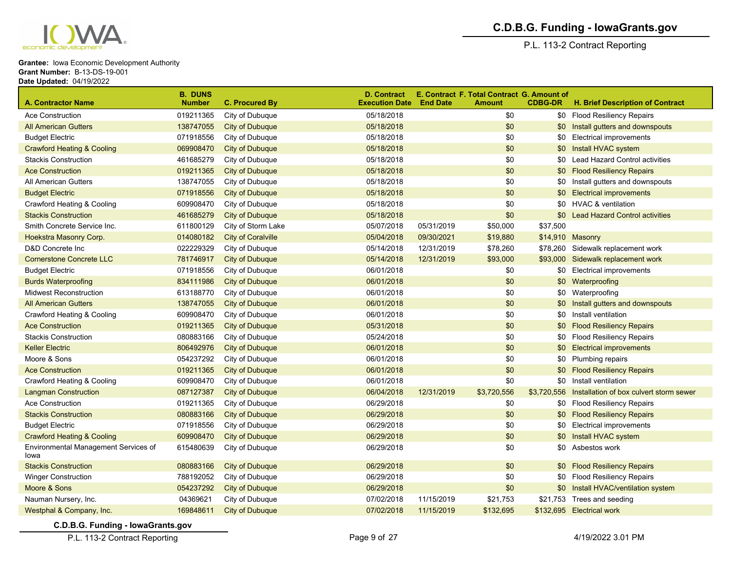

P.L. 113-2 Contract Reporting

**Date Updated:** 04/19/2022**Grant Number:** B-13-DS-19-001**Grantee:** Iowa Economic Development Authority

|                                              | <b>B. DUNS</b> |                           | D. Contract           |                 | E. Contract F. Total Contract G. Amount of |                |                                         |
|----------------------------------------------|----------------|---------------------------|-----------------------|-----------------|--------------------------------------------|----------------|-----------------------------------------|
| <b>A. Contractor Name</b>                    | <b>Number</b>  | <b>C. Procured By</b>     | <b>Execution Date</b> | <b>End Date</b> | <b>Amount</b>                              | <b>CDBG-DR</b> | <b>H. Brief Description of Contract</b> |
| <b>Ace Construction</b>                      | 019211365      | City of Dubuque           | 05/18/2018            |                 | \$0                                        |                | \$0 Flood Resiliency Repairs            |
| <b>All American Gutters</b>                  | 138747055      | City of Dubuque           | 05/18/2018            |                 | \$0                                        |                | \$0 Install gutters and downspouts      |
| <b>Budget Electric</b>                       | 071918556      | City of Dubuque           | 05/18/2018            |                 | \$0                                        | \$0            | Electrical improvements                 |
| <b>Crawford Heating &amp; Cooling</b>        | 069908470      | <b>City of Dubuque</b>    | 05/18/2018            |                 | \$0                                        | \$0            | Install HVAC system                     |
| <b>Stackis Construction</b>                  | 461685279      | City of Dubuque           | 05/18/2018            |                 | \$0                                        | \$0            | Lead Hazard Control activities          |
| <b>Ace Construction</b>                      | 019211365      | <b>City of Dubuque</b>    | 05/18/2018            |                 | \$0                                        | \$0            | <b>Flood Resiliency Repairs</b>         |
| All American Gutters                         | 138747055      | City of Dubuque           | 05/18/2018            |                 | \$0                                        | \$0            | Install gutters and downspouts          |
| <b>Budget Electric</b>                       | 071918556      | City of Dubuque           | 05/18/2018            |                 | \$0                                        | \$0            | <b>Electrical improvements</b>          |
| <b>Crawford Heating &amp; Cooling</b>        | 609908470      | City of Dubuque           | 05/18/2018            |                 | \$0                                        | \$0            | HVAC & ventilation                      |
| <b>Stackis Construction</b>                  | 461685279      | <b>City of Dubuque</b>    | 05/18/2018            |                 | \$0                                        | \$0            | <b>Lead Hazard Control activities</b>   |
| Smith Concrete Service Inc.                  | 611800129      | City of Storm Lake        | 05/07/2018            | 05/31/2019      | \$50,000                                   | \$37,500       |                                         |
| <b>Hoekstra Masonry Corp.</b>                | 014080182      | <b>City of Coralville</b> | 05/04/2018            | 09/30/2021      | \$19,880                                   |                | \$14,910 Masonry                        |
| D&D Concrete Inc                             | 022229329      | City of Dubuque           | 05/14/2018            | 12/31/2019      | \$78,260                                   | \$78,260       | Sidewalk replacement work               |
| <b>Cornerstone Concrete LLC</b>              | 781746917      | <b>City of Dubuque</b>    | 05/14/2018            | 12/31/2019      | \$93,000                                   | \$93,000       | Sidewalk replacement work               |
| <b>Budget Electric</b>                       | 071918556      | City of Dubuque           | 06/01/2018            |                 | \$0                                        | \$0            | <b>Electrical improvements</b>          |
| <b>Burds Waterproofing</b>                   | 834111986      | City of Dubuque           | 06/01/2018            |                 | \$0                                        |                | \$0 Waterproofing                       |
| <b>Midwest Reconstruction</b>                | 613188770      | City of Dubuque           | 06/01/2018            |                 | \$0                                        |                | \$0 Waterproofing                       |
| <b>All American Gutters</b>                  | 138747055      | <b>City of Dubuque</b>    | 06/01/2018            |                 | \$0                                        | \$0            | Install gutters and downspouts          |
| <b>Crawford Heating &amp; Cooling</b>        | 609908470      | City of Dubuque           | 06/01/2018            |                 | \$0                                        | \$0            | Install ventilation                     |
| <b>Ace Construction</b>                      | 019211365      | <b>City of Dubuque</b>    | 05/31/2018            |                 | \$0                                        | \$0            | <b>Flood Resiliency Repairs</b>         |
| <b>Stackis Construction</b>                  | 080883166      | City of Dubuque           | 05/24/2018            |                 | \$0                                        | \$0            | <b>Flood Resiliency Repairs</b>         |
| <b>Keller Electric</b>                       | 806492976      | <b>City of Dubuque</b>    | 06/01/2018            |                 | \$0                                        | \$0            | <b>Electrical improvements</b>          |
| Moore & Sons                                 | 054237292      | City of Dubuque           | 06/01/2018            |                 | \$0                                        | \$0            | Plumbing repairs                        |
| <b>Ace Construction</b>                      | 019211365      | <b>City of Dubuque</b>    | 06/01/2018            |                 | \$0                                        | \$0            | <b>Flood Resiliency Repairs</b>         |
| <b>Crawford Heating &amp; Cooling</b>        | 609908470      | City of Dubuque           | 06/01/2018            |                 | \$0                                        | \$0            | Install ventilation                     |
| <b>Langman Construction</b>                  | 087127387      | <b>City of Dubuque</b>    | 06/04/2018            | 12/31/2019      | \$3,720,556                                | \$3,720,556    | Installation of box culvert storm sewer |
| <b>Ace Construction</b>                      | 019211365      | City of Dubuque           | 06/29/2018            |                 | \$0                                        | \$0            | <b>Flood Resiliency Repairs</b>         |
| <b>Stackis Construction</b>                  | 080883166      | <b>City of Dubuque</b>    | 06/29/2018            |                 | \$0                                        | \$0            | <b>Flood Resiliency Repairs</b>         |
| <b>Budget Electric</b>                       | 071918556      | City of Dubuque           | 06/29/2018            |                 | \$0                                        | \$0            | <b>Electrical improvements</b>          |
| <b>Crawford Heating &amp; Cooling</b>        | 609908470      | <b>City of Dubuque</b>    | 06/29/2018            |                 | \$0                                        | \$0            | Install HVAC system                     |
| Environmental Management Services of<br>lowa | 615480639      | City of Dubuque           | 06/29/2018            |                 | \$0                                        |                | \$0 Asbestos work                       |
| <b>Stackis Construction</b>                  | 080883166      | <b>City of Dubuque</b>    | 06/29/2018            |                 | \$0                                        | \$0            | <b>Flood Resiliency Repairs</b>         |
| <b>Winger Construction</b>                   | 788192052      | City of Dubuque           | 06/29/2018            |                 | \$0                                        | \$0            | <b>Flood Resiliency Repairs</b>         |
| Moore & Sons                                 | 054237292      | <b>City of Dubuque</b>    | 06/29/2018            |                 | \$0                                        | \$0            | Install HVAC/ventilation system         |
| Nauman Nursery, Inc.                         | 04369621       | City of Dubuque           | 07/02/2018            | 11/15/2019      | \$21,753                                   | \$21,753       | Trees and seeding                       |
| Westphal & Company, Inc.                     | 169848611      | <b>City of Dubuque</b>    | 07/02/2018            | 11/15/2019      | \$132,695                                  |                | \$132.695 Electrical work               |
|                                              |                |                           |                       |                 |                                            |                |                                         |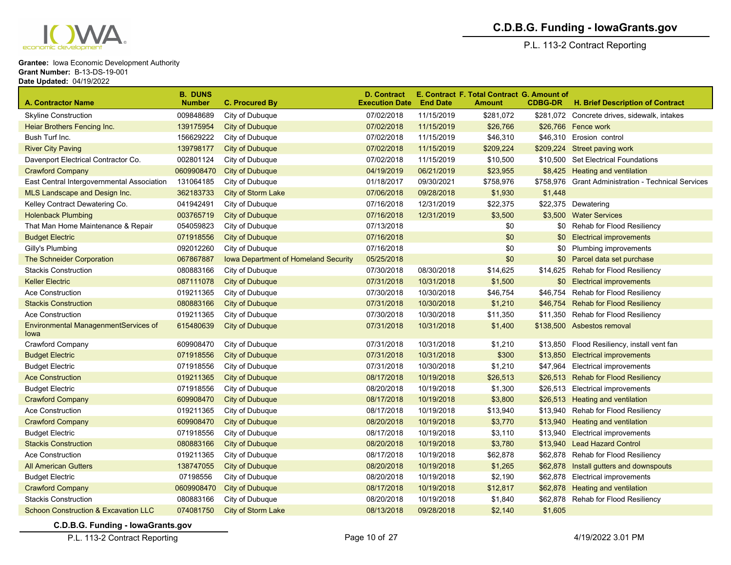## **C.D.B.G. Funding - IowaGrants.gov**

P.L. 113-2 Contract Reporting

### **Date Updated:** 04/19/2022**Grant Number:** B-13-DS-19-001**Grantee:** Iowa Economic Development Authority

| <b>A. Contractor Name</b>                           | <b>B. DUNS</b><br><b>Number</b> | <b>C. Procured By</b>                       | <b>D. Contract</b><br><b>Execution Date</b> | <b>End Date</b> | E. Contract F. Total Contract G. Amount of<br><b>Amount</b> | <b>CDBG-DR</b> | <b>H. Brief Description of Contract</b>             |
|-----------------------------------------------------|---------------------------------|---------------------------------------------|---------------------------------------------|-----------------|-------------------------------------------------------------|----------------|-----------------------------------------------------|
| <b>Skyline Construction</b>                         | 009848689                       | City of Dubuque                             | 07/02/2018                                  | 11/15/2019      | \$281,072                                                   |                | \$281,072 Concrete drives, sidewalk, intakes        |
| Heiar Brothers Fencing Inc.                         | 139175954                       | City of Dubuque                             | 07/02/2018                                  | 11/15/2019      | \$26,766                                                    |                | \$26,766 Fence work                                 |
| Bush Turf Inc.                                      | 156629222                       | City of Dubuque                             | 07/02/2018                                  | 11/15/2019      | \$46,310                                                    |                | \$46,310 Erosion control                            |
| <b>River City Paving</b>                            | 139798177                       | City of Dubuque                             | 07/02/2018                                  | 11/15/2019      | \$209,224                                                   |                | \$209,224 Street paving work                        |
| Davenport Electrical Contractor Co.                 | 002801124                       | City of Dubuque                             | 07/02/2018                                  | 11/15/2019      | \$10,500                                                    |                | \$10,500 Set Electrical Foundations                 |
| <b>Crawford Company</b>                             | 0609908470                      | City of Dubuque                             | 04/19/2019                                  | 06/21/2019      | \$23,955                                                    |                | \$8,425 Heating and ventilation                     |
| East Central Intergovernmental Association          | 131064185                       | City of Dubuque                             | 01/18/2017                                  | 09/30/2021      | \$758,976                                                   |                | \$758.976 Grant Administration - Technical Services |
| MLS Landscape and Design Inc.                       | 362183733                       | <b>City of Storm Lake</b>                   | 07/06/2018                                  | 09/28/2018      | \$1,930                                                     | \$1,448        |                                                     |
| Kelley Contract Dewatering Co.                      | 041942491                       | City of Dubuque                             | 07/16/2018                                  | 12/31/2019      | \$22,375                                                    |                | \$22,375 Dewatering                                 |
| <b>Holenback Plumbing</b>                           | 003765719                       | <b>City of Dubuque</b>                      | 07/16/2018                                  | 12/31/2019      | \$3,500                                                     | \$3,500        | <b>Water Services</b>                               |
| That Man Home Maintenance & Repair                  | 054059823                       | City of Dubuque                             | 07/13/2018                                  |                 | \$0                                                         | \$0            | Rehab for Flood Resiliency                          |
| <b>Budget Electric</b>                              | 071918556                       | <b>City of Dubuque</b>                      | 07/16/2018                                  |                 | \$0                                                         | \$0            | <b>Electrical improvements</b>                      |
| Gilly's Plumbing                                    | 092012260                       | City of Dubuque                             | 07/16/2018                                  |                 | \$0                                                         | \$0            | Plumbing improvements                               |
| <b>The Schneider Corporation</b>                    | 067867887                       | <b>Iowa Department of Homeland Security</b> | 05/25/2018                                  |                 | \$0                                                         | \$0            | Parcel data set purchase                            |
| <b>Stackis Construction</b>                         | 080883166                       | City of Dubuque                             | 07/30/2018                                  | 08/30/2018      | \$14,625                                                    | \$14,625       | Rehab for Flood Resiliency                          |
| <b>Keller Electric</b>                              | 087111078                       | <b>City of Dubuque</b>                      | 07/31/2018                                  | 10/31/2018      | \$1,500                                                     | \$0            | <b>Electrical improvements</b>                      |
| <b>Ace Construction</b>                             | 019211365                       | City of Dubuque                             | 07/30/2018                                  | 10/30/2018      | \$46,754                                                    | \$46,754       | Rehab for Flood Resiliency                          |
| <b>Stackis Construction</b>                         | 080883166                       | <b>City of Dubuque</b>                      | 07/31/2018                                  | 10/30/2018      | \$1,210                                                     | \$46,754       | <b>Rehab for Flood Resiliency</b>                   |
| <b>Ace Construction</b>                             | 019211365                       | City of Dubuque                             | 07/30/2018                                  | 10/30/2018      | \$11,350                                                    | \$11,350       | Rehab for Flood Resiliency                          |
| <b>Environmental ManagenmentServices of</b><br>lowa | 615480639                       | <b>City of Dubuque</b>                      | 07/31/2018                                  | 10/31/2018      | \$1,400                                                     |                | \$138,500 Asbestos removal                          |
| Crawford Company                                    | 609908470                       | City of Dubuque                             | 07/31/2018                                  | 10/31/2018      | \$1,210                                                     |                | \$13,850 Flood Resiliency, install vent fan         |
| <b>Budget Electric</b>                              | 071918556                       | <b>City of Dubuque</b>                      | 07/31/2018                                  | 10/31/2018      | \$300                                                       | \$13,850       | <b>Electrical improvements</b>                      |
| <b>Budget Electric</b>                              | 071918556                       | City of Dubuque                             | 07/31/2018                                  | 10/30/2018      | \$1,210                                                     | \$47,964       | <b>Electrical improvements</b>                      |
| <b>Ace Construction</b>                             | 019211365                       | City of Dubuque                             | 08/17/2018                                  | 10/19/2018      | \$26,513                                                    | \$26,513       | <b>Rehab for Flood Resiliency</b>                   |
| <b>Budget Electric</b>                              | 071918556                       | City of Dubuque                             | 08/20/2018                                  | 10/19/2018      | \$1,300                                                     | \$26,513       | <b>Electrical improvements</b>                      |
| <b>Crawford Company</b>                             | 609908470                       | <b>City of Dubuque</b>                      | 08/17/2018                                  | 10/19/2018      | \$3,800                                                     |                | \$26,513 Heating and ventilation                    |
| <b>Ace Construction</b>                             | 019211365                       | City of Dubuque                             | 08/17/2018                                  | 10/19/2018      | \$13,940                                                    | \$13,940       | Rehab for Flood Resiliency                          |
| <b>Crawford Company</b>                             | 609908470                       | City of Dubuque                             | 08/20/2018                                  | 10/19/2018      | \$3,770                                                     | \$13,940       | <b>Heating and ventilation</b>                      |
| <b>Budget Electric</b>                              | 071918556                       | City of Dubuque                             | 08/17/2018                                  | 10/19/2018      | \$3,110                                                     | \$13,940       | Electrical improvements                             |
| <b>Stackis Construction</b>                         | 080883166                       | <b>City of Dubuque</b>                      | 08/20/2018                                  | 10/19/2018      | \$3,780                                                     | \$13,940       | <b>Lead Hazard Control</b>                          |
| <b>Ace Construction</b>                             | 019211365                       | City of Dubuque                             | 08/17/2018                                  | 10/19/2018      | \$62,878                                                    | \$62,878       | Rehab for Flood Resiliency                          |
| <b>All American Gutters</b>                         | 138747055                       | <b>City of Dubuque</b>                      | 08/20/2018                                  | 10/19/2018      | \$1,265                                                     | \$62,878       | Install gutters and downspouts                      |
| <b>Budget Electric</b>                              | 07198556                        | City of Dubuque                             | 08/20/2018                                  | 10/19/2018      | \$2,190                                                     | \$62,878       | <b>Electrical improvements</b>                      |
| <b>Crawford Company</b>                             | 0609908470                      | <b>City of Dubuque</b>                      | 08/17/2018                                  | 10/19/2018      | \$12,817                                                    |                | \$62,878 Heating and ventilation                    |
| <b>Stackis Construction</b>                         | 080883166                       | City of Dubuque                             | 08/20/2018                                  | 10/19/2018      | \$1,840                                                     | \$62,878       | Rehab for Flood Resiliency                          |
| <b>Schoon Construction &amp; Excavation LLC</b>     | 074081750                       | <b>City of Storm Lake</b>                   | 08/13/2018                                  | 09/28/2018      | \$2,140                                                     | \$1,605        |                                                     |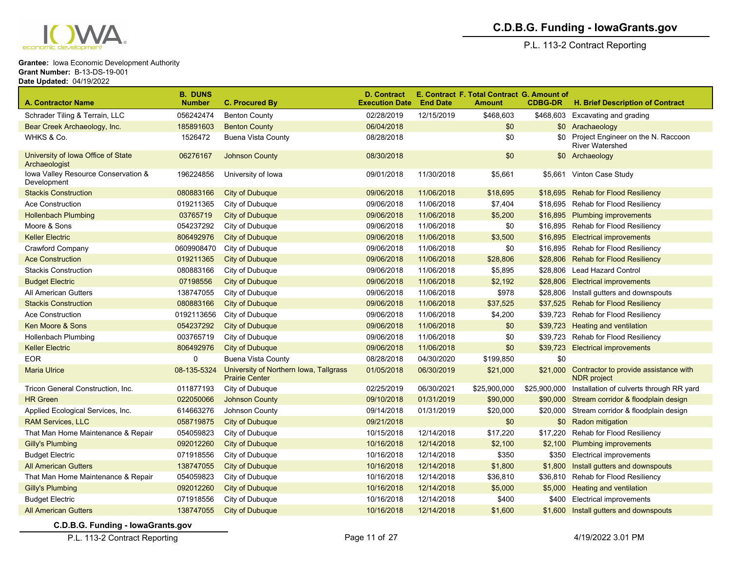# economic c

### **Date Updated:** 04/19/2022**Grant Number:** B-13-DS-19-001**Grantee:** Iowa Economic Development Authority

P.L. 113-2 Contract Reporting

| <b>A. Contractor Name</b>                           | <b>B. DUNS</b><br><b>Number</b> | <b>C. Procured By</b>                                           | <b>D. Contract</b><br><b>Execution Date</b> | <b>End Date</b> | E. Contract F. Total Contract G. Amount of<br>Amount | <b>CDBG-DR</b> | <b>H. Brief Description of Contract</b>                      |
|-----------------------------------------------------|---------------------------------|-----------------------------------------------------------------|---------------------------------------------|-----------------|------------------------------------------------------|----------------|--------------------------------------------------------------|
| Schrader Tiling & Terrain, LLC                      | 056242474                       | <b>Benton County</b>                                            | 02/28/2019                                  | 12/15/2019      | \$468,603                                            | \$468,603      | Excavating and grading                                       |
| Bear Creek Archaeology, Inc.                        | 185891603                       | <b>Benton County</b>                                            | 06/04/2018                                  |                 | \$0                                                  |                | \$0 Arachaeology                                             |
| WHKS & Co.                                          | 1526472                         | <b>Buena Vista County</b>                                       | 08/28/2018                                  |                 | \$0                                                  | \$0            | Project Engineer on the N. Raccoon<br><b>River Watershed</b> |
| University of Iowa Office of State<br>Archaeologist | 06276167                        | <b>Johnson County</b>                                           | 08/30/2018                                  |                 | \$0                                                  |                | \$0 Archaeology                                              |
| lowa Valley Resource Conservation &<br>Development  | 196224856                       | University of Iowa                                              | 09/01/2018                                  | 11/30/2018      | \$5,661                                              |                | \$5,661 Vinton Case Study                                    |
| <b>Stackis Construction</b>                         | 080883166                       | <b>City of Dubuque</b>                                          | 09/06/2018                                  | 11/06/2018      | \$18,695                                             |                | \$18,695 Rehab for Flood Resiliency                          |
| Ace Construction                                    | 019211365                       | City of Dubuque                                                 | 09/06/2018                                  | 11/06/2018      | \$7,404                                              |                | \$18,695 Rehab for Flood Resiliency                          |
| <b>Hollenbach Plumbing</b>                          | 03765719                        | <b>City of Dubuque</b>                                          | 09/06/2018                                  | 11/06/2018      | \$5,200                                              |                | \$16,895 Plumbing improvements                               |
| Moore & Sons                                        | 054237292                       | City of Dubuque                                                 | 09/06/2018                                  | 11/06/2018      | \$0                                                  |                | \$16,895 Rehab for Flood Resiliency                          |
| <b>Keller Electric</b>                              | 806492976                       | <b>City of Dubuque</b>                                          | 09/06/2018                                  | 11/06/2018      | \$3,500                                              |                | \$16,895 Electrical improvements                             |
| <b>Crawford Company</b>                             | 0609908470                      | City of Dubuque                                                 | 09/06/2018                                  | 11/06/2018      | \$0                                                  |                | \$16,895 Rehab for Flood Resiliency                          |
| <b>Ace Construction</b>                             | 019211365                       | <b>City of Dubuque</b>                                          | 09/06/2018                                  | 11/06/2018      | \$28,806                                             | \$28,806       | <b>Rehab for Flood Resiliency</b>                            |
| <b>Stackis Construction</b>                         | 080883166                       | City of Dubuque                                                 | 09/06/2018                                  | 11/06/2018      | \$5,895                                              | \$28,806       | <b>Lead Hazard Control</b>                                   |
| <b>Budget Electric</b>                              | 07198556                        | <b>City of Dubuque</b>                                          | 09/06/2018                                  | 11/06/2018      | \$2,192                                              |                | \$28,806 Electrical improvements                             |
| <b>All American Gutters</b>                         | 138747055                       | City of Dubuque                                                 | 09/06/2018                                  | 11/06/2018      | \$978                                                | \$28,806       | Install gutters and downspouts                               |
| <b>Stackis Construction</b>                         | 080883166                       | <b>City of Dubuque</b>                                          | 09/06/2018                                  | 11/06/2018      | \$37,525                                             |                | \$37,525 Rehab for Flood Resiliency                          |
| <b>Ace Construction</b>                             | 0192113656                      | City of Dubuque                                                 | 09/06/2018                                  | 11/06/2018      | \$4,200                                              |                | \$39,723 Rehab for Flood Resiliency                          |
| Ken Moore & Sons                                    | 054237292                       | <b>City of Dubuque</b>                                          | 09/06/2018                                  | 11/06/2018      | \$0                                                  |                | \$39,723 Heating and ventilation                             |
| Hollenbach Plumbing                                 | 003765719                       | City of Dubuque                                                 | 09/06/2018                                  | 11/06/2018      | \$0                                                  |                | \$39,723 Rehab for Flood Resiliency                          |
| <b>Keller Electric</b>                              | 806492976                       | <b>City of Dubuque</b>                                          | 09/06/2018                                  | 11/06/2018      | \$0                                                  | \$39,723       | <b>Electrical improvements</b>                               |
| <b>EOR</b>                                          | $\mathbf 0$                     | Buena Vista County                                              | 08/28/2018                                  | 04/30/2020      | \$199,850                                            | \$0            |                                                              |
| <b>Maria Ulrice</b>                                 | 08-135-5324                     | University of Northern Iowa, Tallgrass<br><b>Prairie Center</b> | 01/05/2018                                  | 06/30/2019      | \$21,000                                             | \$21,000       | Contractor to provide assistance with<br><b>NDR</b> project  |
| Tricon General Construction, Inc.                   | 011877193                       | City of Dubuque                                                 | 02/25/2019                                  | 06/30/2021      | \$25,900,000                                         | \$25,900,000   | Installation of culverts through RR yard                     |
| <b>HR</b> Green                                     | 022050066                       | <b>Johnson County</b>                                           | 09/10/2018                                  | 01/31/2019      | \$90,000                                             |                | \$90,000 Stream corridor & floodplain design                 |
| Applied Ecological Services, Inc.                   | 614663276                       | Johnson County                                                  | 09/14/2018                                  | 01/31/2019      | \$20,000                                             |                | \$20,000 Stream corridor & floodplain design                 |
| <b>RAM Services, LLC</b>                            | 058719875                       | <b>City of Dubuque</b>                                          | 09/21/2018                                  |                 | \$0                                                  |                | \$0 Radon mitigation                                         |
| That Man Home Maintenance & Repair                  | 054059823                       | City of Dubuque                                                 | 10/15/2018                                  | 12/14/2018      | \$17,220                                             | \$17,220       | Rehab for Flood Resiliency                                   |
| <b>Gilly's Plumbing</b>                             | 092012260                       | <b>City of Dubuque</b>                                          | 10/16/2018                                  | 12/14/2018      | \$2,100                                              | \$2,100        | <b>Plumbing improvements</b>                                 |
| <b>Budget Electric</b>                              | 071918556                       | City of Dubuque                                                 | 10/16/2018                                  | 12/14/2018      | \$350                                                | \$350          | <b>Electrical improvements</b>                               |
| <b>All American Gutters</b>                         | 138747055                       | <b>City of Dubuque</b>                                          | 10/16/2018                                  | 12/14/2018      | \$1,800                                              | \$1,800        | Install gutters and downspouts                               |
| That Man Home Maintenance & Repair                  | 054059823                       | City of Dubuque                                                 | 10/16/2018                                  | 12/14/2018      | \$36,810                                             | \$36,810       | Rehab for Flood Resiliency                                   |
| <b>Gilly's Plumbing</b>                             | 092012260                       | <b>City of Dubuque</b>                                          | 10/16/2018                                  | 12/14/2018      | \$5,000                                              | \$5,000        | <b>Heating and ventilation</b>                               |
| <b>Budget Electric</b>                              | 071918556                       | City of Dubuque                                                 | 10/16/2018                                  | 12/14/2018      | \$400                                                | \$400          | Electrical improvements                                      |
| <b>All American Gutters</b>                         | 138747055                       | <b>City of Dubuque</b>                                          | 10/16/2018                                  | 12/14/2018      | \$1,600                                              | \$1,600        | Install gutters and downspouts                               |

### **C.D.B.G. Funding - IowaGrants.gov**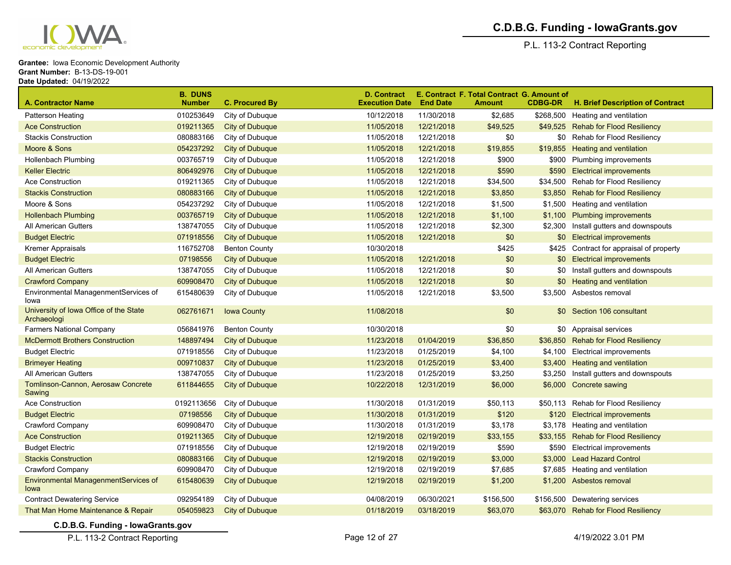## **C.D.B.G. Funding - IowaGrants.gov**

P.L. 113-2 Contract Reporting

**Date Updated:** 04/19/2022**Grant Number:** B-13-DS-19-001**Grantee:** Iowa Economic Development Authority

|                                                       | <b>B. DUNS</b> |                        | <b>D. Contract</b>    |                 | E. Contract F. Total Contract G. Amount of |                |                                         |
|-------------------------------------------------------|----------------|------------------------|-----------------------|-----------------|--------------------------------------------|----------------|-----------------------------------------|
| <b>A. Contractor Name</b>                             | <b>Number</b>  | <b>C. Procured By</b>  | <b>Execution Date</b> | <b>End Date</b> | <b>Amount</b>                              | <b>CDBG-DR</b> | <b>H. Brief Description of Contract</b> |
| Patterson Heating                                     | 010253649      | City of Dubuque        | 10/12/2018            | 11/30/2018      | \$2,685                                    |                | \$268,500 Heating and ventilation       |
| <b>Ace Construction</b>                               | 019211365      | <b>City of Dubuque</b> | 11/05/2018            | 12/21/2018      | \$49,525                                   |                | \$49,525 Rehab for Flood Resiliency     |
| <b>Stackis Construction</b>                           | 080883166      | City of Dubuque        | 11/05/2018            | 12/21/2018      | \$0                                        | \$0            | Rehab for Flood Resiliency              |
| Moore & Sons                                          | 054237292      | <b>City of Dubuque</b> | 11/05/2018            | 12/21/2018      | \$19,855                                   | \$19,855       | <b>Heating and ventilation</b>          |
| <b>Hollenbach Plumbing</b>                            | 003765719      | City of Dubuque        | 11/05/2018            | 12/21/2018      | \$900                                      | \$900          | <b>Plumbing improvements</b>            |
| <b>Keller Electric</b>                                | 806492976      | <b>City of Dubuque</b> | 11/05/2018            | 12/21/2018      | \$590                                      | \$590          | <b>Electrical improvements</b>          |
| <b>Ace Construction</b>                               | 019211365      | City of Dubuque        | 11/05/2018            | 12/21/2018      | \$34,500                                   | \$34,500       | Rehab for Flood Resiliency              |
| <b>Stackis Construction</b>                           | 080883166      | <b>City of Dubuque</b> | 11/05/2018            | 12/21/2018      | \$3,850                                    | \$3,850        | <b>Rehab for Flood Resiliency</b>       |
| Moore & Sons                                          | 054237292      | City of Dubuque        | 11/05/2018            | 12/21/2018      | \$1,500                                    | \$1,500        | Heating and ventilation                 |
| <b>Hollenbach Plumbing</b>                            | 003765719      | <b>City of Dubuque</b> | 11/05/2018            | 12/21/2018      | \$1,100                                    | \$1,100        | <b>Plumbing improvements</b>            |
| <b>All American Gutters</b>                           | 138747055      | City of Dubuque        | 11/05/2018            | 12/21/2018      | \$2,300                                    | \$2,300        | Install gutters and downspouts          |
| <b>Budget Electric</b>                                | 071918556      | <b>City of Dubuque</b> | 11/05/2018            | 12/21/2018      | \$0                                        |                | \$0 Electrical improvements             |
| Kremer Appraisals                                     | 116752708      | <b>Benton County</b>   | 10/30/2018            |                 | \$425                                      | \$425          | Contract for appraisal of property      |
| <b>Budget Electric</b>                                | 07198556       | <b>City of Dubuque</b> | 11/05/2018            | 12/21/2018      | \$0                                        |                | \$0 Electrical improvements             |
| All American Gutters                                  | 138747055      | City of Dubuque        | 11/05/2018            | 12/21/2018      | \$0                                        | \$0            | Install gutters and downspouts          |
| <b>Crawford Company</b>                               | 609908470      | <b>City of Dubuque</b> | 11/05/2018            | 12/21/2018      | \$0                                        |                | \$0 Heating and ventilation             |
| Environmental ManagenmentServices of<br>lowa          | 615480639      | City of Dubuque        | 11/05/2018            | 12/21/2018      | \$3,500                                    |                | \$3,500 Asbestos removal                |
| University of Iowa Office of the State<br>Archaeologi | 062761671      | <b>lowa County</b>     | 11/08/2018            |                 | \$0                                        | \$0            | Section 106 consultant                  |
| <b>Farmers National Company</b>                       | 056841976      | <b>Benton County</b>   | 10/30/2018            |                 | \$0                                        |                | \$0 Appraisal services                  |
| <b>McDermott Brothers Construction</b>                | 148897494      | <b>City of Dubuque</b> | 11/23/2018            | 01/04/2019      | \$36,850                                   | \$36,850       | <b>Rehab for Flood Resiliency</b>       |
| <b>Budget Electric</b>                                | 071918556      | City of Dubuque        | 11/23/2018            | 01/25/2019      | \$4,100                                    | \$4,100        | Electrical improvements                 |
| <b>Brimeyer Heating</b>                               | 009710837      | <b>City of Dubuque</b> | 11/23/2018            | 01/25/2019      | \$3,400                                    | \$3,400        | <b>Heating and ventilation</b>          |
| All American Gutters                                  | 138747055      | City of Dubuque        | 11/23/2018            | 01/25/2019      | \$3,250                                    | \$3,250        | Install gutters and downspouts          |
| <b>Tomlinson-Cannon, Aerosaw Concrete</b><br>Sawing   | 611844655      | <b>City of Dubuque</b> | 10/22/2018            | 12/31/2019      | \$6,000                                    |                | \$6,000 Concrete sawing                 |
| <b>Ace Construction</b>                               | 0192113656     | City of Dubuque        | 11/30/2018            | 01/31/2019      | \$50,113                                   |                | \$50,113 Rehab for Flood Resiliency     |
| <b>Budget Electric</b>                                | 07198556       | <b>City of Dubuque</b> | 11/30/2018            | 01/31/2019      | \$120                                      | \$120          | <b>Electrical improvements</b>          |
| Crawford Company                                      | 609908470      | City of Dubuque        | 11/30/2018            | 01/31/2019      | \$3,178                                    | \$3,178        | Heating and ventilation                 |
| <b>Ace Construction</b>                               | 019211365      | <b>City of Dubuque</b> | 12/19/2018            | 02/19/2019      | \$33,155                                   | \$33,155       | <b>Rehab for Flood Resiliency</b>       |
| <b>Budget Electric</b>                                | 071918556      | City of Dubuque        | 12/19/2018            | 02/19/2019      | \$590                                      | \$590          | <b>Electrical improvements</b>          |
| <b>Stackis Construction</b>                           | 080883166      | <b>City of Dubuque</b> | 12/19/2018            | 02/19/2019      | \$3,000                                    |                | \$3,000 Lead Hazard Control             |
| Crawford Company                                      | 609908470      | City of Dubuque        | 12/19/2018            | 02/19/2019      | \$7,685                                    | \$7,685        | Heating and ventilation                 |
| Environmental ManagenmentServices of<br>lowa          | 615480639      | <b>City of Dubuque</b> | 12/19/2018            | 02/19/2019      | \$1,200                                    |                | \$1,200 Asbestos removal                |
| <b>Contract Dewatering Service</b>                    | 092954189      | City of Dubuque        | 04/08/2019            | 06/30/2021      | \$156,500                                  | \$156,500      | Dewatering services                     |
| That Man Home Maintenance & Repair                    | 054059823      | <b>City of Dubuque</b> | 01/18/2019            | 03/18/2019      | \$63,070                                   |                | \$63,070 Rehab for Flood Resiliency     |

## **C.D.B.G. Funding - IowaGrants.gov**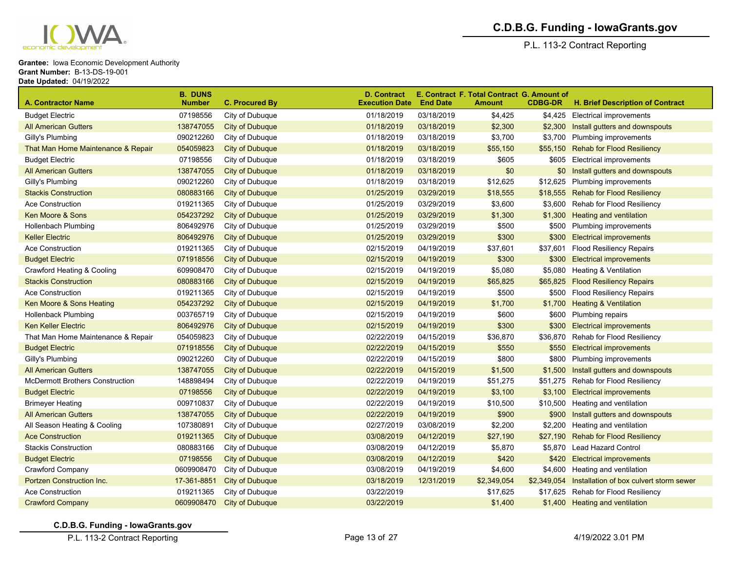

P.L. 113-2 Contract Reporting

**Date Updated:** 04/19/2022**Grant Number:** B-13-DS-19-001**Grantee:** Iowa Economic Development Authority

| <b>A. Contractor Name</b>                                 | <b>B. DUNS</b><br><b>Number</b> | <b>C. Procured By</b>              | <b>D. Contract</b><br><b>Execution Date</b> | <b>End Date</b> | E. Contract F. Total Contract G. Amount of<br><b>Amount</b> | <b>CDBG-DR</b>    | <b>H. Brief Description of Contract</b>                           |
|-----------------------------------------------------------|---------------------------------|------------------------------------|---------------------------------------------|-----------------|-------------------------------------------------------------|-------------------|-------------------------------------------------------------------|
| <b>Budget Electric</b>                                    | 07198556                        | City of Dubuque                    | 01/18/2019                                  | 03/18/2019      | \$4,425                                                     |                   | \$4,425 Electrical improvements                                   |
| <b>All American Gutters</b>                               | 138747055                       | <b>City of Dubuque</b>             | 01/18/2019                                  | 03/18/2019      | \$2,300                                                     | \$2,300           | Install gutters and downspouts                                    |
| Gilly's Plumbing                                          | 090212260                       | City of Dubuque                    | 01/18/2019                                  | 03/18/2019      | \$3,700                                                     |                   | \$3,700 Plumbing improvements                                     |
| That Man Home Maintenance & Repair                        | 054059823                       | <b>City of Dubuque</b>             | 01/18/2019                                  | 03/18/2019      | \$55,150                                                    | \$55,150          | <b>Rehab for Flood Resiliency</b>                                 |
| <b>Budget Electric</b>                                    | 07198556                        | City of Dubuque                    | 01/18/2019                                  | 03/18/2019      | \$605                                                       | \$605             | Electrical improvements                                           |
| <b>All American Gutters</b>                               | 138747055                       | <b>City of Dubuque</b>             | 01/18/2019                                  | 03/18/2019      | \$0                                                         | \$0               | Install gutters and downspouts                                    |
| Gilly's Plumbing                                          | 090212260                       | City of Dubuque                    | 01/18/2019                                  | 03/18/2019      | \$12,625                                                    | \$12,625          | <b>Plumbing improvements</b>                                      |
| <b>Stackis Construction</b>                               | 080883166                       | <b>City of Dubuque</b>             | 01/25/2019                                  | 03/29/2019      | \$18,555                                                    | \$18,555          | <b>Rehab for Flood Resiliency</b>                                 |
| <b>Ace Construction</b>                                   | 019211365                       | City of Dubuque                    | 01/25/2019                                  | 03/29/2019      | \$3,600                                                     | \$3,600           | Rehab for Flood Resiliency                                        |
| Ken Moore & Sons                                          | 054237292                       | <b>City of Dubuque</b>             | 01/25/2019                                  | 03/29/2019      | \$1,300                                                     | \$1,300           | <b>Heating and ventilation</b>                                    |
| <b>Hollenbach Plumbing</b>                                | 806492976                       | City of Dubuque                    | 01/25/2019                                  | 03/29/2019      | \$500                                                       | \$500             | Plumbing improvements                                             |
| <b>Keller Electric</b>                                    | 806492976                       |                                    | 01/25/2019                                  | 03/29/2019      | \$300                                                       | \$300             |                                                                   |
| <b>Ace Construction</b>                                   | 019211365                       | City of Dubuque<br>City of Dubuque | 02/15/2019                                  | 04/19/2019      | \$37,601                                                    | \$37,601          | <b>Electrical improvements</b><br><b>Flood Resiliency Repairs</b> |
| <b>Budget Electric</b>                                    | 071918556                       | <b>City of Dubuque</b>             | 02/15/2019                                  | 04/19/2019      | \$300                                                       | \$300             | <b>Electrical improvements</b>                                    |
|                                                           | 609908470                       | City of Dubuque                    | 02/15/2019                                  | 04/19/2019      | \$5,080                                                     | \$5,080           | <b>Heating &amp; Ventilation</b>                                  |
| Crawford Heating & Cooling<br><b>Stackis Construction</b> |                                 |                                    |                                             |                 |                                                             |                   |                                                                   |
| <b>Ace Construction</b>                                   | 080883166                       | <b>City of Dubuque</b>             | 02/15/2019<br>02/15/2019                    | 04/19/2019      | \$65,825<br>\$500                                           | \$65,825<br>\$500 | <b>Flood Resiliency Repairs</b>                                   |
|                                                           | 019211365                       | City of Dubuque                    |                                             | 04/19/2019      |                                                             |                   | <b>Flood Resiliency Repairs</b>                                   |
| Ken Moore & Sons Heating                                  | 054237292                       | <b>City of Dubuque</b>             | 02/15/2019                                  | 04/19/2019      | \$1,700                                                     | \$1,700           | <b>Heating &amp; Ventilation</b>                                  |
| <b>Hollenback Plumbing</b>                                | 003765719                       | City of Dubuque                    | 02/15/2019                                  | 04/19/2019      | \$600                                                       | \$600             | Plumbing repairs                                                  |
| <b>Ken Keller Electric</b>                                | 806492976                       | <b>City of Dubuque</b>             | 02/15/2019                                  | 04/19/2019      | \$300                                                       | \$300             | <b>Electrical improvements</b>                                    |
| That Man Home Maintenance & Repair                        | 054059823                       | City of Dubuque                    | 02/22/2019                                  | 04/15/2019      | \$36,870                                                    | \$36,870          | Rehab for Flood Resiliency                                        |
| <b>Budget Electric</b>                                    | 071918556                       | <b>City of Dubuque</b>             | 02/22/2019                                  | 04/15/2019      | \$550                                                       | \$550             | <b>Electrical improvements</b>                                    |
| Gilly's Plumbing                                          | 090212260                       | City of Dubuque                    | 02/22/2019                                  | 04/15/2019      | \$800                                                       | \$800             | Plumbing improvements                                             |
| <b>All American Gutters</b>                               | 138747055                       | <b>City of Dubuque</b>             | 02/22/2019                                  | 04/15/2019      | \$1,500                                                     | \$1,500           | Install gutters and downspouts                                    |
| <b>McDermott Brothers Construction</b>                    | 148898494                       | City of Dubuque                    | 02/22/2019                                  | 04/19/2019      | \$51,275                                                    | \$51,275          | Rehab for Flood Resiliency                                        |
| <b>Budget Electric</b>                                    | 07198556                        | <b>City of Dubuque</b>             | 02/22/2019                                  | 04/19/2019      | \$3,100                                                     | \$3,100           | <b>Electrical improvements</b>                                    |
| <b>Brimeyer Heating</b>                                   | 009710837                       | City of Dubuque                    | 02/22/2019                                  | 04/19/2019      | \$10,500                                                    | \$10,500          | Heating and ventilation                                           |
| <b>All American Gutters</b>                               | 138747055                       | <b>City of Dubuque</b>             | 02/22/2019                                  | 04/19/2019      | \$900                                                       | \$900             | Install gutters and downspouts                                    |
| All Season Heating & Cooling                              | 107380891                       | City of Dubuque                    | 02/27/2019                                  | 03/08/2019      | \$2,200                                                     | \$2,200           | Heating and ventilation                                           |
| <b>Ace Construction</b>                                   | 019211365                       | <b>City of Dubuque</b>             | 03/08/2019                                  | 04/12/2019      | \$27,190                                                    | \$27.190          | <b>Rehab for Flood Resiliency</b>                                 |
| <b>Stackis Construction</b>                               | 080883166                       | City of Dubuque                    | 03/08/2019                                  | 04/12/2019      | \$5,870                                                     | \$5,870           | Lead Hazard Control                                               |
| <b>Budget Electric</b>                                    | 07198556                        | <b>City of Dubuque</b>             | 03/08/2019                                  | 04/12/2019      | \$420                                                       | \$420             | <b>Electrical improvements</b>                                    |
| Crawford Company                                          | 0609908470                      | City of Dubuque                    | 03/08/2019                                  | 04/19/2019      | \$4,600                                                     | \$4,600           | Heating and ventilation                                           |
| <b>Portzen Construction Inc.</b>                          | 17-361-8851                     | <b>City of Dubuque</b>             | 03/18/2019                                  | 12/31/2019      | \$2,349,054                                                 | \$2,349,054       | Installation of box culvert storm sewer                           |
| <b>Ace Construction</b>                                   | 019211365                       | City of Dubuque                    | 03/22/2019                                  |                 | \$17,625                                                    | \$17.625          | Rehab for Flood Resiliency                                        |
| <b>Crawford Company</b>                                   | 0609908470                      | City of Dubuque                    | 03/22/2019                                  |                 | \$1,400                                                     |                   | \$1,400 Heating and ventilation                                   |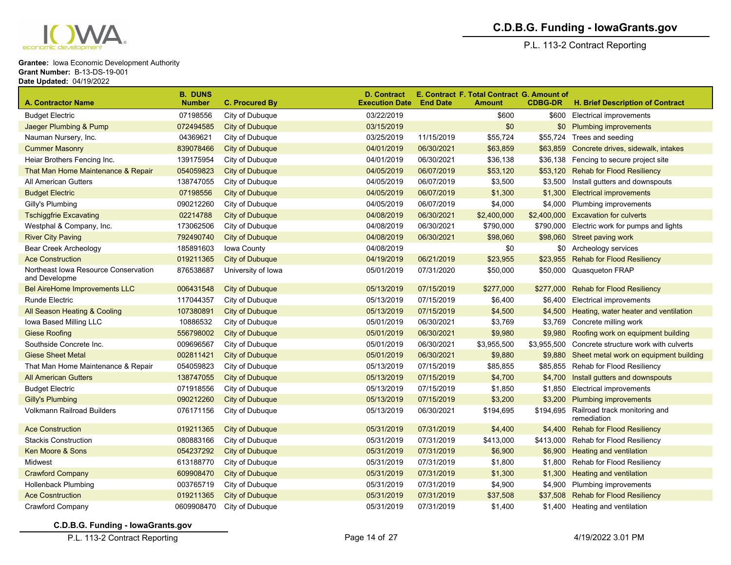

P.L. 113-2 Contract Reporting

### **Date Updated:** 04/19/2022**Grant Number:** B-13-DS-19-001**Grantee:** Iowa Economic Development Authority

| <b>A. Contractor Name</b>                             | B. DUNS<br><b>Number</b> | <b>C. Procured By</b>  | <b>D. Contract</b><br><b>Execution Date</b> | <b>End Date</b> | E. Contract F. Total Contract G. Amount of<br><b>Amount</b> | <b>CDBG-DR</b> | <b>H. Brief Description of Contract</b>           |
|-------------------------------------------------------|--------------------------|------------------------|---------------------------------------------|-----------------|-------------------------------------------------------------|----------------|---------------------------------------------------|
| <b>Budget Electric</b>                                | 07198556                 | City of Dubuque        | 03/22/2019                                  |                 | \$600                                                       |                | \$600 Electrical improvements                     |
| Jaeger Plumbing & Pump                                | 072494585                | City of Dubuque        | 03/15/2019                                  |                 | \$0                                                         |                | \$0 Plumbing improvements                         |
| Nauman Nursery, Inc.                                  | 04369621                 | City of Dubuque        | 03/25/2019                                  | 11/15/2019      | \$55,724                                                    |                | \$55,724 Trees and seeding                        |
| <b>Cummer Masonry</b>                                 | 839078466                | <b>City of Dubuque</b> | 04/01/2019                                  | 06/30/2021      | \$63,859                                                    |                | \$63,859 Concrete drives, sidewalk, intakes       |
| Heiar Brothers Fencing Inc.                           | 139175954                | City of Dubuque        | 04/01/2019                                  | 06/30/2021      | \$36,138                                                    |                | \$36,138 Fencing to secure project site           |
| That Man Home Maintenance & Repair                    | 054059823                | <b>City of Dubuque</b> | 04/05/2019                                  | 06/07/2019      | \$53,120                                                    |                | \$53,120 Rehab for Flood Resiliency               |
| <b>All American Gutters</b>                           | 138747055                | City of Dubuque        | 04/05/2019                                  | 06/07/2019      | \$3,500                                                     |                | \$3,500 Install gutters and downspouts            |
| <b>Budget Electric</b>                                | 07198556                 | <b>City of Dubuque</b> | 04/05/2019                                  | 06/07/2019      | \$1,300                                                     |                | \$1,300 Electrical improvements                   |
| Gilly's Plumbing                                      | 090212260                | City of Dubuque        | 04/05/2019                                  | 06/07/2019      | \$4,000                                                     |                | \$4,000 Plumbing improvements                     |
| Tschiggfrie Excavating                                | 02214788                 | City of Dubuque        | 04/08/2019                                  | 06/30/2021      | \$2,400,000                                                 | \$2,400,000    | <b>Excavation for culverts</b>                    |
| Westphal & Company, Inc.                              | 173062506                | City of Dubuque        | 04/08/2019                                  | 06/30/2021      | \$790,000                                                   |                | \$790,000 Electric work for pumps and lights      |
| <b>River City Paving</b>                              | 792490740                | City of Dubuque        | 04/08/2019                                  | 06/30/2021      | \$98,060                                                    |                | \$98,060 Street paving work                       |
| Bear Creek Archeology                                 | 185891603                | <b>Iowa County</b>     | 04/08/2019                                  |                 | \$0                                                         |                | \$0 Archeology services                           |
| <b>Ace Construction</b>                               | 019211365                | <b>City of Dubuque</b> | 04/19/2019                                  | 06/21/2019      | \$23,955                                                    | \$23,955       | <b>Rehab for Flood Resiliency</b>                 |
| Northeast Iowa Resource Conservation<br>and Developme | 876538687                | University of Iowa     | 05/01/2019                                  | 07/31/2020      | \$50,000                                                    |                | \$50,000 Quasqueton FRAP                          |
| <b>Bel AireHome Improvements LLC</b>                  | 006431548                | <b>City of Dubuque</b> | 05/13/2019                                  | 07/15/2019      | \$277,000                                                   |                | \$277,000 Rehab for Flood Resiliency              |
| Runde Electric                                        | 117044357                | City of Dubuque        | 05/13/2019                                  | 07/15/2019      | \$6,400                                                     |                | \$6,400 Electrical improvements                   |
| All Season Heating & Cooling                          | 107380891                | <b>City of Dubuque</b> | 05/13/2019                                  | 07/15/2019      | \$4,500                                                     |                | \$4,500 Heating, water heater and ventilation     |
| Iowa Based Milling LLC                                | 10886532                 | City of Dubuque        | 05/01/2019                                  | 06/30/2021      | \$3,769                                                     |                | \$3,769 Concrete milling work                     |
| <b>Giese Roofing</b>                                  | 556798002                | <b>City of Dubuque</b> | 05/01/2019                                  | 06/30/2021      | \$9,980                                                     | \$9,980        | Roofing work on equipment building                |
| Southside Concrete Inc.                               | 009696567                | City of Dubuque        | 05/01/2019                                  | 06/30/2021      | \$3,955,500                                                 |                | \$3,955,500 Concrete structure work with culverts |
| <b>Giese Sheet Metal</b>                              | 002811421                | City of Dubuque        | 05/01/2019                                  | 06/30/2021      | \$9,880                                                     | \$9,880        | Sheet metal work on equipment building            |
| That Man Home Maintenance & Repair                    | 054059823                | City of Dubuque        | 05/13/2019                                  | 07/15/2019      | \$85,855                                                    |                | \$85,855 Rehab for Flood Resiliency               |
| <b>All American Gutters</b>                           | 138747055                | City of Dubuque        | 05/13/2019                                  | 07/15/2019      | \$4,700                                                     | \$4,700        | Install gutters and downspouts                    |
| <b>Budget Electric</b>                                | 071918556                | City of Dubuque        | 05/13/2019                                  | 07/15/2019      | \$1,850                                                     | \$1.850        | <b>Electrical improvements</b>                    |
| <b>Gilly's Plumbing</b>                               | 090212260                | <b>City of Dubuque</b> | 05/13/2019                                  | 07/15/2019      | \$3,200                                                     | \$3,200        | <b>Plumbing improvements</b>                      |
| <b>Volkmann Railroad Builders</b>                     | 076171156                | City of Dubuque        | 05/13/2019                                  | 06/30/2021      | \$194,695                                                   | \$194,695      | Railroad track monitoring and<br>remediation      |
| <b>Ace Construction</b>                               | 019211365                | <b>City of Dubuque</b> | 05/31/2019                                  | 07/31/2019      | \$4,400                                                     |                | \$4,400 Rehab for Flood Resiliency                |
| <b>Stackis Construction</b>                           | 080883166                | City of Dubuque        | 05/31/2019                                  | 07/31/2019      | \$413,000                                                   |                | \$413,000 Rehab for Flood Resiliency              |
| Ken Moore & Sons                                      | 054237292                | <b>City of Dubuque</b> | 05/31/2019                                  | 07/31/2019      | \$6,900                                                     | \$6,900        | <b>Heating and ventilation</b>                    |
| Midwest                                               | 613188770                | City of Dubuque        | 05/31/2019                                  | 07/31/2019      | \$1,800                                                     | \$1,800        | Rehab for Flood Resiliency                        |
| <b>Crawford Company</b>                               | 609908470                | <b>City of Dubuque</b> | 05/31/2019                                  | 07/31/2019      | \$1,300                                                     | \$1,300        | <b>Heating and ventilation</b>                    |
| <b>Hollenback Plumbing</b>                            | 003765719                | City of Dubuque        | 05/31/2019                                  | 07/31/2019      | \$4,900                                                     | \$4,900        | <b>Plumbing improvements</b>                      |
| <b>Ace Cosntruction</b>                               | 019211365                | <b>City of Dubuque</b> | 05/31/2019                                  | 07/31/2019      | \$37,508                                                    | \$37,508       | <b>Rehab for Flood Resiliency</b>                 |
| Crawford Company                                      | 0609908470               | City of Dubuque        | 05/31/2019                                  | 07/31/2019      | \$1,400                                                     |                | \$1,400 Heating and ventilation                   |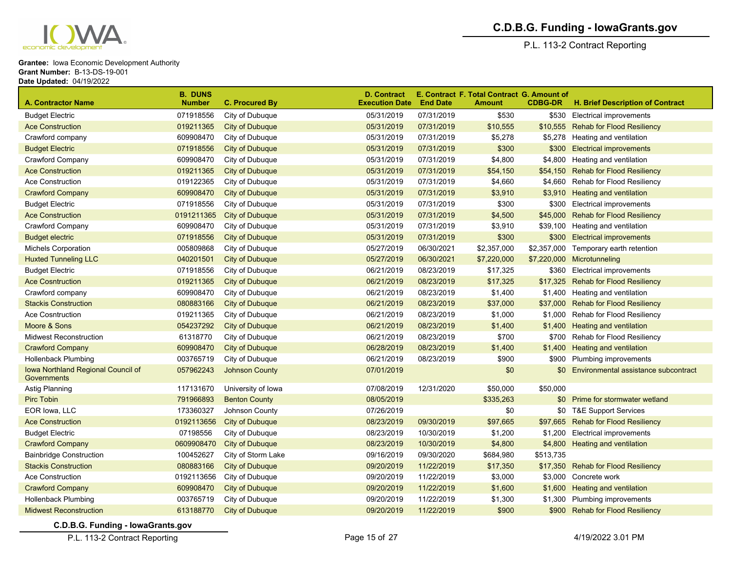# economic deve

### **Date Updated:** 04/19/2022**Grant Number:** B-13-DS-19-001**Grantee:** Iowa Economic Development Authority

P.L. 113-2 Contract Reporting

| <b>A. Contractor Name</b>                                       | <b>B. DUNS</b><br><b>Number</b> | <b>C. Procured By</b>  | <b>D. Contract</b><br><b>Execution Date</b> | <b>End Date</b> | E. Contract F. Total Contract G. Amount of<br><b>Amount</b> | <b>CDBG-DR</b> | <b>H. Brief Description of Contract</b> |
|-----------------------------------------------------------------|---------------------------------|------------------------|---------------------------------------------|-----------------|-------------------------------------------------------------|----------------|-----------------------------------------|
| <b>Budget Electric</b>                                          | 071918556                       | City of Dubuque        | 05/31/2019                                  | 07/31/2019      | \$530                                                       |                | \$530 Electrical improvements           |
| <b>Ace Construction</b>                                         | 019211365                       | <b>City of Dubuque</b> | 05/31/2019                                  | 07/31/2019      | \$10,555                                                    |                | \$10,555 Rehab for Flood Resiliency     |
| Crawford company                                                | 609908470                       | City of Dubuque        | 05/31/2019                                  | 07/31/2019      | \$5,278                                                     |                | \$5,278 Heating and ventilation         |
| <b>Budget Electric</b>                                          | 071918556                       | <b>City of Dubuque</b> | 05/31/2019                                  | 07/31/2019      | \$300                                                       |                | \$300 Electrical improvements           |
| <b>Crawford Company</b>                                         | 609908470                       | City of Dubuque        | 05/31/2019                                  | 07/31/2019      | \$4,800                                                     | \$4,800        | Heating and ventilation                 |
| <b>Ace Construction</b>                                         | 019211365                       | <b>City of Dubuque</b> | 05/31/2019                                  | 07/31/2019      | \$54,150                                                    |                | \$54,150 Rehab for Flood Resiliency     |
| <b>Ace Construction</b>                                         | 019122365                       | City of Dubuque        | 05/31/2019                                  | 07/31/2019      | \$4,660                                                     |                | \$4,660 Rehab for Flood Resiliency      |
| <b>Crawford Company</b>                                         | 609908470                       | <b>City of Dubuque</b> | 05/31/2019                                  | 07/31/2019      | \$3,910                                                     |                | \$3,910 Heating and ventilation         |
| <b>Budget Electric</b>                                          | 071918556                       | City of Dubuque        | 05/31/2019                                  | 07/31/2019      | \$300                                                       |                | \$300 Electrical improvements           |
| <b>Ace Construction</b>                                         | 0191211365                      | <b>City of Dubuque</b> | 05/31/2019                                  | 07/31/2019      | \$4,500                                                     | \$45,000       | <b>Rehab for Flood Resiliency</b>       |
| Crawford Company                                                | 609908470                       | City of Dubuque        | 05/31/2019                                  | 07/31/2019      | \$3,910                                                     | \$39,100       | Heating and ventilation                 |
| <b>Budget electric</b>                                          | 071918556                       | <b>City of Dubuque</b> | 05/31/2019                                  | 07/31/2019      | \$300                                                       | \$300          | <b>Electrical improvements</b>          |
| <b>Michels Corporation</b>                                      | 005809868                       | City of Dubuque        | 05/27/2019                                  | 06/30/2021      | \$2,357,000                                                 | \$2,357,000    | Temporary earth retention               |
| <b>Huxted Tunneling LLC</b>                                     | 040201501                       | <b>City of Dubuque</b> | 05/27/2019                                  | 06/30/2021      | \$7,220,000                                                 | \$7,220,000    | Microtunneling                          |
| <b>Budget Electric</b>                                          | 071918556                       | City of Dubuque        | 06/21/2019                                  | 08/23/2019      | \$17,325                                                    | \$360          | Electrical improvements                 |
| <b>Ace Cosntruction</b>                                         | 019211365                       | <b>City of Dubuque</b> | 06/21/2019                                  | 08/23/2019      | \$17,325                                                    |                | \$17,325 Rehab for Flood Resiliency     |
| Crawford company                                                | 609908470                       | City of Dubuque        | 06/21/2019                                  | 08/23/2019      | \$1,400                                                     |                | \$1,400 Heating and ventilation         |
| <b>Stackis Construction</b>                                     | 080883166                       | <b>City of Dubuque</b> | 06/21/2019                                  | 08/23/2019      | \$37,000                                                    |                | \$37,000 Rehab for Flood Resiliency     |
| <b>Ace Cosntruction</b>                                         | 019211365                       | City of Dubuque        | 06/21/2019                                  | 08/23/2019      | \$1,000                                                     |                | \$1,000 Rehab for Flood Resiliency      |
| Moore & Sons                                                    | 054237292                       | <b>City of Dubuque</b> | 06/21/2019                                  | 08/23/2019      | \$1,400                                                     |                | \$1,400 Heating and ventilation         |
| <b>Midwest Reconstruction</b>                                   | 61318770                        | City of Dubuque        | 06/21/2019                                  | 08/23/2019      | \$700                                                       |                | \$700 Rehab for Flood Resiliency        |
| <b>Crawford Company</b>                                         | 609908470                       | <b>City of Dubuque</b> | 06/28/2019                                  | 08/23/2019      | \$1,400                                                     | \$1,400        | <b>Heating and ventilation</b>          |
| <b>Hollenback Plumbing</b>                                      | 003765719                       | City of Dubuque        | 06/21/2019                                  | 08/23/2019      | \$900                                                       | \$900          | <b>Plumbing improvements</b>            |
| <b>Iowa Northland Regional Council of</b><br><b>Governments</b> | 057962243                       | <b>Johnson County</b>  | 07/01/2019                                  |                 | \$0                                                         | \$0            | Environmental assistance subcontract    |
| Astig Planning                                                  | 117131670                       | University of Iowa     | 07/08/2019                                  | 12/31/2020      | \$50,000                                                    | \$50,000       |                                         |
| <b>Pirc Tobin</b>                                               | 791966893                       | <b>Benton County</b>   | 08/05/2019                                  |                 | \$335,263                                                   | \$0            | <b>Prime for stormwater wetland</b>     |
| EOR Iowa, LLC                                                   | 173360327                       | Johnson County         | 07/26/2019                                  |                 | \$0                                                         |                | \$0 T&E Support Services                |
| <b>Ace Construction</b>                                         | 0192113656                      | <b>City of Dubuque</b> | 08/23/2019                                  | 09/30/2019      | \$97,665                                                    |                | \$97,665 Rehab for Flood Resiliency     |
| <b>Budget Electric</b>                                          | 07198556                        | City of Dubuque        | 08/23/2019                                  | 10/30/2019      | \$1,200                                                     |                | \$1,200 Electrical improvements         |
| <b>Crawford Company</b>                                         | 0609908470                      | <b>City of Dubuque</b> | 08/23/2019                                  | 10/30/2019      | \$4,800                                                     |                | \$4,800 Heating and ventilation         |
| <b>Bainbridge Construction</b>                                  | 100452627                       | City of Storm Lake     | 09/16/2019                                  | 09/30/2020      | \$684,980                                                   | \$513,735      |                                         |
| <b>Stackis Construction</b>                                     | 080883166                       | <b>City of Dubuque</b> | 09/20/2019                                  | 11/22/2019      | \$17,350                                                    |                | \$17,350 Rehab for Flood Resiliency     |
| <b>Ace Construction</b>                                         | 0192113656                      | City of Dubuque        | 09/20/2019                                  | 11/22/2019      | \$3,000                                                     | \$3,000        | Concrete work                           |
| <b>Crawford Company</b>                                         | 609908470                       | <b>City of Dubuque</b> | 09/20/2019                                  | 11/22/2019      | \$1,600                                                     | \$1,600        | <b>Heating and ventilation</b>          |
| Hollenback Plumbing                                             | 003765719                       | City of Dubuque        | 09/20/2019                                  | 11/22/2019      | \$1,300                                                     | \$1,300        | Plumbing improvements                   |
| <b>Midwest Reconstruction</b>                                   | 613188770                       | <b>City of Dubuque</b> | 09/20/2019                                  | 11/22/2019      | \$900                                                       |                | \$900 Rehab for Flood Resiliency        |

### **C.D.B.G. Funding - IowaGrants.gov**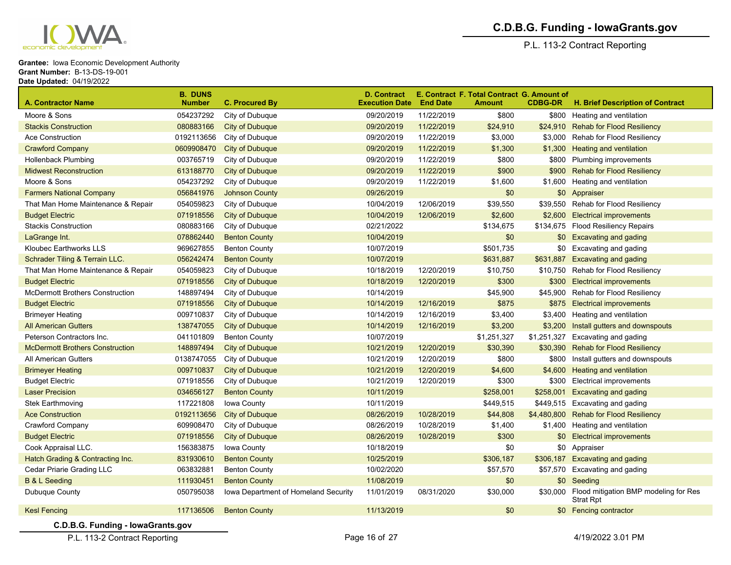# economic de

### **Date Updated:** 04/19/2022**Grant Number:** B-13-DS-19-001**Grantee:** Iowa Economic Development Authority

P.L. 113-2 Contract Reporting

| <b>A. Contractor Name</b>              | <b>B. DUNS</b><br><b>Number</b> | <b>C. Procured By</b>                | <b>D. Contract</b><br><b>Execution Date</b> | <b>End Date</b> | E. Contract F. Total Contract G. Amount of<br><b>Amount</b> | <b>CDBG-DR</b> | <b>H. Brief Description of Contract</b>                   |
|----------------------------------------|---------------------------------|--------------------------------------|---------------------------------------------|-----------------|-------------------------------------------------------------|----------------|-----------------------------------------------------------|
| Moore & Sons                           | 054237292                       | City of Dubuque                      | 09/20/2019                                  | 11/22/2019      | \$800                                                       |                | \$800 Heating and ventilation                             |
| <b>Stackis Construction</b>            | 080883166                       | City of Dubuque                      | 09/20/2019                                  | 11/22/2019      | \$24,910                                                    |                | \$24,910 Rehab for Flood Resiliency                       |
| <b>Ace Construction</b>                | 0192113656                      | City of Dubuque                      | 09/20/2019                                  | 11/22/2019      | \$3,000                                                     |                | \$3,000 Rehab for Flood Resiliency                        |
| <b>Crawford Company</b>                | 0609908470                      | City of Dubuque                      | 09/20/2019                                  | 11/22/2019      | \$1,300                                                     | \$1,300        | Heating and ventilation                                   |
| <b>Hollenback Plumbing</b>             | 003765719                       | City of Dubuque                      | 09/20/2019                                  | 11/22/2019      | \$800                                                       | \$800          | <b>Plumbing improvements</b>                              |
| <b>Midwest Reconstruction</b>          | 613188770                       | <b>City of Dubuque</b>               | 09/20/2019                                  | 11/22/2019      | \$900                                                       |                | \$900 Rehab for Flood Resiliency                          |
| Moore & Sons                           | 054237292                       | City of Dubuque                      | 09/20/2019                                  | 11/22/2019      | \$1,600                                                     |                | \$1,600 Heating and ventilation                           |
| <b>Farmers National Company</b>        | 056841976                       | <b>Johnson County</b>                | 09/26/2019                                  |                 | \$0                                                         |                | \$0 Appraiser                                             |
| That Man Home Maintenance & Repair     | 054059823                       | City of Dubuque                      | 10/04/2019                                  | 12/06/2019      | \$39,550                                                    |                | \$39,550 Rehab for Flood Resiliency                       |
| <b>Budget Electric</b>                 | 071918556                       | <b>City of Dubuque</b>               | 10/04/2019                                  | 12/06/2019      | \$2,600                                                     | \$2,600        | <b>Electrical improvements</b>                            |
| <b>Stackis Construction</b>            | 080883166                       | City of Dubuque                      | 02/21/2022                                  |                 | \$134,675                                                   |                | \$134,675 Flood Resiliency Repairs                        |
| LaGrange Int.                          | 078862440                       | <b>Benton County</b>                 | 10/04/2019                                  |                 | \$0                                                         | \$0            | <b>Excavating and gading</b>                              |
| Kloubec Earthworks LLS                 | 969627855                       | <b>Benton County</b>                 | 10/07/2019                                  |                 | \$501,735                                                   | \$0            | Excavating and gading                                     |
| Schrader Tiling & Terrain LLC.         | 056242474                       | <b>Benton County</b>                 | 10/07/2019                                  |                 | \$631,887                                                   | \$631,887      | <b>Excavating and gading</b>                              |
| That Man Home Maintenance & Repair     | 054059823                       | City of Dubuque                      | 10/18/2019                                  | 12/20/2019      | \$10,750                                                    |                | \$10,750 Rehab for Flood Resiliency                       |
| <b>Budget Electric</b>                 | 071918556                       | <b>City of Dubuque</b>               | 10/18/2019                                  | 12/20/2019      | \$300                                                       | \$300          | <b>Electrical improvements</b>                            |
| <b>McDermott Brothers Construction</b> | 148897494                       | City of Dubuque                      | 10/14/2019                                  |                 | \$45,900                                                    |                | \$45,900 Rehab for Flood Resiliency                       |
| <b>Budget Electric</b>                 | 071918556                       | <b>City of Dubuque</b>               | 10/14/2019                                  | 12/16/2019      | \$875                                                       |                | \$875 Electrical improvements                             |
| <b>Brimeyer Heating</b>                | 009710837                       | City of Dubuque                      | 10/14/2019                                  | 12/16/2019      | \$3,400                                                     |                | \$3,400 Heating and ventilation                           |
| <b>All American Gutters</b>            | 138747055                       | <b>City of Dubuque</b>               | 10/14/2019                                  | 12/16/2019      | \$3,200                                                     | \$3,200        | Install gutters and downspouts                            |
| Peterson Contractors Inc.              | 041101809                       | <b>Benton County</b>                 | 10/07/2019                                  |                 | \$1,251,327                                                 |                | \$1,251,327 Excavating and gading                         |
| <b>McDermott Brothers Construction</b> | 148897494                       | <b>City of Dubuque</b>               | 10/21/2019                                  | 12/20/2019      | \$30,390                                                    |                | \$30,390 Rehab for Flood Resiliency                       |
| <b>All American Gutters</b>            | 0138747055                      | City of Dubuque                      | 10/21/2019                                  | 12/20/2019      | \$800                                                       | \$800          | Install gutters and downspouts                            |
| <b>Brimeyer Heating</b>                | 009710837                       | <b>City of Dubuque</b>               | 10/21/2019                                  | 12/20/2019      | \$4,600                                                     |                | \$4,600 Heating and ventilation                           |
| <b>Budget Electric</b>                 | 071918556                       | City of Dubuque                      | 10/21/2019                                  | 12/20/2019      | \$300                                                       |                | \$300 Electrical improvements                             |
| <b>Laser Precision</b>                 | 034656127                       | <b>Benton County</b>                 | 10/11/2019                                  |                 | \$258,001                                                   | \$258,001      | <b>Excavating and gading</b>                              |
| <b>Stek Earthmoving</b>                | 117221808                       | <b>Iowa County</b>                   | 10/11/2019                                  |                 | \$449,515                                                   |                | \$449,515 Excavating and gading                           |
| <b>Ace Construction</b>                | 0192113656                      | <b>City of Dubuque</b>               | 08/26/2019                                  | 10/28/2019      | \$44,808                                                    | \$4,480,800    | <b>Rehab for Flood Resiliency</b>                         |
| <b>Crawford Company</b>                | 609908470                       | City of Dubuque                      | 08/26/2019                                  | 10/28/2019      | \$1,400                                                     | \$1,400        | Heating and ventilation                                   |
| <b>Budget Electric</b>                 | 071918556                       | <b>City of Dubuque</b>               | 08/26/2019                                  | 10/28/2019      | \$300                                                       |                | \$0 Electrical improvements                               |
| Cook Appraisal LLC.                    | 156383875                       | Iowa County                          | 10/18/2019                                  |                 | \$0                                                         |                | \$0 Appraiser                                             |
| Hatch Grading & Contracting Inc.       | 831930610                       | <b>Benton County</b>                 | 10/25/2019                                  |                 | \$306,187                                                   | \$306,187      | <b>Excavating and gading</b>                              |
| Cedar Priarie Grading LLC              | 063832881                       | <b>Benton County</b>                 | 10/02/2020                                  |                 | \$57,570                                                    |                | \$57,570 Excavating and gading                            |
| <b>B &amp; L Seeding</b>               | 111930451                       | <b>Benton County</b>                 | 11/08/2019                                  |                 | \$0                                                         |                | \$0 Seeding                                               |
| Dubuque County                         | 050795038                       | Iowa Department of Homeland Security | 11/01/2019                                  | 08/31/2020      | \$30,000                                                    | \$30,000       | Flood mitigation BMP modeling for Res<br><b>Strat Rpt</b> |
| <b>Kesl Fencing</b>                    | 117136506                       | <b>Benton County</b>                 | 11/13/2019                                  |                 | \$0                                                         |                | \$0 Fencing contractor                                    |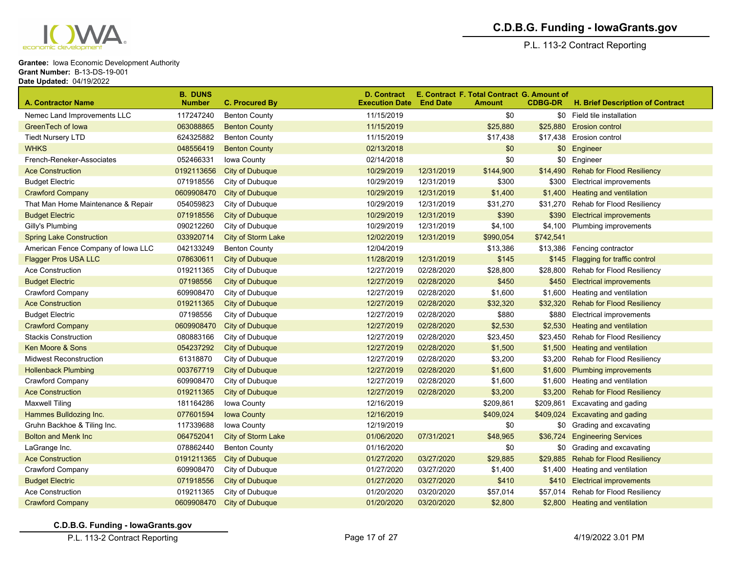# economic deve

### **Date Updated:** 04/19/2022**Grant Number:** B-13-DS-19-001**Grantee:** Iowa Economic Development Authority

P.L. 113-2 Contract Reporting

| <b>A. Contractor Name</b>          | <b>B. DUNS</b><br><b>Number</b> | <b>C. Procured By</b>     | <b>D. Contract</b><br><b>Execution Date</b> | <b>End Date</b> | E. Contract F. Total Contract G. Amount of<br><b>Amount</b> | <b>CDBG-DR</b> | <b>H. Brief Description of Contract</b> |
|------------------------------------|---------------------------------|---------------------------|---------------------------------------------|-----------------|-------------------------------------------------------------|----------------|-----------------------------------------|
| Nemec Land Improvements LLC        | 117247240                       | <b>Benton County</b>      | 11/15/2019                                  |                 | \$0                                                         |                | \$0 Field tile installation             |
| GreenTech of Iowa                  | 063088865                       | <b>Benton County</b>      | 11/15/2019                                  |                 | \$25,880                                                    | \$25,880       | <b>Erosion control</b>                  |
| <b>Tiedt Nursery LTD</b>           | 624325882                       | <b>Benton County</b>      | 11/15/2019                                  |                 | \$17.438                                                    |                | \$17,438 Erosion control                |
| <b>WHKS</b>                        | 048556419                       | <b>Benton County</b>      | 02/13/2018                                  |                 | \$0                                                         |                | \$0 Engineer                            |
| French-Reneker-Associates          | 052466331                       | Iowa County               | 02/14/2018                                  |                 | \$0                                                         |                | \$0 Engineer                            |
| <b>Ace Construction</b>            | 0192113656                      | <b>City of Dubuque</b>    | 10/29/2019                                  | 12/31/2019      | \$144,900                                                   | \$14,490       | <b>Rehab for Flood Resiliency</b>       |
| <b>Budget Electric</b>             | 071918556                       | City of Dubuque           | 10/29/2019                                  | 12/31/2019      | \$300                                                       | \$300          | <b>Electrical improvements</b>          |
| <b>Crawford Company</b>            | 0609908470                      | <b>City of Dubuque</b>    | 10/29/2019                                  | 12/31/2019      | \$1,400                                                     | \$1,400        | Heating and ventilation                 |
| That Man Home Maintenance & Repair | 054059823                       | City of Dubuque           | 10/29/2019                                  | 12/31/2019      | \$31,270                                                    | \$31,270       | Rehab for Flood Resiliency              |
| <b>Budget Electric</b>             | 071918556                       | <b>City of Dubuque</b>    | 10/29/2019                                  | 12/31/2019      | \$390                                                       |                | \$390 Electrical improvements           |
| Gilly's Plumbing                   | 090212260                       | City of Dubuque           | 10/29/2019                                  | 12/31/2019      | \$4,100                                                     | \$4,100        | <b>Plumbing improvements</b>            |
| <b>Spring Lake Construction</b>    | 033920714                       | <b>City of Storm Lake</b> | 12/02/2019                                  | 12/31/2019      | \$990,054                                                   | \$742,541      |                                         |
| American Fence Company of Iowa LLC | 042133249                       | <b>Benton County</b>      | 12/04/2019                                  |                 | \$13,386                                                    |                | \$13,386 Fencing contractor             |
| <b>Flagger Pros USA LLC</b>        | 078630611                       | <b>City of Dubuque</b>    | 11/28/2019                                  | 12/31/2019      | \$145                                                       |                | \$145 Flagging for traffic control      |
| <b>Ace Construction</b>            | 019211365                       | City of Dubuque           | 12/27/2019                                  | 02/28/2020      | \$28,800                                                    | \$28,800       | Rehab for Flood Resiliency              |
| <b>Budget Electric</b>             | 07198556                        | <b>City of Dubuque</b>    | 12/27/2019                                  | 02/28/2020      | \$450                                                       | \$450          | <b>Electrical improvements</b>          |
| <b>Crawford Company</b>            | 609908470                       | City of Dubuque           | 12/27/2019                                  | 02/28/2020      | \$1,600                                                     | \$1,600        | Heating and ventilation                 |
| <b>Ace Construction</b>            | 019211365                       | <b>City of Dubuque</b>    | 12/27/2019                                  | 02/28/2020      | \$32,320                                                    | \$32,320       | <b>Rehab for Flood Resiliency</b>       |
| <b>Budget Electric</b>             | 07198556                        | City of Dubuque           | 12/27/2019                                  | 02/28/2020      | \$880                                                       | \$880          | <b>Electrical improvements</b>          |
| <b>Crawford Company</b>            | 0609908470                      | <b>City of Dubuque</b>    | 12/27/2019                                  | 02/28/2020      | \$2,530                                                     | \$2,530        | <b>Heating and ventilation</b>          |
| <b>Stackis Construction</b>        | 080883166                       | City of Dubuque           | 12/27/2019                                  | 02/28/2020      | \$23,450                                                    | \$23,450       | Rehab for Flood Resiliency              |
| <b>Ken Moore &amp; Sons</b>        | 054237292                       | <b>City of Dubuque</b>    | 12/27/2019                                  | 02/28/2020      | \$1,500                                                     | \$1,500        | <b>Heating and ventilation</b>          |
| <b>Midwest Reconstruction</b>      | 61318870                        | City of Dubuque           | 12/27/2019                                  | 02/28/2020      | \$3,200                                                     |                | \$3,200 Rehab for Flood Resiliency      |
| <b>Hollenback Plumbing</b>         | 003767719                       | <b>City of Dubuque</b>    | 12/27/2019                                  | 02/28/2020      | \$1,600                                                     | \$1,600        | <b>Plumbing improvements</b>            |
| Crawford Company                   | 609908470                       | City of Dubuque           | 12/27/2019                                  | 02/28/2020      | \$1,600                                                     |                | \$1,600 Heating and ventilation         |
| <b>Ace Construction</b>            | 019211365                       | <b>City of Dubuque</b>    | 12/27/2019                                  | 02/28/2020      | \$3,200                                                     | \$3,200        | <b>Rehab for Flood Resiliency</b>       |
| <b>Maxwell Tiling</b>              | 181164286                       | Iowa County               | 12/16/2019                                  |                 | \$209,861                                                   | \$209,861      | Excavating and gading                   |
| Hammes Bulldozing Inc.             | 077601594                       | <b>Iowa County</b>        | 12/16/2019                                  |                 | \$409,024                                                   | \$409,024      | <b>Excavating and gading</b>            |
| Gruhn Backhoe & Tiling Inc.        | 117339688                       | Iowa County               | 12/19/2019                                  |                 | \$0                                                         | \$0            | Grading and excavating                  |
| <b>Bolton and Menk Inc.</b>        | 064752041                       | <b>City of Storm Lake</b> | 01/06/2020                                  | 07/31/2021      | \$48,965                                                    | \$36,724       | <b>Engineering Services</b>             |
| LaGrange Inc.                      | 078862440                       | <b>Benton County</b>      | 01/16/2020                                  |                 | \$0                                                         | \$0            | Grading and excavating                  |
| <b>Ace Construction</b>            | 0191211365                      | <b>City of Dubuque</b>    | 01/27/2020                                  | 03/27/2020      | \$29,885                                                    | \$29,885       | <b>Rehab for Flood Resiliency</b>       |
| <b>Crawford Company</b>            | 609908470                       | City of Dubuque           | 01/27/2020                                  | 03/27/2020      | \$1,400                                                     | \$1,400        | Heating and ventilation                 |
| <b>Budget Electric</b>             | 071918556                       | <b>City of Dubuque</b>    | 01/27/2020                                  | 03/27/2020      | \$410                                                       | \$410          | <b>Electrical improvements</b>          |
| <b>Ace Construction</b>            | 019211365                       | City of Dubuque           | 01/20/2020                                  | 03/20/2020      | \$57,014                                                    | \$57.014       | Rehab for Flood Resiliency              |
| <b>Crawford Company</b>            | 0609908470                      | <b>City of Dubuque</b>    | 01/20/2020                                  | 03/20/2020      | \$2,800                                                     |                | \$2,800 Heating and ventilation         |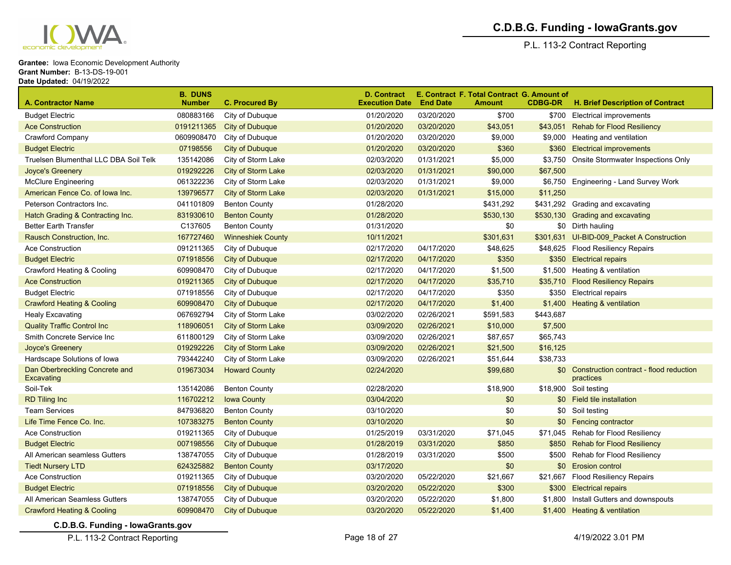## **C.D.B.G. Funding - IowaGrants.gov**

P.L. 113-2 Contract Reporting

### **Date Updated:** 04/19/2022**Grant Number:** B-13-DS-19-001**Grantee:** Iowa Economic Development Authority

| <b>A. Contractor Name</b>                    | <b>B. DUNS</b><br><b>Number</b> | <b>C. Procured By</b>     | <b>D. Contract</b><br><b>Execution Date</b> | <b>End Date</b> | E. Contract F. Total Contract G. Amount of<br><b>Amount</b> | <b>CDBG-DR</b> | <b>H. Brief Description of Contract</b>              |
|----------------------------------------------|---------------------------------|---------------------------|---------------------------------------------|-----------------|-------------------------------------------------------------|----------------|------------------------------------------------------|
| <b>Budget Electric</b>                       | 080883166                       | City of Dubuque           | 01/20/2020                                  | 03/20/2020      | \$700                                                       | \$700          | <b>Electrical improvements</b>                       |
| <b>Ace Construction</b>                      | 0191211365                      | <b>City of Dubuque</b>    | 01/20/2020                                  | 03/20/2020      | \$43,051                                                    | \$43,051       | <b>Rehab for Flood Resiliency</b>                    |
| Crawford Company                             | 0609908470                      | City of Dubuque           | 01/20/2020                                  | 03/20/2020      | \$9,000                                                     | \$9,000        | Heating and ventilation                              |
| <b>Budget Electric</b>                       | 07198556                        | <b>City of Dubuque</b>    | 01/20/2020                                  | 03/20/2020      | \$360                                                       | \$360          | <b>Electrical improvements</b>                       |
| Truelsen Blumenthal LLC DBA Soil Telk        | 135142086                       | City of Storm Lake        | 02/03/2020                                  | 01/31/2021      | \$5,000                                                     | \$3.750        | Onsite Stormwater Inspections Only                   |
| Joyce's Greenery                             | 019292226                       | <b>City of Storm Lake</b> | 02/03/2020                                  | 01/31/2021      | \$90,000                                                    | \$67,500       |                                                      |
| <b>McClure Engineering</b>                   | 061322236                       | City of Storm Lake        | 02/03/2020                                  | 01/31/2021      | \$9,000                                                     |                | \$6,750 Engineering - Land Survey Work               |
| American Fence Co. of Iowa Inc.              | 139796577                       | <b>City of Storm Lake</b> | 02/03/2020                                  | 01/31/2021      | \$15,000                                                    | \$11,250       |                                                      |
| Peterson Contractors Inc.                    | 041101809                       | <b>Benton County</b>      | 01/28/2020                                  |                 | \$431,292                                                   |                | \$431,292 Grading and excavating                     |
| Hatch Grading & Contracting Inc.             | 831930610                       | <b>Benton County</b>      | 01/28/2020                                  |                 | \$530,130                                                   |                | \$530,130 Grading and excavating                     |
| <b>Better Earth Transfer</b>                 | C137605                         | <b>Benton County</b>      | 01/31/2020                                  |                 | \$0                                                         |                | \$0 Dirth hauling                                    |
| Rausch Construction, Inc.                    | 167727460                       | <b>Winneshiek County</b>  | 10/11/2021                                  |                 | \$301,631                                                   | \$301,631      | UI-BID-009_Packet A Construction                     |
| Ace Construction                             | 091211365                       | City of Dubuque           | 02/17/2020                                  | 04/17/2020      | \$48,625                                                    | \$48,625       | <b>Flood Resiliency Repairs</b>                      |
| <b>Budget Electric</b>                       | 071918556                       | <b>City of Dubuque</b>    | 02/17/2020                                  | 04/17/2020      | \$350                                                       |                | \$350 Electrical repairs                             |
| <b>Crawford Heating &amp; Cooling</b>        | 609908470                       | City of Dubuque           | 02/17/2020                                  | 04/17/2020      | \$1,500                                                     | \$1,500        | Heating & ventilation                                |
| <b>Ace Construction</b>                      | 019211365                       | <b>City of Dubuque</b>    | 02/17/2020                                  | 04/17/2020      | \$35,710                                                    | \$35,710       | <b>Flood Resiliency Repairs</b>                      |
| <b>Budget Electric</b>                       | 071918556                       | City of Dubuque           | 02/17/2020                                  | 04/17/2020      | \$350                                                       | \$350          | <b>Electrical repairs</b>                            |
| Crawford Heating & Cooling                   | 609908470                       | <b>City of Dubuque</b>    | 02/17/2020                                  | 04/17/2020      | \$1,400                                                     | \$1,400        | <b>Heating &amp; ventilation</b>                     |
| Healy Excavating                             | 067692794                       | City of Storm Lake        | 03/02/2020                                  | 02/26/2021      | \$591,583                                                   | \$443,687      |                                                      |
| <b>Quality Traffic Control Inc</b>           | 118906051                       | <b>City of Storm Lake</b> | 03/09/2020                                  | 02/26/2021      | \$10,000                                                    | \$7,500        |                                                      |
| Smith Concrete Service Inc                   | 611800129                       | City of Storm Lake        | 03/09/2020                                  | 02/26/2021      | \$87,657                                                    | \$65,743       |                                                      |
| <b>Joyce's Greenery</b>                      | 019292226                       | <b>City of Storm Lake</b> | 03/09/2020                                  | 02/26/2021      | \$21,500                                                    | \$16,125       |                                                      |
| Hardscape Solutions of lowa                  | 793442240                       | City of Storm Lake        | 03/09/2020                                  | 02/26/2021      | \$51,644                                                    | \$38,733       |                                                      |
| Dan Oberbreckling Concrete and<br>Excavating | 019673034                       | <b>Howard County</b>      | 02/24/2020                                  |                 | \$99,680                                                    | \$0            | Construction contract - flood reduction<br>practices |
| Soil-Tek                                     | 135142086                       | <b>Benton County</b>      | 02/28/2020                                  |                 | \$18,900                                                    |                | \$18,900 Soil testing                                |
| <b>RD Tiling Inc</b>                         | 116702212                       | <b>Iowa County</b>        | 03/04/2020                                  |                 | \$0                                                         |                | \$0 Field tile installation                          |
| <b>Team Services</b>                         | 847936820                       | <b>Benton County</b>      | 03/10/2020                                  |                 | \$0                                                         |                | \$0 Soil testing                                     |
| Life Time Fence Co. Inc.                     | 107383275                       | <b>Benton County</b>      | 03/10/2020                                  |                 | \$0                                                         |                | \$0 Fencing contractor                               |
| Ace Construction                             | 019211365                       | City of Dubuque           | 01/25/2019                                  | 03/31/2020      | \$71,045                                                    |                | \$71,045 Rehab for Flood Resiliency                  |
| <b>Budget Electric</b>                       | 007198556                       | <b>City of Dubuque</b>    | 01/28/2019                                  | 03/31/2020      | \$850                                                       |                | \$850 Rehab for Flood Resiliency                     |
| All American seamless Gutters                | 138747055                       | City of Dubuque           | 01/28/2019                                  | 03/31/2020      | \$500                                                       | \$500          | Rehab for Flood Resiliency                           |
| <b>Tiedt Nursery LTD</b>                     | 624325882                       | <b>Benton County</b>      | 03/17/2020                                  |                 | \$0                                                         |                | \$0 Erosion control                                  |
| <b>Ace Construction</b>                      | 019211365                       | City of Dubuque           | 03/20/2020                                  | 05/22/2020      | \$21,667                                                    | \$21,667       | <b>Flood Resiliency Repairs</b>                      |
| <b>Budget Electric</b>                       | 071918556                       | <b>City of Dubuque</b>    | 03/20/2020                                  | 05/22/2020      | \$300                                                       | \$300          | <b>Electrical repairs</b>                            |
| All American Seamless Gutters                | 138747055                       | City of Dubuque           | 03/20/2020                                  | 05/22/2020      | \$1,800                                                     | \$1.800        | Install Gutters and downspouts                       |
| <b>Crawford Heating &amp; Cooling</b>        | 609908470                       | <b>City of Dubuque</b>    | 03/20/2020                                  | 05/22/2020      | \$1,400                                                     |                | \$1,400 Heating & ventilation                        |

### **C.D.B.G. Funding - IowaGrants.gov**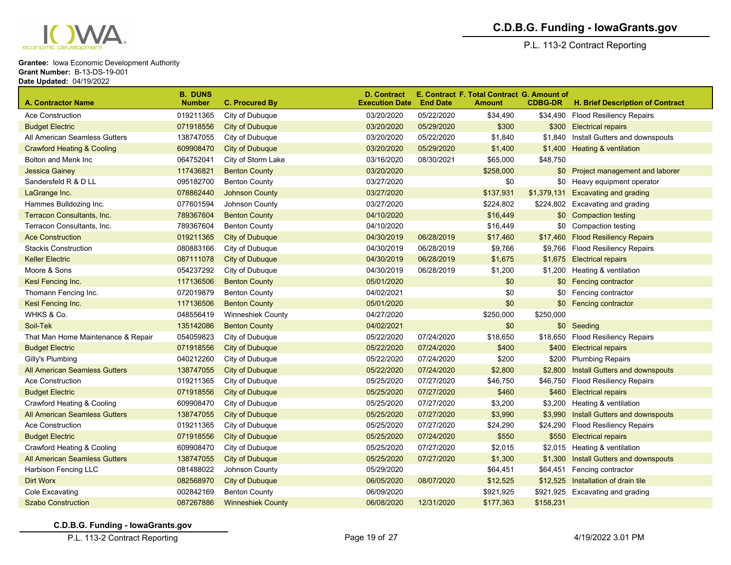# **C.D.B.G. Funding - IowaGrants.gov**

P.L. 113-2 Contract Reporting

### **Date Updated:** 04/19/2022**Grant Number:** B-13-DS-19-001**Grantee:** Iowa Economic Development Authority

| <b>A. Contractor Name</b>             | <b>B. DUNS</b><br><b>Number</b> | <b>C. Procured By</b>    | <b>D. Contract</b><br><b>Execution Date</b> | <b>End Date</b> | E. Contract F. Total Contract G. Amount of<br><b>Amount</b> | <b>CDBG-DR</b> | <b>H. Brief Description of Contract</b> |
|---------------------------------------|---------------------------------|--------------------------|---------------------------------------------|-----------------|-------------------------------------------------------------|----------------|-----------------------------------------|
| <b>Ace Construction</b>               | 019211365                       | City of Dubuque          | 03/20/2020                                  | 05/22/2020      | \$34,490                                                    |                | \$34,490 Flood Resiliency Repairs       |
| <b>Budget Electric</b>                | 071918556                       | City of Dubuque          | 03/20/2020                                  | 05/29/2020      | \$300                                                       |                | \$300 Electrical repairs                |
| All American Seamless Gutters         | 138747055                       | City of Dubuque          | 03/20/2020                                  | 05/22/2020      | \$1,840                                                     |                | \$1,840 Install Gutters and downspouts  |
| <b>Crawford Heating &amp; Cooling</b> | 609908470                       | <b>City of Dubuque</b>   | 03/20/2020                                  | 05/29/2020      | \$1,400                                                     |                | \$1,400 Heating & ventilation           |
| Bolton and Menk Inc.                  | 064752041                       | City of Storm Lake       | 03/16/2020                                  | 08/30/2021      | \$65,000                                                    | \$48,750       |                                         |
| <b>Jessica Gainey</b>                 | 117436821                       | <b>Benton County</b>     | 03/20/2020                                  |                 | \$258,000                                                   |                | \$0 Project management and laborer      |
| Sandersfeld R & D LL                  | 095182700                       | <b>Benton County</b>     | 03/27/2020                                  |                 | \$0                                                         |                | \$0 Heavy equipment operator            |
| LaGrange Inc.                         | 078862440                       | <b>Johnson County</b>    | 03/27/2020                                  |                 | \$137,931                                                   | \$1,379,131    | <b>Excavating and grading</b>           |
| Hammes Bulldozing Inc.                | 077601594                       | Johnson County           | 03/27/2020                                  |                 | \$224,802                                                   | \$224,802      | Excavating and grading                  |
| <b>Terracon Consultants, Inc.</b>     | 789367604                       | <b>Benton County</b>     | 04/10/2020                                  |                 | \$16.449                                                    |                | \$0 Compaction testing                  |
| Terracon Consultants, Inc.            | 789367604                       | <b>Benton County</b>     | 04/10/2020                                  |                 | \$16,449                                                    |                | \$0 Compaction testing                  |
| <b>Ace Construction</b>               | 019211365                       | <b>City of Dubuque</b>   | 04/30/2019                                  | 06/28/2019      | \$17,460                                                    |                | \$17,460 Flood Resiliency Repairs       |
| <b>Stackis Construction</b>           | 080883166                       | City of Dubuque          | 04/30/2019                                  | 06/28/2019      | \$9,766                                                     |                | \$9,766 Flood Resiliency Repairs        |
| <b>Keller Electric</b>                | 087111078                       | City of Dubuque          | 04/30/2019                                  | 06/28/2019      | \$1,675                                                     |                | \$1,675 Electrical repairs              |
| Moore & Sons                          | 054237292                       | City of Dubuque          | 04/30/2019                                  | 06/28/2019      | \$1,200                                                     |                | \$1,200 Heating & ventilation           |
| Kesl Fencing Inc.                     | 117136506                       | <b>Benton County</b>     | 05/01/2020                                  |                 | \$0                                                         |                | \$0 Fencing contractor                  |
| Thomann Fencing Inc.                  | 072019879                       | <b>Benton County</b>     | 04/02/2021                                  |                 | \$0                                                         |                | \$0 Fencing contractor                  |
| Kesl Fencing Inc.                     | 117136506                       | <b>Benton County</b>     | 05/01/2020                                  |                 | \$0                                                         |                | \$0 Fencing contractor                  |
| WHKS & Co.                            | 048556419                       | <b>Winneshiek County</b> | 04/27/2020                                  |                 | \$250,000                                                   | \$250,000      |                                         |
| Soil-Tek                              | 135142086                       | <b>Benton County</b>     | 04/02/2021                                  |                 | \$0                                                         |                | \$0 Seeding                             |
| That Man Home Maintenance & Repair    | 054059823                       | City of Dubuque          | 05/22/2020                                  | 07/24/2020      | \$18,650                                                    |                | \$18,650 Flood Resiliency Repairs       |
| <b>Budget Electric</b>                | 071918556                       | <b>City of Dubuque</b>   | 05/22/2020                                  | 07/24/2020      | \$400                                                       |                | \$400 Electrical repairs                |
| Gilly's Plumbing                      | 040212260                       | City of Dubuque          | 05/22/2020                                  | 07/24/2020      | \$200                                                       |                | \$200 Plumbing Repairs                  |
| <b>All American Seamless Gutters</b>  | 138747055                       | <b>City of Dubuque</b>   | 05/22/2020                                  | 07/24/2020      | \$2,800                                                     | \$2,800        | Install Gutters and downspouts          |
| <b>Ace Construction</b>               | 019211365                       | City of Dubuque          | 05/25/2020                                  | 07/27/2020      | \$46,750                                                    |                | \$46,750 Flood Resiliency Repairs       |
| <b>Budget Electric</b>                | 071918556                       | <b>City of Dubuque</b>   | 05/25/2020                                  | 07/27/2020      | \$460                                                       |                | \$460 Electrical repairs                |
| Crawford Heating & Cooling            | 609908470                       | City of Dubuque          | 05/25/2020                                  | 07/27/2020      | \$3,200                                                     |                | \$3,200 Heating & ventilation           |
| <b>All American Seamless Gutters</b>  | 138747055                       | <b>City of Dubuque</b>   | 05/25/2020                                  | 07/27/2020      | \$3,990                                                     | \$3,990        | Install Gutters and downspouts          |
| <b>Ace Construction</b>               | 019211365                       | City of Dubuque          | 05/25/2020                                  | 07/27/2020      | \$24,290                                                    |                | \$24,290 Flood Resiliency Repairs       |
| <b>Budget Electric</b>                | 071918556                       | <b>City of Dubuque</b>   | 05/25/2020                                  | 07/24/2020      | \$550                                                       |                | \$550 Electrical repairs                |
| <b>Crawford Heating &amp; Cooling</b> | 609908470                       | City of Dubuque          | 05/25/2020                                  | 07/27/2020      | \$2,015                                                     |                | \$2,015 Heating & ventilation           |
| <b>All American Seamless Gutters</b>  | 138747055                       | <b>City of Dubuque</b>   | 05/25/2020                                  | 07/27/2020      | \$1,300                                                     | \$1,300        | Install Gutters and downspouts          |
| <b>Harbison Fencing LLC</b>           | 081488022                       | Johnson County           | 05/29/2020                                  |                 | \$64,451                                                    |                | \$64,451 Fencing contractor             |
| <b>Dirt Worx</b>                      | 082568970                       | <b>City of Dubuque</b>   | 06/05/2020                                  | 08/07/2020      | \$12,525                                                    | \$12,525       | Installation of drain tile              |
| <b>Cole Excavating</b>                | 002842169                       | <b>Benton County</b>     | 06/09/2020                                  |                 | \$921,925                                                   | \$921,925      | <b>Excavating and grading</b>           |
| <b>Szabo Construction</b>             | 087267886                       | <b>Winneshiek County</b> | 06/08/2020                                  | 12/31/2020      | \$177,363                                                   | \$158,231      |                                         |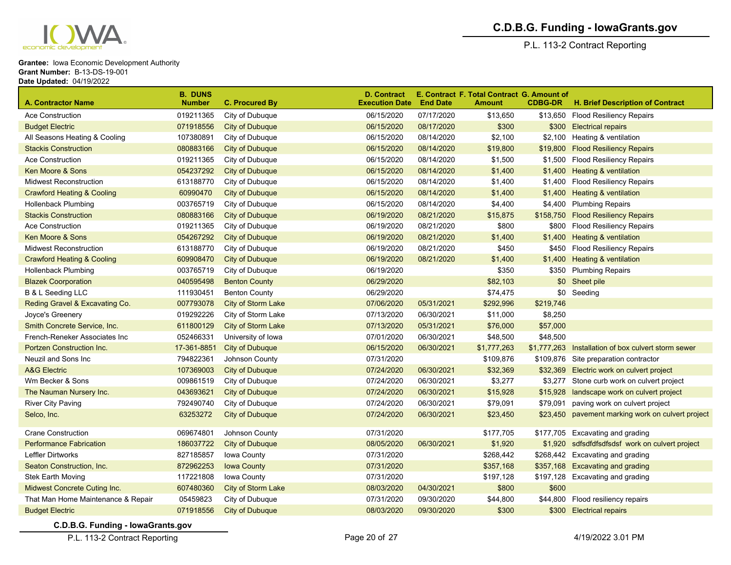# **C.D.B.G. Funding - IowaGrants.gov**

P.L. 113-2 Contract Reporting

### **Date Updated:** 04/19/2022**Grant Number:** B-13-DS-19-001**Grantee:** Iowa Economic Development Authority

| <b>A. Contractor Name</b>             | <b>B. DUNS</b><br><b>Number</b> | <b>C. Procured By</b>     | <b>D. Contract</b><br><b>Execution Date</b> | <b>End Date</b> | E. Contract F. Total Contract G. Amount of<br><b>Amount</b> | <b>CDBG-DR</b> | <b>H. Brief Description of Contract</b>             |
|---------------------------------------|---------------------------------|---------------------------|---------------------------------------------|-----------------|-------------------------------------------------------------|----------------|-----------------------------------------------------|
| <b>Ace Construction</b>               | 019211365                       | City of Dubuque           | 06/15/2020                                  | 07/17/2020      | \$13,650                                                    | \$13,650       | <b>Flood Resiliency Repairs</b>                     |
| <b>Budget Electric</b>                | 071918556                       | <b>City of Dubuque</b>    | 06/15/2020                                  | 08/17/2020      | \$300                                                       |                | \$300 Electrical repairs                            |
| All Seasons Heating & Cooling         | 107380891                       | City of Dubuque           | 06/15/2020                                  | 08/14/2020      | \$2,100                                                     |                | \$2,100 Heating & ventilation                       |
| <b>Stackis Construction</b>           | 080883166                       | <b>City of Dubuque</b>    | 06/15/2020                                  | 08/14/2020      | \$19,800                                                    |                | \$19,800 Flood Resiliency Repairs                   |
| <b>Ace Construction</b>               | 019211365                       | City of Dubuque           | 06/15/2020                                  | 08/14/2020      | \$1,500                                                     |                | \$1,500 Flood Resiliency Repairs                    |
| <b>Ken Moore &amp; Sons</b>           | 054237292                       | <b>City of Dubuque</b>    | 06/15/2020                                  | 08/14/2020      | \$1,400                                                     |                | \$1,400 Heating & ventilation                       |
| <b>Midwest Reconstruction</b>         | 613188770                       | City of Dubuque           | 06/15/2020                                  | 08/14/2020      | \$1,400                                                     |                | \$1,400 Flood Resiliency Repairs                    |
| <b>Crawford Heating &amp; Cooling</b> | 60990470                        | <b>City of Dubuque</b>    | 06/15/2020                                  | 08/14/2020      | \$1,400                                                     |                | \$1,400 Heating & ventilation                       |
| Hollenback Plumbing                   | 003765719                       | City of Dubuque           | 06/15/2020                                  | 08/14/2020      | \$4,400                                                     | \$4,400        | <b>Plumbing Repairs</b>                             |
| <b>Stackis Construction</b>           | 080883166                       | <b>City of Dubuque</b>    | 06/19/2020                                  | 08/21/2020      | \$15,875                                                    | \$158,750      | <b>Flood Resiliency Repairs</b>                     |
| <b>Ace Construction</b>               | 019211365                       | City of Dubuque           | 06/19/2020                                  | 08/21/2020      | \$800                                                       | \$800          | <b>Flood Resiliency Repairs</b>                     |
| <b>Ken Moore &amp; Sons</b>           | 054267292                       | <b>City of Dubuque</b>    | 06/19/2020                                  | 08/21/2020      | \$1,400                                                     | \$1,400        | <b>Heating &amp; ventilation</b>                    |
| <b>Midwest Reconstruction</b>         | 613188770                       | City of Dubuque           | 06/19/2020                                  | 08/21/2020      | \$450                                                       | \$450          | <b>Flood Resiliency Repairs</b>                     |
| <b>Crawford Heating &amp; Cooling</b> | 609908470                       | City of Dubuque           | 06/19/2020                                  | 08/21/2020      | \$1,400                                                     | \$1,400        | <b>Heating &amp; ventilation</b>                    |
| <b>Hollenback Plumbing</b>            | 003765719                       | City of Dubuque           | 06/19/2020                                  |                 | \$350                                                       | \$350          | <b>Plumbing Repairs</b>                             |
| <b>Blazek Coorporation</b>            | 040595498                       | <b>Benton County</b>      | 06/29/2020                                  |                 | \$82,103                                                    |                | \$0 Sheet pile                                      |
| B & L Seeding LLC                     | 111930451                       | <b>Benton County</b>      | 06/29/2020                                  |                 | \$74,475                                                    |                | \$0 Seeding                                         |
| Reding Gravel & Excavating Co.        | 007793078                       | <b>City of Storm Lake</b> | 07/06/2020                                  | 05/31/2021      | \$292,996                                                   | \$219,746      |                                                     |
| Joyce's Greenery                      | 019292226                       | City of Storm Lake        | 07/13/2020                                  | 06/30/2021      | \$11,000                                                    | \$8,250        |                                                     |
| Smith Concrete Service, Inc.          | 611800129                       | <b>City of Storm Lake</b> | 07/13/2020                                  | 05/31/2021      | \$76,000                                                    | \$57,000       |                                                     |
| French-Reneker Associates Inc         | 052466331                       | University of Iowa        | 07/01/2020                                  | 06/30/2021      | \$48,500                                                    | \$48,500       |                                                     |
| <b>Portzen Construction Inc.</b>      | 17-361-8851                     | <b>City of Dubuque</b>    | 06/15/2020                                  | 06/30/2021      | \$1,777,263                                                 |                | \$1,777,263 Installation of box culvert storm sewer |
| Neuzil and Sons Inc                   | 794822361                       | Johnson County            | 07/31/2020                                  |                 | \$109,876                                                   |                | \$109,876 Site preparation contractor               |
| <b>A&amp;G Electric</b>               | 107369003                       | <b>City of Dubuque</b>    | 07/24/2020                                  | 06/30/2021      | \$32,369                                                    |                | \$32,369 Electric work on culvert project           |
| Wm Becker & Sons                      | 009861519                       | City of Dubuque           | 07/24/2020                                  | 06/30/2021      | \$3,277                                                     |                | \$3,277 Stone curb work on culvert project          |
| The Nauman Nursery Inc.               | 043693621                       | <b>City of Dubuque</b>    | 07/24/2020                                  | 06/30/2021      | \$15,928                                                    | \$15,928       | landscape work on culvert project                   |
| <b>River City Paving</b>              | 792490740                       | City of Dubuque           | 07/24/2020                                  | 06/30/2021      | \$79,091                                                    | \$79,091       | paving work on culvert project                      |
| Selco, Inc.                           | 63253272                        | <b>City of Dubuque</b>    | 07/24/2020                                  | 06/30/2021      | \$23,450                                                    |                | \$23,450 pavement marking work on culvert project   |
| <b>Crane Construction</b>             | 069674801                       | Johnson County            | 07/31/2020                                  |                 | \$177,705                                                   |                | \$177,705 Excavating and grading                    |
| <b>Performance Fabrication</b>        | 186037722                       | City of Dubuque           | 08/05/2020                                  | 06/30/2021      | \$1,920                                                     |                | \$1,920 sdfsdfdfsdfsdsf work on culvert project     |
| Leffler Dirtworks                     | 827185857                       | Iowa County               | 07/31/2020                                  |                 | \$268,442                                                   |                | \$268,442 Excavating and grading                    |
| Seaton Construction, Inc.             | 872962253                       | <b>Iowa County</b>        | 07/31/2020                                  |                 | \$357,168                                                   |                | \$357,168 Excavating and grading                    |
| <b>Stek Earth Moving</b>              | 117221808                       | Iowa County               | 07/31/2020                                  |                 | \$197,128                                                   |                | \$197,128 Excavating and grading                    |
| <b>Midwest Concrete Cuting Inc.</b>   | 607480360                       | <b>City of Storm Lake</b> | 08/03/2020                                  | 04/30/2021      | \$800                                                       | \$600          |                                                     |
| That Man Home Maintenance & Repair    | 05459823                        | City of Dubuque           | 07/31/2020                                  | 09/30/2020      | \$44,800                                                    |                | \$44,800 Flood resiliency repairs                   |
| <b>Budget Electric</b>                | 071918556                       | <b>City of Dubuque</b>    | 08/03/2020                                  | 09/30/2020      | \$300                                                       |                | \$300 Electrical repairs                            |
|                                       |                                 |                           |                                             |                 |                                                             |                |                                                     |

## **C.D.B.G. Funding - IowaGrants.gov**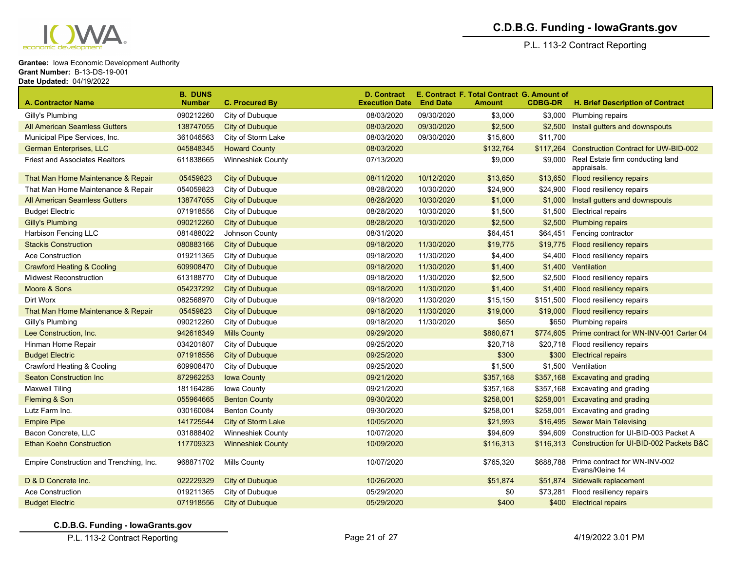### **Date Updated:** 04/19/2022**Grant Number:** B-13-DS-19-001**Grantee:** Iowa Economic Development Authority

P.L. 113-2 Contract Reporting

| <b>A. Contractor Name</b>               | <b>B. DUNS</b><br><b>Number</b> | <b>C. Procured By</b>     | <b>D. Contract</b><br><b>Execution Date</b> | <b>End Date</b> | E. Contract F. Total Contract G. Amount of<br><b>Amount</b> | <b>CDBG-DR</b> | <b>H. Brief Description of Contract</b>           |
|-----------------------------------------|---------------------------------|---------------------------|---------------------------------------------|-----------------|-------------------------------------------------------------|----------------|---------------------------------------------------|
| Gilly's Plumbing                        | 090212260                       | City of Dubuque           | 08/03/2020                                  | 09/30/2020      | \$3,000                                                     |                | \$3,000 Plumbing repairs                          |
| <b>All American Seamless Gutters</b>    | 138747055                       | <b>City of Dubuque</b>    | 08/03/2020                                  | 09/30/2020      | \$2,500                                                     |                | \$2,500 Install gutters and downspouts            |
| Municipal Pipe Services, Inc.           | 361046563                       | City of Storm Lake        | 08/03/2020                                  | 09/30/2020      | \$15,600                                                    | \$11,700       |                                                   |
| <b>German Enterprises, LLC</b>          | 045848345                       | <b>Howard County</b>      | 08/03/2020                                  |                 | \$132,764                                                   |                | \$117,264 Construction Contract for UW-BID-002    |
| <b>Friest and Associates Realtors</b>   | 611838665                       | <b>Winneshiek County</b>  | 07/13/2020                                  |                 | \$9,000                                                     | \$9,000        | Real Estate firm conducting land<br>appraisals.   |
| That Man Home Maintenance & Repair      | 05459823                        | <b>City of Dubuque</b>    | 08/11/2020                                  | 10/12/2020      | \$13,650                                                    |                | \$13,650 Flood resiliency repairs                 |
| That Man Home Maintenance & Repair      | 054059823                       | City of Dubuque           | 08/28/2020                                  | 10/30/2020      | \$24,900                                                    | \$24,900       | Flood resiliency repairs                          |
| <b>All American Seamless Gutters</b>    | 138747055                       | <b>City of Dubuque</b>    | 08/28/2020                                  | 10/30/2020      | \$1,000                                                     | \$1,000        | Install gutters and downspouts                    |
| <b>Budget Electric</b>                  | 071918556                       | City of Dubuque           | 08/28/2020                                  | 10/30/2020      | \$1,500                                                     | \$1,500        | <b>Electrical repairs</b>                         |
| <b>Gilly's Plumbing</b>                 | 090212260                       | <b>City of Dubuque</b>    | 08/28/2020                                  | 10/30/2020      | \$2,500                                                     |                | \$2,500 Plumbing repairs                          |
| <b>Harbison Fencing LLC</b>             | 081488022                       | Johnson County            | 08/31/2020                                  |                 | \$64,451                                                    |                | \$64,451 Fencing contractor                       |
| <b>Stackis Construction</b>             | 080883166                       | <b>City of Dubuque</b>    | 09/18/2020                                  | 11/30/2020      | \$19,775                                                    |                | \$19,775 Flood resiliency repairs                 |
| <b>Ace Construction</b>                 | 019211365                       | City of Dubuque           | 09/18/2020                                  | 11/30/2020      | \$4,400                                                     |                | \$4,400 Flood resiliency repairs                  |
| <b>Crawford Heating &amp; Cooling</b>   | 609908470                       | <b>City of Dubuque</b>    | 09/18/2020                                  | 11/30/2020      | \$1,400                                                     |                | \$1,400 Ventilation                               |
| <b>Midwest Reconstruction</b>           | 613188770                       | City of Dubuque           | 09/18/2020                                  | 11/30/2020      | \$2,500                                                     |                | \$2,500 Flood resiliency repairs                  |
| Moore & Sons                            | 054237292                       | <b>City of Dubuque</b>    | 09/18/2020                                  | 11/30/2020      | \$1,400                                                     |                | \$1,400 Flood resiliency repairs                  |
| Dirt Worx                               | 082568970                       | City of Dubuque           | 09/18/2020                                  | 11/30/2020      | \$15,150                                                    |                | \$151,500 Flood resiliency repairs                |
| That Man Home Maintenance & Repair      | 05459823                        | <b>City of Dubuque</b>    | 09/18/2020                                  | 11/30/2020      | \$19,000                                                    |                | \$19,000 Flood resiliency repairs                 |
| Gilly's Plumbing                        | 090212260                       | City of Dubuque           | 09/18/2020                                  | 11/30/2020      | \$650                                                       | \$650          | <b>Plumbing repairs</b>                           |
| Lee Construction, Inc.                  | 942618349                       | <b>Mills County</b>       | 09/29/2020                                  |                 | \$860,671                                                   |                | \$774,605 Prime contract for WN-INV-001 Carter 04 |
| Hinman Home Repair                      | 034201807                       | City of Dubuque           | 09/25/2020                                  |                 | \$20,718                                                    |                | \$20,718 Flood resiliency repairs                 |
| <b>Budget Electric</b>                  | 071918556                       | <b>City of Dubuque</b>    | 09/25/2020                                  |                 | \$300                                                       |                | \$300 Electrical repairs                          |
| <b>Crawford Heating &amp; Cooling</b>   | 609908470                       | City of Dubuque           | 09/25/2020                                  |                 | \$1,500                                                     |                | \$1,500 Ventilation                               |
| <b>Seaton Construction Inc.</b>         | 872962253                       | <b>Iowa County</b>        | 09/21/2020                                  |                 | \$357,168                                                   |                | \$357,168 Excavating and grading                  |
| Maxwell Tiling                          | 181164286                       | Iowa County               | 09/21/2020                                  |                 | \$357,168                                                   |                | \$357,168 Excavating and grading                  |
| Fleming & Son                           | 055964665                       | <b>Benton County</b>      | 09/30/2020                                  |                 | \$258,001                                                   | \$258,001      | <b>Excavating and grading</b>                     |
| Lutz Farm Inc.                          | 030160084                       | <b>Benton County</b>      | 09/30/2020                                  |                 | \$258,001                                                   | \$258,001      | Excavating and grading                            |
| <b>Empire Pipe</b>                      | 141725544                       | <b>City of Storm Lake</b> | 10/05/2020                                  |                 | \$21,993                                                    |                | \$16,495 Sewer Main Televising                    |
| Bacon Concrete, LLC                     | 031888402                       | <b>Winneshiek County</b>  | 10/07/2020                                  |                 | \$94,609                                                    | \$94.609       | Construction for UI-BID-003 Packet A              |
| <b>Ethan Koehn Construction</b>         | 117709323                       | <b>Winneshiek County</b>  | 10/09/2020                                  |                 | \$116,313                                                   |                | \$116.313 Construction for UI-BID-002 Packets B&C |
| Empire Construction and Trenching, Inc. | 968871702                       | <b>Mills County</b>       | 10/07/2020                                  |                 | \$765,320                                                   | \$688,788      | Prime contract for WN-INV-002<br>Evans/Kleine 14  |
| D & D Concrete Inc.                     | 022229329                       | <b>City of Dubuque</b>    | 10/26/2020                                  |                 | \$51,874                                                    |                | \$51,874 Sidewalk replacement                     |
| <b>Ace Construction</b>                 | 019211365                       | City of Dubuque           | 05/29/2020                                  |                 | \$0                                                         | \$73,281       | Flood resiliency repairs                          |
| <b>Budget Electric</b>                  | 071918556                       | <b>City of Dubuque</b>    | 05/29/2020                                  |                 | \$400                                                       |                | \$400 Electrical repairs                          |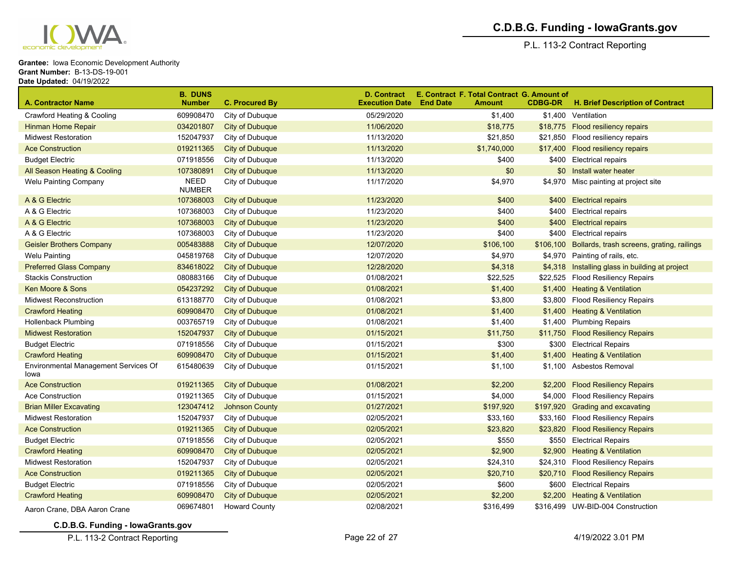# economic d

#### **Date Updated:** 04/19/2022**Grant Number:** B-13-DS-19-001**Grantee:** Iowa Economic Development Authority

P.L. 113-2 Contract Reporting

| <b>A. Contractor Name</b>                    | <b>B. DUNS</b><br><b>Number</b> | <b>C. Procured By</b>  | <b>D. Contract</b><br><b>Execution Date End Date</b> | E. Contract F. Total Contract G. Amount of<br><b>Amount</b> | <b>CDBG-DR</b> | <b>H. Brief Description of Contract</b>         |
|----------------------------------------------|---------------------------------|------------------------|------------------------------------------------------|-------------------------------------------------------------|----------------|-------------------------------------------------|
| Crawford Heating & Cooling                   | 609908470                       | City of Dubuque        | 05/29/2020                                           | \$1,400                                                     |                | \$1,400 Ventilation                             |
| Hinman Home Repair                           | 034201807                       | City of Dubuque        | 11/06/2020                                           | \$18,775                                                    |                | \$18,775 Flood resiliency repairs               |
| <b>Midwest Restoration</b>                   | 152047937                       | City of Dubuque        | 11/13/2020                                           | \$21,850                                                    |                | \$21,850 Flood resiliency repairs               |
| <b>Ace Construction</b>                      | 019211365                       | <b>City of Dubuque</b> | 11/13/2020                                           | \$1,740,000                                                 |                | \$17,400 Flood resiliency repairs               |
| <b>Budget Electric</b>                       | 071918556                       | City of Dubuque        | 11/13/2020                                           | \$400                                                       |                | \$400 Electrical repairs                        |
| All Season Heating & Cooling                 | 107380891                       | <b>City of Dubuque</b> | 11/13/2020                                           | \$0                                                         |                | \$0 Install water heater                        |
| Welu Painting Company                        | <b>NEED</b><br><b>NUMBER</b>    | City of Dubuque        | 11/17/2020                                           | \$4,970                                                     |                | \$4,970 Misc painting at project site           |
| A & G Electric                               | 107368003                       | <b>City of Dubuque</b> | 11/23/2020                                           | \$400                                                       |                | \$400 Electrical repairs                        |
| A & G Electric                               | 107368003                       | City of Dubuque        | 11/23/2020                                           | \$400                                                       |                | \$400 Electrical repairs                        |
| A & G Electric                               | 107368003                       | <b>City of Dubuque</b> | 11/23/2020                                           | \$400                                                       |                | \$400 Electrical repairs                        |
| A & G Electric                               | 107368003                       | City of Dubuque        | 11/23/2020                                           | \$400                                                       |                | \$400 Electrical repairs                        |
| <b>Geisler Brothers Company</b>              | 005483888                       | <b>City of Dubuque</b> | 12/07/2020                                           | \$106,100                                                   | \$106,100      | Bollards, trash screens, grating, railings      |
| <b>Welu Painting</b>                         | 045819768                       | City of Dubuque        | 12/07/2020                                           | \$4,970                                                     |                | \$4,970 Painting of rails, etc.                 |
| <b>Preferred Glass Company</b>               | 834618022                       | <b>City of Dubuque</b> | 12/28/2020                                           | \$4,318                                                     |                | \$4,318 Installing glass in building at project |
| <b>Stackis Construction</b>                  | 080883166                       | City of Dubuque        | 01/08/2021                                           | \$22,525                                                    |                | \$22,525 Flood Resiliency Repairs               |
| Ken Moore & Sons                             | 054237292                       | <b>City of Dubuque</b> | 01/08/2021                                           | \$1,400                                                     |                | \$1,400 Heating & Ventilation                   |
| Midwest Reconstruction                       | 613188770                       | City of Dubuque        | 01/08/2021                                           | \$3,800                                                     |                | \$3,800 Flood Resiliency Repairs                |
| <b>Crawford Heating</b>                      | 609908470                       | <b>City of Dubuque</b> | 01/08/2021                                           | \$1,400                                                     |                | \$1,400 Heating & Ventilation                   |
| Hollenback Plumbing                          | 003765719                       | City of Dubuque        | 01/08/2021                                           | \$1,400                                                     |                | \$1,400 Plumbing Repairs                        |
| <b>Midwest Restoration</b>                   | 152047937                       | <b>City of Dubuque</b> | 01/15/2021                                           | \$11,750                                                    |                | \$11,750 Flood Resiliency Repairs               |
| <b>Budget Electric</b>                       | 071918556                       | City of Dubuque        | 01/15/2021                                           | \$300                                                       | \$300          | <b>Electrical Repairs</b>                       |
| <b>Crawford Heating</b>                      | 609908470                       | <b>City of Dubuque</b> | 01/15/2021                                           | \$1,400                                                     | \$1,400        | <b>Heating &amp; Ventilation</b>                |
| Environmental Management Services Of<br>lowa | 615480639                       | City of Dubuque        | 01/15/2021                                           | \$1,100                                                     |                | \$1,100 Asbestos Removal                        |
| <b>Ace Construction</b>                      | 019211365                       | <b>City of Dubuque</b> | 01/08/2021                                           | \$2,200                                                     | \$2,200        | <b>Flood Resiliency Repairs</b>                 |
| <b>Ace Construction</b>                      | 019211365                       | City of Dubuque        | 01/15/2021                                           | \$4,000                                                     | \$4,000        | <b>Flood Resiliency Repairs</b>                 |
| <b>Brian Miller Excavating</b>               | 123047412                       | <b>Johnson County</b>  | 01/27/2021                                           | \$197,920                                                   |                | \$197,920 Grading and excavating                |
| <b>Midwest Restoration</b>                   | 152047937                       | City of Dubuque        | 02/05/2021                                           | \$33,160                                                    | \$33,160       | <b>Flood Resiliency Repairs</b>                 |
| <b>Ace Construction</b>                      | 019211365                       | <b>City of Dubuque</b> | 02/05/2021                                           | \$23,820                                                    |                | \$23,820 Flood Resiliency Repairs               |
| <b>Budget Electric</b>                       | 071918556                       | City of Dubuque        | 02/05/2021                                           | \$550                                                       | \$550          | <b>Electrical Repairs</b>                       |
| <b>Crawford Heating</b>                      | 609908470                       | <b>City of Dubuque</b> | 02/05/2021                                           | \$2,900                                                     |                | \$2,900 Heating & Ventilation                   |
| <b>Midwest Restoration</b>                   | 152047937                       | City of Dubuque        | 02/05/2021                                           | \$24,310                                                    |                | \$24,310 Flood Resiliency Repairs               |
| <b>Ace Construction</b>                      | 019211365                       | <b>City of Dubuque</b> | 02/05/2021                                           | \$20,710                                                    |                | \$20,710 Flood Resiliency Repairs               |
| <b>Budget Electric</b>                       | 071918556                       | City of Dubuque        | 02/05/2021                                           | \$600                                                       |                | \$600 Electrical Repairs                        |
| <b>Crawford Heating</b>                      | 609908470                       | <b>City of Dubuque</b> | 02/05/2021                                           | \$2,200                                                     |                | \$2,200 Heating & Ventilation                   |
| Aaron Crane, DBA Aaron Crane                 | 069674801                       | <b>Howard County</b>   | 02/08/2021                                           | \$316,499                                                   |                | \$316,499 UW-BID-004 Construction               |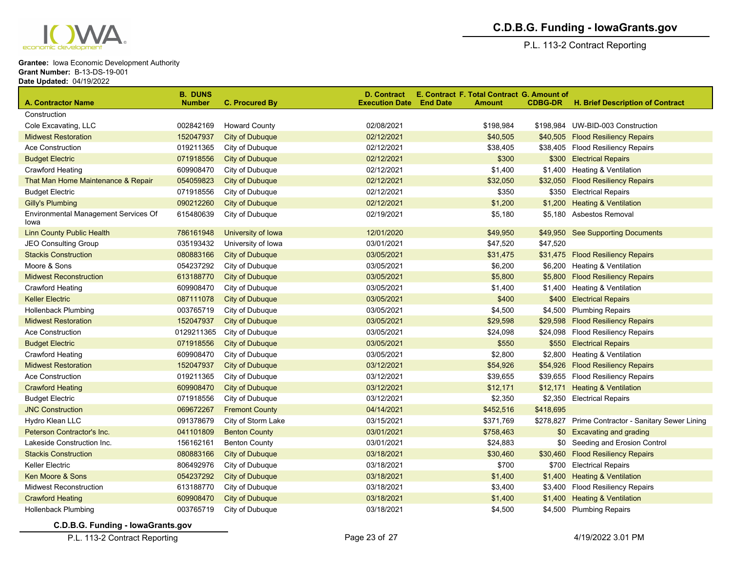# economic de

## **C.D.B.G. Funding - IowaGrants.gov**

P.L. 113-2 Contract Reporting

### **Date Updated:** 04/19/2022**Grant Number:** B-13-DS-19-001**Grantee:** Iowa Economic Development Authority

|                                              | <b>B. DUNS</b> |                        | <b>D. Contract</b>             | <b>E. Contract F. Total Contract G. Amount of</b> |                |                                                    |
|----------------------------------------------|----------------|------------------------|--------------------------------|---------------------------------------------------|----------------|----------------------------------------------------|
| <b>A. Contractor Name</b>                    | <b>Number</b>  | <b>C. Procured By</b>  | <b>Execution Date End Date</b> | <b>Amount</b>                                     | <b>CDBG-DR</b> | <b>H. Brief Description of Contract</b>            |
| Construction                                 |                |                        |                                |                                                   |                |                                                    |
| Cole Excavating, LLC                         | 002842169      | <b>Howard County</b>   | 02/08/2021                     | \$198,984                                         |                | \$198,984 UW-BID-003 Construction                  |
| <b>Midwest Restoration</b>                   | 152047937      | <b>City of Dubuque</b> | 02/12/2021                     | \$40,505                                          |                | \$40,505 Flood Resiliency Repairs                  |
| <b>Ace Construction</b>                      | 019211365      | City of Dubuque        | 02/12/2021                     | \$38,405                                          |                | \$38,405 Flood Resiliency Repairs                  |
| <b>Budget Electric</b>                       | 071918556      | <b>City of Dubuque</b> | 02/12/2021                     | \$300                                             | \$300          | <b>Electrical Repairs</b>                          |
| <b>Crawford Heating</b>                      | 609908470      | City of Dubuque        | 02/12/2021                     | \$1,400                                           | \$1,400        | <b>Heating &amp; Ventilation</b>                   |
| That Man Home Maintenance & Repair           | 054059823      | <b>City of Dubuque</b> | 02/12/2021                     | \$32,050                                          | \$32,050       | <b>Flood Resiliency Repairs</b>                    |
| <b>Budget Electric</b>                       | 071918556      | City of Dubuque        | 02/12/2021                     | \$350                                             | \$350          | <b>Electrical Repairs</b>                          |
| <b>Gilly's Plumbing</b>                      | 090212260      | <b>City of Dubuque</b> | 02/12/2021                     | \$1,200                                           | \$1,200        | <b>Heating &amp; Ventilation</b>                   |
| Environmental Management Services Of<br>lowa | 615480639      | City of Dubuque        | 02/19/2021                     | \$5,180                                           |                | \$5,180 Asbestos Removal                           |
| <b>Linn County Public Health</b>             | 786161948      | University of Iowa     | 12/01/2020                     | \$49,950                                          |                | \$49,950 See Supporting Documents                  |
| JEO Consulting Group                         | 035193432      | University of Iowa     | 03/01/2021                     | \$47,520                                          | \$47,520       |                                                    |
| <b>Stackis Construction</b>                  | 080883166      | <b>City of Dubuque</b> | 03/05/2021                     | \$31,475                                          |                | \$31,475 Flood Resiliency Repairs                  |
| Moore & Sons                                 | 054237292      | City of Dubuque        | 03/05/2021                     | \$6,200                                           |                | \$6,200 Heating & Ventilation                      |
| <b>Midwest Reconstruction</b>                | 613188770      | <b>City of Dubuque</b> | 03/05/2021                     | \$5,800                                           |                | \$5,800 Flood Resiliency Repairs                   |
| <b>Crawford Heating</b>                      | 609908470      | City of Dubuque        | 03/05/2021                     | \$1,400                                           |                | \$1,400 Heating & Ventilation                      |
| <b>Keller Electric</b>                       | 087111078      | <b>City of Dubuque</b> | 03/05/2021                     | \$400                                             |                | \$400 Electrical Repairs                           |
| <b>Hollenback Plumbing</b>                   | 003765719      | City of Dubuque        | 03/05/2021                     | \$4,500                                           | \$4,500        | <b>Plumbing Repairs</b>                            |
| <b>Midwest Restoration</b>                   | 152047937      | <b>City of Dubuque</b> | 03/05/2021                     | \$29,598                                          |                | \$29,598 Flood Resiliency Repairs                  |
| Ace Construction                             | 0129211365     | City of Dubuque        | 03/05/2021                     | \$24,098                                          |                | \$24,098 Flood Resiliency Repairs                  |
| <b>Budget Electric</b>                       | 071918556      | <b>City of Dubuque</b> | 03/05/2021                     | \$550                                             |                | \$550 Electrical Repairs                           |
| <b>Crawford Heating</b>                      | 609908470      | City of Dubuque        | 03/05/2021                     | \$2,800                                           | \$2,800        | <b>Heating &amp; Ventilation</b>                   |
| <b>Midwest Restoration</b>                   | 152047937      | <b>City of Dubuque</b> | 03/12/2021                     | \$54,926                                          |                | \$54,926 Flood Resiliency Repairs                  |
| <b>Ace Construction</b>                      | 019211365      | City of Dubuque        | 03/12/2021                     | \$39,655                                          |                | \$39,655 Flood Resiliency Repairs                  |
| <b>Crawford Heating</b>                      | 609908470      | <b>City of Dubuque</b> | 03/12/2021                     | \$12,171                                          |                | \$12,171 Heating & Ventilation                     |
| <b>Budget Electric</b>                       | 071918556      | City of Dubuque        | 03/12/2021                     | \$2,350                                           |                | \$2,350 Electrical Repairs                         |
| <b>JNC Construction</b>                      | 069672267      | <b>Fremont County</b>  | 04/14/2021                     | \$452,516                                         | \$418,695      |                                                    |
| Hydro Klean LLC                              | 091378679      | City of Storm Lake     | 03/15/2021                     | \$371,769                                         |                | \$278,827 Prime Contractor - Sanitary Sewer Lining |
| Peterson Contractor's Inc.                   | 041101809      | <b>Benton County</b>   | 03/01/2021                     | \$758,463                                         |                | \$0 Excavating and grading                         |
| Lakeside Construction Inc.                   | 156162161      | <b>Benton County</b>   | 03/01/2021                     | \$24,883                                          |                | \$0 Seeding and Erosion Control                    |
| <b>Stackis Construction</b>                  | 080883166      | <b>City of Dubuque</b> | 03/18/2021                     | \$30,460                                          | \$30,460       | <b>Flood Resiliency Repairs</b>                    |
| <b>Keller Electric</b>                       | 806492976      | City of Dubuque        | 03/18/2021                     | \$700                                             | \$700          | <b>Electrical Repairs</b>                          |
| Ken Moore & Sons                             | 054237292      | <b>City of Dubuque</b> | 03/18/2021                     | \$1,400                                           | \$1,400        | <b>Heating &amp; Ventilation</b>                   |
| <b>Midwest Reconstruction</b>                | 613188770      | City of Dubuque        | 03/18/2021                     | \$3,400                                           | \$3,400        | <b>Flood Resiliency Repairs</b>                    |
| <b>Crawford Heating</b>                      | 609908470      | <b>City of Dubuque</b> | 03/18/2021                     | \$1,400                                           | \$1,400        | <b>Heating &amp; Ventilation</b>                   |
| <b>Hollenback Plumbing</b>                   | 003765719      | City of Dubuque        | 03/18/2021                     | \$4,500                                           |                | \$4,500 Plumbing Repairs                           |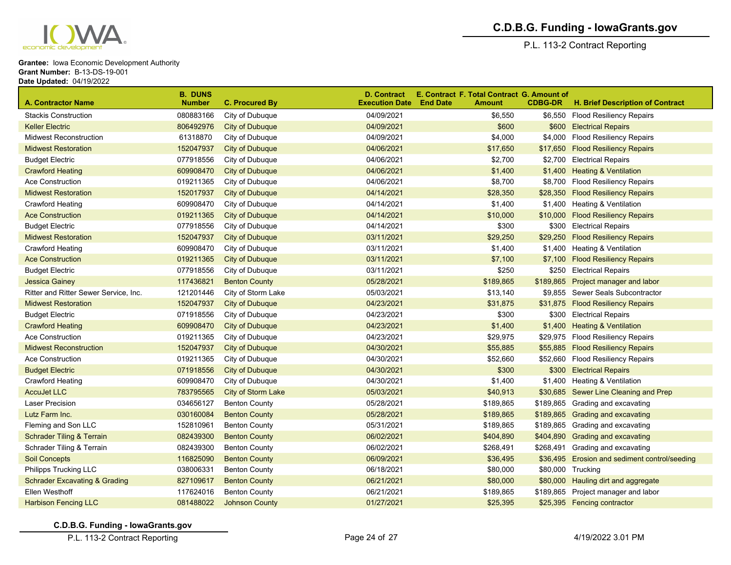

P.L. 113-2 Contract Reporting

**Date Updated:** 04/19/2022**Grant Number:** B-13-DS-19-001**Grantee:** Iowa Economic Development Authority

| <b>A. Contractor Name</b>                | <b>B. DUNS</b><br><b>Number</b> |                           | <b>D. Contract</b><br><b>Execution Date End Date</b> | E. Contract F. Total Contract G. Amount of | <b>CDBG-DR</b> |                                               |
|------------------------------------------|---------------------------------|---------------------------|------------------------------------------------------|--------------------------------------------|----------------|-----------------------------------------------|
|                                          |                                 | <b>C. Procured By</b>     |                                                      | <b>Amount</b>                              |                | <b>H. Brief Description of Contract</b>       |
| <b>Stackis Construction</b>              | 080883166                       | City of Dubuque           | 04/09/2021                                           | \$6,550                                    |                | \$6,550 Flood Resiliency Repairs              |
| <b>Keller Electric</b>                   | 806492976                       | <b>City of Dubuque</b>    | 04/09/2021                                           | \$600                                      |                | \$600 Electrical Repairs                      |
| <b>Midwest Reconstruction</b>            | 61318870                        | City of Dubuque           | 04/09/2021                                           | \$4,000                                    |                | \$4,000 Flood Resiliency Repairs              |
| <b>Midwest Restoration</b>               | 152047937                       | <b>City of Dubuque</b>    | 04/06/2021                                           | \$17,650                                   |                | \$17,650 Flood Resiliency Repairs             |
| <b>Budget Electric</b>                   | 077918556                       | City of Dubuque           | 04/06/2021                                           | \$2,700                                    |                | \$2,700 Electrical Repairs                    |
| <b>Crawford Heating</b>                  | 609908470                       | City of Dubuque           | 04/06/2021                                           | \$1,400                                    |                | \$1,400 Heating & Ventilation                 |
| <b>Ace Construction</b>                  | 019211365                       | City of Dubuque           | 04/06/2021                                           | \$8,700                                    |                | \$8,700 Flood Resiliency Repairs              |
| <b>Midwest Restoration</b>               | 152017937                       | City of Dubuque           | 04/14/2021                                           | \$28,350                                   |                | \$28,350 Flood Resiliency Repairs             |
| <b>Crawford Heating</b>                  | 609908470                       | City of Dubuque           | 04/14/2021                                           | \$1,400                                    |                | \$1,400 Heating & Ventilation                 |
| <b>Ace Construction</b>                  | 019211365                       | <b>City of Dubuque</b>    | 04/14/2021                                           | \$10,000                                   |                | \$10,000 Flood Resiliency Repairs             |
| <b>Budget Electric</b>                   | 077918556                       | City of Dubuque           | 04/14/2021                                           | \$300                                      |                | \$300 Electrical Repairs                      |
| <b>Midwest Restoration</b>               | 152047937                       | City of Dubuque           | 03/11/2021                                           | \$29,250                                   | \$29,250       | <b>Flood Resiliency Repairs</b>               |
| <b>Crawford Heating</b>                  | 609908470                       | City of Dubuque           | 03/11/2021                                           | \$1,400                                    | \$1,400        | Heating & Ventilation                         |
| <b>Ace Construction</b>                  | 019211365                       | <b>City of Dubuque</b>    | 03/11/2021                                           | \$7,100                                    |                | \$7,100 Flood Resiliency Repairs              |
| <b>Budget Electric</b>                   | 077918556                       | City of Dubuque           | 03/11/2021                                           | \$250                                      | \$250          | <b>Electrical Repairs</b>                     |
| <b>Jessica Gainey</b>                    | 117436821                       | <b>Benton County</b>      | 05/28/2021                                           | \$189,865                                  | \$189,865      | Project manager and labor                     |
| Ritter and Ritter Sewer Service, Inc.    | 121201446                       | City of Storm Lake        | 05/03/2021                                           | \$13,140                                   | \$9.855        | Sewer Seals Subcontractor                     |
| <b>Midwest Restoration</b>               | 152047937                       | City of Dubuque           | 04/23/2021                                           | \$31,875                                   |                | \$31,875 Flood Resiliency Repairs             |
| <b>Budget Electric</b>                   | 071918556                       | City of Dubuque           | 04/23/2021                                           | \$300                                      | \$300          | <b>Electrical Repairs</b>                     |
| <b>Crawford Heating</b>                  | 609908470                       | <b>City of Dubuque</b>    | 04/23/2021                                           | \$1,400                                    | \$1,400        | <b>Heating &amp; Ventilation</b>              |
| <b>Ace Construction</b>                  | 019211365                       | City of Dubuque           | 04/23/2021                                           | \$29,975                                   |                | \$29,975 Flood Resiliency Repairs             |
| <b>Midwest Reconstruction</b>            | 152047937                       | <b>City of Dubuque</b>    | 04/30/2021                                           | \$55,885                                   |                | \$55,885 Flood Resiliency Repairs             |
| <b>Ace Construction</b>                  | 019211365                       | City of Dubuque           | 04/30/2021                                           | \$52,660                                   | \$52,660       | <b>Flood Resiliency Repairs</b>               |
| <b>Budget Electric</b>                   | 071918556                       | <b>City of Dubuque</b>    | 04/30/2021                                           | \$300                                      | \$300          | <b>Electrical Repairs</b>                     |
| <b>Crawford Heating</b>                  | 609908470                       | City of Dubuque           | 04/30/2021                                           | \$1,400                                    | \$1,400        | <b>Heating &amp; Ventilation</b>              |
| <b>AccuJet LLC</b>                       | 783795565                       | <b>City of Storm Lake</b> | 05/03/2021                                           | \$40,913                                   |                | \$30,685 Sewer Line Cleaning and Prep         |
| Laser Precision                          | 034656127                       | <b>Benton County</b>      | 05/28/2021                                           | \$189,865                                  |                | \$189,865 Grading and excavating              |
| Lutz Farm Inc.                           | 030160084                       | <b>Benton County</b>      | 05/28/2021                                           | \$189,865                                  |                | \$189,865 Grading and excavating              |
| Fleming and Son LLC                      | 152810961                       | <b>Benton County</b>      | 05/31/2021                                           | \$189,865                                  |                | \$189,865 Grading and excavating              |
| <b>Schrader Tiling &amp; Terrain</b>     | 082439300                       | <b>Benton County</b>      | 06/02/2021                                           | \$404,890                                  |                | \$404,890 Grading and excavating              |
| Schrader Tiling & Terrain                | 082439300                       | <b>Benton County</b>      | 06/02/2021                                           | \$268,491                                  | \$268,491      | Grading and excavating                        |
| <b>Soil Concepts</b>                     | 116825090                       | <b>Benton County</b>      | 06/09/2021                                           | \$36,495                                   |                | \$36,495 Erosion and sediment control/seeding |
| Philipps Trucking LLC                    | 038006331                       | <b>Benton County</b>      | 06/18/2021                                           | \$80,000                                   |                | \$80,000 Trucking                             |
| <b>Schrader Excavating &amp; Grading</b> | 827109617                       | <b>Benton County</b>      | 06/21/2021                                           | \$80,000                                   |                | \$80,000 Hauling dirt and aggregate           |
| Ellen Westhoff                           | 117624016                       | <b>Benton County</b>      | 06/21/2021                                           | \$189,865                                  |                | \$189,865 Project manager and labor           |
| <b>Harbison Fencing LLC</b>              | 081488022                       | <b>Johnson County</b>     | 01/27/2021                                           | \$25,395                                   |                | \$25,395 Fencing contractor                   |
|                                          |                                 |                           |                                                      |                                            |                |                                               |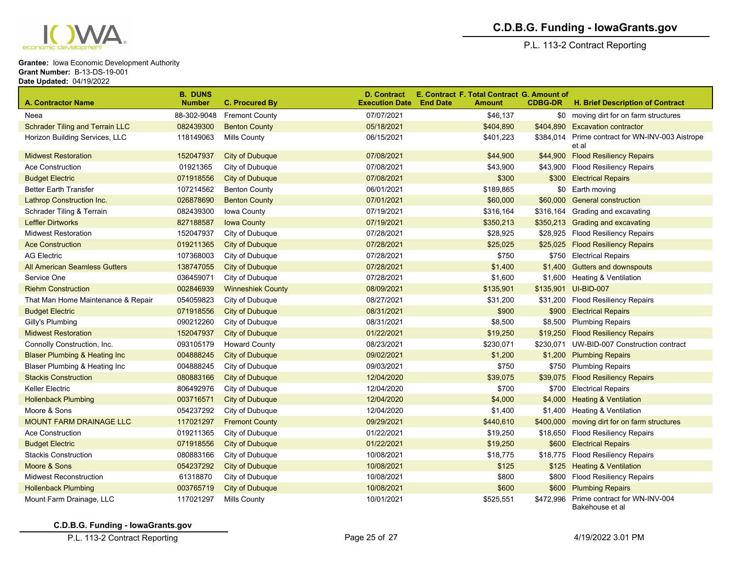# economic dev

### **Date Updated:** 04/19/2022**Grant Number:** B-13-DS-19-001**Grantee:** Iowa Economic Development Authority

P.L. 113-2 Contract Reporting

| <b>A. Contractor Name</b>                | <b>B. DUNS</b><br><b>Number</b> | <b>C. Procured By</b>    | <b>D. Contract</b><br><b>Execution Date</b> | E. Contract F. Total Contract G. Amount of<br><b>End Date</b><br><b>Amount</b> | <b>CDBG-DR</b> | <b>H. Brief Description of Contract</b>          |
|------------------------------------------|---------------------------------|--------------------------|---------------------------------------------|--------------------------------------------------------------------------------|----------------|--------------------------------------------------|
| Neea                                     | 88-302-9048                     | <b>Fremont County</b>    | 07/07/2021                                  | \$46,137                                                                       |                | \$0 moving dirt for on farm structures           |
| <b>Schrader Tiling and Terrain LLC</b>   | 082439300                       | <b>Benton County</b>     | 05/18/2021                                  | \$404,890                                                                      |                | \$404.890 Excavation contractor                  |
| Horizon Building Services, LLC           | 118149063                       | <b>Mills County</b>      | 06/15/2021                                  | \$401,223                                                                      | \$384,014      | Prime contract for WN-INV-003 Aistrope<br>et al  |
| <b>Midwest Restoration</b>               | 152047937                       | <b>City of Dubuque</b>   | 07/08/2021                                  | \$44,900                                                                       |                | \$44,900 Flood Resiliency Repairs                |
| <b>Ace Construction</b>                  | 01921365                        | City of Dubuque          | 07/08/2021                                  | \$43,900                                                                       |                | \$43,900 Flood Resiliency Repairs                |
| <b>Budget Electric</b>                   | 071918556                       | <b>City of Dubuque</b>   | 07/08/2021                                  | \$300                                                                          |                | \$300 Electrical Repairs                         |
| <b>Better Earth Transfer</b>             | 107214562                       | <b>Benton County</b>     | 06/01/2021                                  | \$189,865                                                                      |                | \$0 Earth moving                                 |
| <b>Lathrop Construction Inc.</b>         | 026878690                       | <b>Benton County</b>     | 07/01/2021                                  | \$60,000                                                                       |                | \$60,000 General construction                    |
| Schrader Tiling & Terrain                | 082439300                       | Iowa County              | 07/19/2021                                  | \$316,164                                                                      |                | \$316,164 Grading and excavating                 |
| <b>Leffler Dirtworks</b>                 | 827188587                       | <b>Iowa County</b>       | 07/19/2021                                  | \$350,213                                                                      |                | \$350,213 Grading and excavating                 |
| <b>Midwest Restoration</b>               | 152047937                       | City of Dubuque          | 07/28/2021                                  | \$28,925                                                                       |                | \$28,925 Flood Resiliency Repairs                |
| <b>Ace Construction</b>                  | 019211365                       | <b>City of Dubuque</b>   | 07/28/2021                                  | \$25,025                                                                       |                | \$25,025 Flood Resiliency Repairs                |
| <b>AG Electric</b>                       | 107368003                       | City of Dubuque          | 07/28/2021                                  | \$750                                                                          |                | \$750 Electrical Repairs                         |
| <b>All American Seamless Gutters</b>     | 138747055                       | <b>City of Dubuque</b>   | 07/28/2021                                  | \$1,400                                                                        |                | \$1,400 Gutters and downspouts                   |
| Service One                              | 036459071                       | City of Dubuque          | 07/28/2021                                  | \$1,600                                                                        |                | \$1,600 Heating & Ventilation                    |
| <b>Riehm Construction</b>                | 002846939                       | <b>Winneshiek County</b> | 08/09/2021                                  | \$135,901                                                                      |                | \$135,901 UI-BID-007                             |
| That Man Home Maintenance & Repair       | 054059823                       | City of Dubuque          | 08/27/2021                                  | \$31,200                                                                       |                | \$31,200 Flood Resiliency Repairs                |
| <b>Budget Electric</b>                   | 071918556                       | <b>City of Dubuque</b>   | 08/31/2021                                  | \$900                                                                          |                | \$900 Electrical Repairs                         |
| Gilly's Plumbing                         | 090212260                       | City of Dubuque          | 08/31/2021                                  | \$8,500                                                                        |                | \$8,500 Plumbing Repairs                         |
| <b>Midwest Restoration</b>               | 152047937                       | <b>City of Dubuque</b>   | 01/22/2021                                  | \$19,250                                                                       |                | \$19,250 Flood Resiliency Repairs                |
| Connolly Construction, Inc.              | 093105179                       | <b>Howard County</b>     | 08/23/2021                                  | \$230,071                                                                      |                | \$230.071 UW-BID-007 Construction contract       |
| <b>Blaser Plumbing &amp; Heating Inc</b> | 004888245                       | <b>City of Dubuque</b>   | 09/02/2021                                  | \$1,200                                                                        |                | \$1,200 Plumbing Repairs                         |
| Blaser Plumbing & Heating Inc            | 004888245                       | City of Dubuque          | 09/03/2021                                  | \$750                                                                          |                | \$750 Plumbing Repairs                           |
| <b>Stackis Construction</b>              | 080883166                       | <b>City of Dubuque</b>   | 12/04/2020                                  | \$39,075                                                                       |                | \$39,075 Flood Resiliency Repairs                |
| Keller Electric                          | 806492976                       | City of Dubuque          | 12/04/2020                                  | \$700                                                                          |                | \$700 Electrical Repairs                         |
| <b>Hollenback Plumbing</b>               | 003716571                       | <b>City of Dubuque</b>   | 12/04/2020                                  | \$4,000                                                                        |                | \$4,000 Heating & Ventilation                    |
| Moore & Sons                             | 054237292                       | City of Dubuque          | 12/04/2020                                  | \$1,400                                                                        |                | \$1,400 Heating & Ventilation                    |
| <b>MOUNT FARM DRAINAGE LLC</b>           | 117021297                       | <b>Fremont County</b>    | 09/29/2021                                  | \$440,610                                                                      | \$400,000      | moving dirt for on farm structures               |
| <b>Ace Construction</b>                  | 019211365                       | City of Dubuque          | 01/22/2021                                  | \$19,250                                                                       |                | \$18,650 Flood Resiliency Repairs                |
| <b>Budget Electric</b>                   | 071918556                       | <b>City of Dubuque</b>   | 01/22/2021                                  | \$19,250                                                                       | \$600          | <b>Electrical Repairs</b>                        |
| <b>Stackis Construction</b>              | 080883166                       | City of Dubuque          | 10/08/2021                                  | \$18,775                                                                       |                | \$18,775 Flood Resiliency Repairs                |
| Moore & Sons                             | 054237292                       | <b>City of Dubuque</b>   | 10/08/2021                                  | \$125                                                                          |                | \$125 Heating & Ventilation                      |
| <b>Midwest Reconstruction</b>            | 61318870                        | City of Dubuque          | 10/08/2021                                  | \$800                                                                          |                | \$800 Flood Resiliency Repairs                   |
| <b>Hollenback Plumbing</b>               | 003765719                       | <b>City of Dubuque</b>   | 10/08/2021                                  | \$600                                                                          | \$600          | <b>Plumbing Repairs</b>                          |
| Mount Farm Drainage, LLC                 | 117021297                       | <b>Mills County</b>      | 10/01/2021                                  | \$525,551                                                                      | \$472,996      | Prime contract for WN-INV-004<br>Bakehouse et al |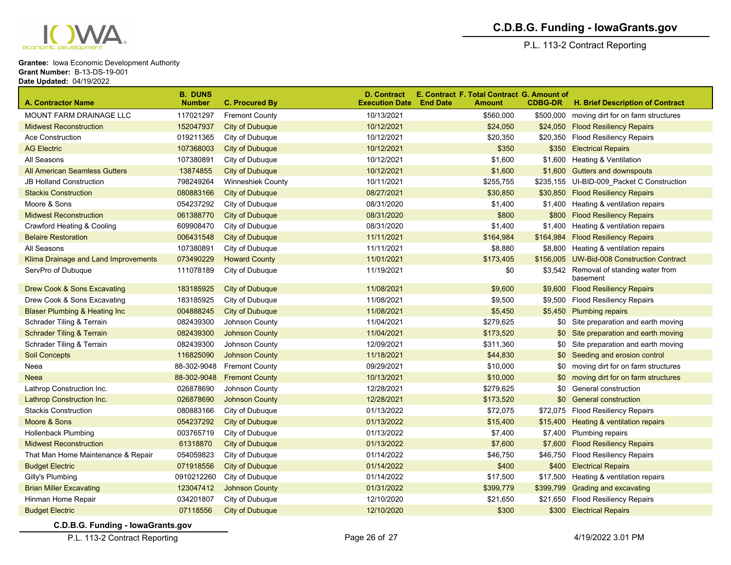# economic de

### **Date Updated:** 04/19/2022**Grant Number:** B-13-DS-19-001**Grantee:** Iowa Economic Development Authority

P.L. 113-2 Contract Reporting

| <b>A. Contractor Name</b>                 | <b>B. DUNS</b><br><b>Number</b> | <b>C. Procured By</b>    | <b>D. Contract</b><br><b>Execution Date</b> | E. Contract F. Total Contract G. Amount of<br><b>End Date</b> | <b>Amount</b> | <b>CDBG-DR</b> | <b>H. Brief Description of Contract</b>            |
|-------------------------------------------|---------------------------------|--------------------------|---------------------------------------------|---------------------------------------------------------------|---------------|----------------|----------------------------------------------------|
| MOUNT FARM DRAINAGE LLC                   | 117021297                       | <b>Fremont County</b>    | 10/13/2021                                  |                                                               | \$560,000     |                | \$500,000 moving dirt for on farm structures       |
| <b>Midwest Reconstruction</b>             | 152047937                       | <b>City of Dubuque</b>   | 10/12/2021                                  |                                                               | \$24,050      |                | \$24,050 Flood Resiliency Repairs                  |
| <b>Ace Construction</b>                   | 019211365                       | City of Dubuque          | 10/12/2021                                  |                                                               | \$20,350      |                | \$20,350 Flood Resiliency Repairs                  |
| <b>AG Electric</b>                        | 107368003                       | <b>City of Dubuque</b>   | 10/12/2021                                  |                                                               | \$350         |                | \$350 Electrical Repairs                           |
| All Seasons                               | 107380891                       | City of Dubuque          | 10/12/2021                                  |                                                               | \$1,600       |                | \$1,600 Heating & Ventilation                      |
| <b>All American Seamless Gutters</b>      | 13874855                        | <b>City of Dubuque</b>   | 10/12/2021                                  |                                                               | \$1,600       |                | \$1,600 Gutters and downspouts                     |
| <b>JB Holland Construction</b>            | 798249264                       | <b>Winneshiek County</b> | 10/11/2021                                  |                                                               | \$255,755     |                | \$235,155 UI-BID-009_Packet C Construction         |
| <b>Stackis Construction</b>               | 080883166                       | <b>City of Dubuque</b>   | 08/27/2021                                  |                                                               | \$30,850      |                | \$30,850 Flood Resiliency Repairs                  |
| Moore & Sons                              | 054237292                       | City of Dubuque          | 08/31/2020                                  |                                                               | \$1,400       |                | \$1,400 Heating & ventilation repairs              |
| <b>Midwest Reconstruction</b>             | 061388770                       | <b>City of Dubuque</b>   | 08/31/2020                                  |                                                               | \$800         |                | \$800 Flood Resiliency Repairs                     |
| <b>Crawford Heating &amp; Cooling</b>     | 609908470                       | City of Dubuque          | 08/31/2020                                  |                                                               | \$1,400       |                | \$1,400 Heating & ventilation repairs              |
| <b>Belaire Restoration</b>                | 006431548                       | <b>City of Dubuque</b>   | 11/11/2021                                  |                                                               | \$164,984     |                | \$164,984 Flood Resiliency Repairs                 |
| All Seasons                               | 107380891                       | City of Dubuque          | 11/11/2021                                  |                                                               | \$8.880       | \$8.800        | Heating & ventilation repairs                      |
| Klima Drainage and Land Improvements      | 073490229                       | <b>Howard County</b>     | 11/01/2021                                  |                                                               | \$173,405     | \$156,005      | <b>UW-Bid-008 Construction Contract</b>            |
| ServPro of Dubuque                        | 111078189                       | City of Dubuque          | 11/19/2021                                  |                                                               | \$0           |                | \$3,542 Removal of standing water from<br>basement |
| Drew Cook & Sons Excavating               | 183185925                       | City of Dubuque          | 11/08/2021                                  |                                                               | \$9,600       |                | \$9,600 Flood Resiliency Repairs                   |
| Drew Cook & Sons Excavating               | 183185925                       | City of Dubuque          | 11/08/2021                                  |                                                               | \$9,500       | \$9,500        | <b>Flood Resiliency Repairs</b>                    |
| <b>Blaser Plumbing &amp; Heating Inc.</b> | 004888245                       | <b>City of Dubuque</b>   | 11/08/2021                                  |                                                               | \$5,450       |                | \$5,450 Plumbing repairs                           |
| Schrader Tiling & Terrain                 | 082439300                       | Johnson County           | 11/04/2021                                  |                                                               | \$279,625     | \$0            | Site preparation and earth moving                  |
| <b>Schrader Tiling &amp; Terrain</b>      | 082439300                       | <b>Johnson County</b>    | 11/04/2021                                  |                                                               | \$173,520     | \$0            | Site preparation and earth moving                  |
| Schrader Tiling & Terrain                 | 082439300                       | Johnson County           | 12/09/2021                                  |                                                               | \$311,360     | \$0            | Site preparation and earth moving                  |
| <b>Soil Concepts</b>                      | 116825090                       | <b>Johnson County</b>    | 11/18/2021                                  |                                                               | \$44,830      |                | \$0 Seeding and erosion control                    |
| Neea                                      | 88-302-9048                     | <b>Fremont County</b>    | 09/29/2021                                  |                                                               | \$10,000      | \$0            | moving dirt for on farm structures                 |
| <b>Neea</b>                               | 88-302-9048                     | <b>Fremont County</b>    | 10/13/2021                                  |                                                               | \$10,000      | \$0            | moving dirt for on farm structures                 |
| Lathrop Construction Inc.                 | 026878690                       | Johnson County           | 12/28/2021                                  |                                                               | \$279,625     | \$0            | General construction                               |
| Lathrop Construction Inc.                 | 026878690                       | <b>Johnson County</b>    | 12/28/2021                                  |                                                               | \$173,520     | \$0            | <b>General construction</b>                        |
| <b>Stackis Construction</b>               | 080883166                       | City of Dubuque          | 01/13/2022                                  |                                                               | \$72,075      |                | \$72,075 Flood Resiliency Repairs                  |
| Moore & Sons                              | 054237292                       | <b>City of Dubuque</b>   | 01/13/2022                                  |                                                               | \$15,400      | \$15,400       | Heating & ventilation repairs                      |
| <b>Hollenback Plumbing</b>                | 003765719                       | City of Dubuque          | 01/13/2022                                  |                                                               | \$7,400       |                | \$7,400 Plumbing repairs                           |
| <b>Midwest Reconstruction</b>             | 61318870                        | <b>City of Dubuque</b>   | 01/13/2022                                  |                                                               | \$7,600       |                | \$7,600 Flood Resiliency Repairs                   |
| That Man Home Maintenance & Repair        | 054059823                       | City of Dubuque          | 01/14/2022                                  |                                                               | \$46,750      | \$46,750       | <b>Flood Resiliency Repairs</b>                    |
| <b>Budget Electric</b>                    | 071918556                       | <b>City of Dubuque</b>   | 01/14/2022                                  |                                                               | \$400         |                | \$400 Electrical Repairs                           |
| Gilly's Plumbing                          | 0910212260                      | City of Dubuque          | 01/14/2022                                  |                                                               | \$17,500      | \$17,500       | Heating & ventilation repairs                      |
| <b>Brian Miller Excavating</b>            | 123047412                       | <b>Johnson County</b>    | 01/31/2022                                  |                                                               | \$399,779     | \$399,799      | Grading and excavating                             |
| Hinman Home Repair                        | 034201807                       | City of Dubuque          | 12/10/2020                                  |                                                               | \$21,650      | \$21.650       | <b>Flood Resiliency Repairs</b>                    |
| <b>Budget Electric</b>                    | 07118556                        | <b>City of Dubuque</b>   | 12/10/2020                                  |                                                               | \$300         |                | \$300 Electrical Repairs                           |

### **C.D.B.G. Funding - IowaGrants.gov**